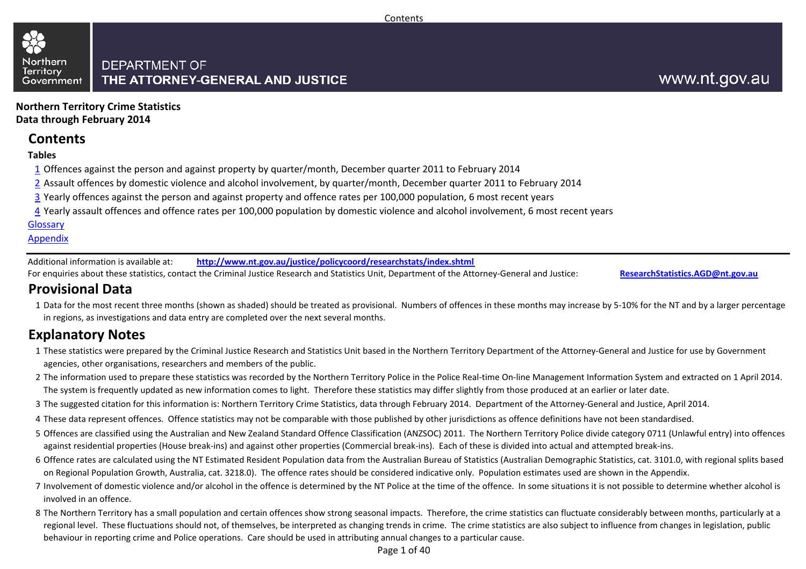#### Northern **DEPARTMENT OF Territory** THE ATTORNEY-GENERAL AND JUSTICE Government

**Northern Territory Crime StatisticsData through February 2014**

## **Contents**

#### **Tables**

- 1 Offences against the person and against property by quarter/month, December quarter 2011 to February 2014
- 2 Assault offences by domestic violence and alcohol involvement, by quarter/month, December quarter 2011 to February 2014
- <u>3</u> Yearly offences against the person and against property and offence rates per 100,000 population, 6 most recent years
- <u>4</u> Yearly assault offences and offence rates per 100,000 population by domestic violence and alcohol involvement, 6 most recent years

#### Glossary

#### Appendix

Additional information is available at:**http://www.nt.gov.au/justice/policycoord/researchstats/index.shtml**

For enquiries about these statistics, contact the Criminal Justice Research and Statistics Unit, Department of the Attorney-General and Justice:

**ResearchStatistics.AGD@nt.gov.au**

## **Provisional Data**

1 Data for the most recent three months (shown as shaded) should be treated as provisional. Numbers of offences in these months may increase by 5-10% for the NT and by a larger percentage in regions, as investigations and data entry are completed over the next several months.

## **Explanatory Notes**

- 1These statistics were prepared by the Criminal Justice Research and Statistics Unit based in the Northern Territory Department of the Attorney-General and Justice for use by Government agencies, other organisations, researchers and members of the public.
- 2The information used to prepare these statistics was recorded by the Northern Territory Police in the Police Real-time On-line Management Information System and extracted on 1 April 2014. The system is frequently updated as new information comes to light. Therefore these statistics may differ slightly from those produced at an earlier or later date.
- 3The suggested citation for this information is: Northern Territory Crime Statistics, data through February 2014. Department of the Attorney-General and Justice, April 2014.
- 4These data represent offences. Offence statistics may not be comparable with those published by other jurisdictions as offence definitions have not been standardised.
- 5 Offences are classified using the Australian and New Zealand Standard Offence Classification (ANZSOC) 2011. The Northern Territory Police divide category 0711 (Unlawful entry) into offences against residential properties (House break-ins) and against other properties (Commercial break-ins). Each of these is divided into actual and attempted break-ins.
- 6 Offence rates are calculated using the NT Estimated Resident Population data from the Australian Bureau of Statistics (Australian Demographic Statistics, cat. 3101.0, with regional splits based on Regional Population Growth, Australia, cat. 3218.0). The offence rates should be considered indicative only. Population estimates used are shown in the Appendix.
- 7 Involvement of domestic violence and/or alcohol in the offence is determined by the NT Police at the time of the offence. In some situations it is not possible to determine whether alcohol is involved in an offence.
- 8 The Northern Territory has a small population and certain offences show strong seasonal impacts. Therefore, the crime statistics can fluctuate considerably between months, particularly at a regional level. These fluctuations should not, of themselves, be interpreted as changing trends in crime. The crime statistics are also subject to influence from changes in legislation, public behaviour in reporting crime and Police operations. Care should be used in attributing annual changes to a particular cause.

Page 1 of 40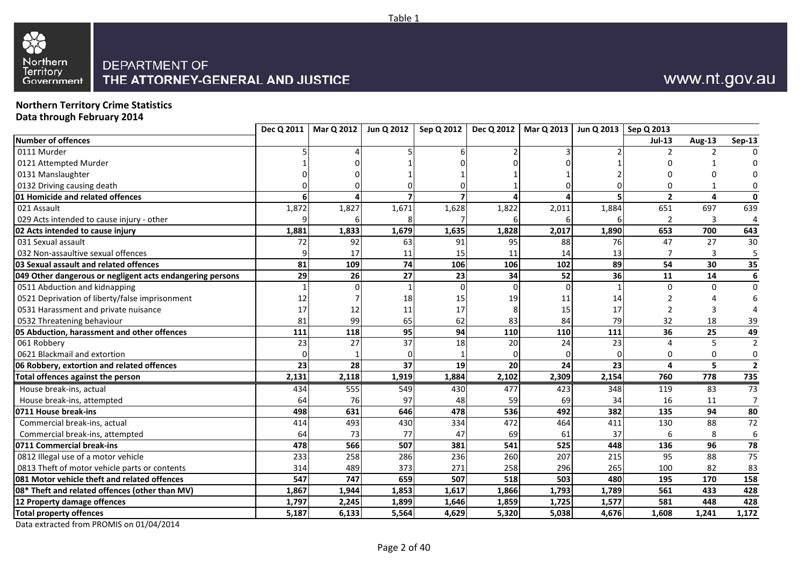



#### **Northern Territory Crime StatisticsData through February 2014**

| <b>Jul-13</b><br>Aug-13<br><b>Sep-13</b><br>2<br>1<br>$\overline{2}$<br>4<br>$\mathbf{0}$<br>1,872<br>1,827<br>1,671<br>1,822<br>1,884<br>651<br>697<br>639<br>1,628<br>2,011<br>3<br>4<br>6<br>1,679<br>653<br>700<br>643<br>1,881<br>1,833<br>1,635<br>1,828<br>2,017<br>1,890<br>92<br>47<br>63<br>91<br>88<br>76<br>27<br>72<br>95<br>17<br>13<br>3<br>5<br>11<br>15<br>14<br>11<br>$\overline{35}$<br>109<br>74<br>54<br>30<br>81<br>106<br>102<br>89<br>106<br>27<br>23<br>52<br>11<br>14<br>29<br>26<br>34<br>36<br>$\Omega$<br>$\Omega$<br>$\Omega$<br>12<br>18<br>15<br>19<br>14<br>11<br>17<br>12<br>11<br>17<br>8<br>15<br>17<br>3<br>99<br>65<br>83<br>84<br>32<br>18<br>81<br>79<br>39<br>62<br>49<br>36<br>111<br>118<br>95<br>94<br>110<br>110<br>25<br>111<br>37<br>27<br>24<br>23<br>5<br>18<br>20<br>23<br>4<br>0<br>$\Omega$<br>0<br>28<br>37<br>24<br>5<br>23<br>19<br>20<br>23<br>$\overline{a}$<br>1,919<br>2,154<br>760<br>778<br>735<br>2,131<br>2,118<br>1,884<br>2,102<br>2,309<br>$\overline{73}$<br>83<br>House break-ins, actual<br>434<br>555<br>549<br>430<br>477<br>423<br>348<br>119<br>97<br>69<br>House break-ins, attempted<br>76<br>59<br>34<br>16<br>64<br>48<br>11<br>631<br>646<br>492<br>382<br>135<br>94<br>498<br>478<br>536<br>493<br>472<br>414<br>430<br>334<br>464<br>411<br>130<br>88<br>Commercial break-ins, actual<br>$\boldsymbol{6}$<br>Commercial break-ins, attempted<br>73<br>77<br>69<br>61<br>37<br>8<br>64<br>47<br>6<br>566<br>507<br>541<br>525<br>96<br>78<br>448<br>136<br>478<br>381<br>$\overline{75}$<br>95<br>233<br>258<br>286<br>236<br>260<br>207<br>88<br>215<br>373<br>100<br>82<br>314<br>489<br>271<br>258<br>296<br>265<br>83<br>659<br>747<br>518<br>503<br>480<br>195<br>170<br>158<br>547<br>507<br>1,867<br>1,944<br>1,853<br>1,617<br>1,866<br>561<br>433<br>428<br>1,793<br>1,789<br>448<br>428<br>1,899<br>1,859<br>1,577<br>581<br>1,797<br>2,245<br>1,646<br>1,725<br>6,133<br>5,564<br>4,629<br>5,320<br>5,038<br>4,676<br>1,608<br>1,241<br>5,187 |                                                           | Dec Q 2011 | Mar Q 2012 | Jun Q 2012 | Sep Q 2012 | <b>Dec Q 2012</b> | Mar Q 2013 | Jun Q 2013 | Sep Q 2013 |                         |
|-----------------------------------------------------------------------------------------------------------------------------------------------------------------------------------------------------------------------------------------------------------------------------------------------------------------------------------------------------------------------------------------------------------------------------------------------------------------------------------------------------------------------------------------------------------------------------------------------------------------------------------------------------------------------------------------------------------------------------------------------------------------------------------------------------------------------------------------------------------------------------------------------------------------------------------------------------------------------------------------------------------------------------------------------------------------------------------------------------------------------------------------------------------------------------------------------------------------------------------------------------------------------------------------------------------------------------------------------------------------------------------------------------------------------------------------------------------------------------------------------------------------------------------------------------------------------------------------------------------------------------------------------------------------------------------------------------------------------------------------------------------------------------------------------------------------------------------------------------------------------------------------------------------------------------------------------------------------------------------------------------------------------------------------|-----------------------------------------------------------|------------|------------|------------|------------|-------------------|------------|------------|------------|-------------------------|
|                                                                                                                                                                                                                                                                                                                                                                                                                                                                                                                                                                                                                                                                                                                                                                                                                                                                                                                                                                                                                                                                                                                                                                                                                                                                                                                                                                                                                                                                                                                                                                                                                                                                                                                                                                                                                                                                                                                                                                                                                                         | <b>Number of offences</b>                                 |            |            |            |            |                   |            |            |            |                         |
|                                                                                                                                                                                                                                                                                                                                                                                                                                                                                                                                                                                                                                                                                                                                                                                                                                                                                                                                                                                                                                                                                                                                                                                                                                                                                                                                                                                                                                                                                                                                                                                                                                                                                                                                                                                                                                                                                                                                                                                                                                         | 0111 Murder                                               |            |            |            |            |                   |            |            |            |                         |
|                                                                                                                                                                                                                                                                                                                                                                                                                                                                                                                                                                                                                                                                                                                                                                                                                                                                                                                                                                                                                                                                                                                                                                                                                                                                                                                                                                                                                                                                                                                                                                                                                                                                                                                                                                                                                                                                                                                                                                                                                                         | 0121 Attempted Murder                                     |            |            |            |            |                   |            |            |            |                         |
|                                                                                                                                                                                                                                                                                                                                                                                                                                                                                                                                                                                                                                                                                                                                                                                                                                                                                                                                                                                                                                                                                                                                                                                                                                                                                                                                                                                                                                                                                                                                                                                                                                                                                                                                                                                                                                                                                                                                                                                                                                         | 0131 Manslaughter                                         |            |            |            |            |                   |            |            |            |                         |
|                                                                                                                                                                                                                                                                                                                                                                                                                                                                                                                                                                                                                                                                                                                                                                                                                                                                                                                                                                                                                                                                                                                                                                                                                                                                                                                                                                                                                                                                                                                                                                                                                                                                                                                                                                                                                                                                                                                                                                                                                                         | 0132 Driving causing death                                |            |            |            |            |                   |            |            |            |                         |
|                                                                                                                                                                                                                                                                                                                                                                                                                                                                                                                                                                                                                                                                                                                                                                                                                                                                                                                                                                                                                                                                                                                                                                                                                                                                                                                                                                                                                                                                                                                                                                                                                                                                                                                                                                                                                                                                                                                                                                                                                                         | 01 Homicide and related offences                          |            |            |            |            |                   |            |            |            |                         |
|                                                                                                                                                                                                                                                                                                                                                                                                                                                                                                                                                                                                                                                                                                                                                                                                                                                                                                                                                                                                                                                                                                                                                                                                                                                                                                                                                                                                                                                                                                                                                                                                                                                                                                                                                                                                                                                                                                                                                                                                                                         | 021 Assault                                               |            |            |            |            |                   |            |            |            |                         |
|                                                                                                                                                                                                                                                                                                                                                                                                                                                                                                                                                                                                                                                                                                                                                                                                                                                                                                                                                                                                                                                                                                                                                                                                                                                                                                                                                                                                                                                                                                                                                                                                                                                                                                                                                                                                                                                                                                                                                                                                                                         | 029 Acts intended to cause injury - other                 |            |            |            |            |                   |            |            |            |                         |
|                                                                                                                                                                                                                                                                                                                                                                                                                                                                                                                                                                                                                                                                                                                                                                                                                                                                                                                                                                                                                                                                                                                                                                                                                                                                                                                                                                                                                                                                                                                                                                                                                                                                                                                                                                                                                                                                                                                                                                                                                                         | 02 Acts intended to cause injury                          |            |            |            |            |                   |            |            |            |                         |
|                                                                                                                                                                                                                                                                                                                                                                                                                                                                                                                                                                                                                                                                                                                                                                                                                                                                                                                                                                                                                                                                                                                                                                                                                                                                                                                                                                                                                                                                                                                                                                                                                                                                                                                                                                                                                                                                                                                                                                                                                                         | 031 Sexual assault                                        |            |            |            |            |                   |            |            |            | 30                      |
|                                                                                                                                                                                                                                                                                                                                                                                                                                                                                                                                                                                                                                                                                                                                                                                                                                                                                                                                                                                                                                                                                                                                                                                                                                                                                                                                                                                                                                                                                                                                                                                                                                                                                                                                                                                                                                                                                                                                                                                                                                         | 032 Non-assaultive sexual offences                        |            |            |            |            |                   |            |            |            |                         |
|                                                                                                                                                                                                                                                                                                                                                                                                                                                                                                                                                                                                                                                                                                                                                                                                                                                                                                                                                                                                                                                                                                                                                                                                                                                                                                                                                                                                                                                                                                                                                                                                                                                                                                                                                                                                                                                                                                                                                                                                                                         | 03 Sexual assault and related offences                    |            |            |            |            |                   |            |            |            |                         |
|                                                                                                                                                                                                                                                                                                                                                                                                                                                                                                                                                                                                                                                                                                                                                                                                                                                                                                                                                                                                                                                                                                                                                                                                                                                                                                                                                                                                                                                                                                                                                                                                                                                                                                                                                                                                                                                                                                                                                                                                                                         | 049 Other dangerous or negligent acts endangering persons |            |            |            |            |                   |            |            |            | 6                       |
|                                                                                                                                                                                                                                                                                                                                                                                                                                                                                                                                                                                                                                                                                                                                                                                                                                                                                                                                                                                                                                                                                                                                                                                                                                                                                                                                                                                                                                                                                                                                                                                                                                                                                                                                                                                                                                                                                                                                                                                                                                         | 0511 Abduction and kidnapping                             |            |            |            |            |                   |            |            |            | $\Omega$                |
|                                                                                                                                                                                                                                                                                                                                                                                                                                                                                                                                                                                                                                                                                                                                                                                                                                                                                                                                                                                                                                                                                                                                                                                                                                                                                                                                                                                                                                                                                                                                                                                                                                                                                                                                                                                                                                                                                                                                                                                                                                         | 0521 Deprivation of liberty/false imprisonment            |            |            |            |            |                   |            |            |            |                         |
|                                                                                                                                                                                                                                                                                                                                                                                                                                                                                                                                                                                                                                                                                                                                                                                                                                                                                                                                                                                                                                                                                                                                                                                                                                                                                                                                                                                                                                                                                                                                                                                                                                                                                                                                                                                                                                                                                                                                                                                                                                         | 0531 Harassment and private nuisance                      |            |            |            |            |                   |            |            |            |                         |
|                                                                                                                                                                                                                                                                                                                                                                                                                                                                                                                                                                                                                                                                                                                                                                                                                                                                                                                                                                                                                                                                                                                                                                                                                                                                                                                                                                                                                                                                                                                                                                                                                                                                                                                                                                                                                                                                                                                                                                                                                                         | 0532 Threatening behaviour                                |            |            |            |            |                   |            |            |            |                         |
|                                                                                                                                                                                                                                                                                                                                                                                                                                                                                                                                                                                                                                                                                                                                                                                                                                                                                                                                                                                                                                                                                                                                                                                                                                                                                                                                                                                                                                                                                                                                                                                                                                                                                                                                                                                                                                                                                                                                                                                                                                         | 05 Abduction, harassment and other offences               |            |            |            |            |                   |            |            |            |                         |
|                                                                                                                                                                                                                                                                                                                                                                                                                                                                                                                                                                                                                                                                                                                                                                                                                                                                                                                                                                                                                                                                                                                                                                                                                                                                                                                                                                                                                                                                                                                                                                                                                                                                                                                                                                                                                                                                                                                                                                                                                                         | 061 Robbery                                               |            |            |            |            |                   |            |            |            | $\overline{2}$          |
|                                                                                                                                                                                                                                                                                                                                                                                                                                                                                                                                                                                                                                                                                                                                                                                                                                                                                                                                                                                                                                                                                                                                                                                                                                                                                                                                                                                                                                                                                                                                                                                                                                                                                                                                                                                                                                                                                                                                                                                                                                         | 0621 Blackmail and extortion                              |            |            |            |            |                   |            |            |            | $\pmb{0}$               |
|                                                                                                                                                                                                                                                                                                                                                                                                                                                                                                                                                                                                                                                                                                                                                                                                                                                                                                                                                                                                                                                                                                                                                                                                                                                                                                                                                                                                                                                                                                                                                                                                                                                                                                                                                                                                                                                                                                                                                                                                                                         | 06 Robbery, extortion and related offences                |            |            |            |            |                   |            |            |            | $\overline{\mathbf{2}}$ |
|                                                                                                                                                                                                                                                                                                                                                                                                                                                                                                                                                                                                                                                                                                                                                                                                                                                                                                                                                                                                                                                                                                                                                                                                                                                                                                                                                                                                                                                                                                                                                                                                                                                                                                                                                                                                                                                                                                                                                                                                                                         | Total offences against the person                         |            |            |            |            |                   |            |            |            |                         |
|                                                                                                                                                                                                                                                                                                                                                                                                                                                                                                                                                                                                                                                                                                                                                                                                                                                                                                                                                                                                                                                                                                                                                                                                                                                                                                                                                                                                                                                                                                                                                                                                                                                                                                                                                                                                                                                                                                                                                                                                                                         |                                                           |            |            |            |            |                   |            |            |            |                         |
|                                                                                                                                                                                                                                                                                                                                                                                                                                                                                                                                                                                                                                                                                                                                                                                                                                                                                                                                                                                                                                                                                                                                                                                                                                                                                                                                                                                                                                                                                                                                                                                                                                                                                                                                                                                                                                                                                                                                                                                                                                         |                                                           |            |            |            |            |                   |            |            |            | $\overline{7}$          |
|                                                                                                                                                                                                                                                                                                                                                                                                                                                                                                                                                                                                                                                                                                                                                                                                                                                                                                                                                                                                                                                                                                                                                                                                                                                                                                                                                                                                                                                                                                                                                                                                                                                                                                                                                                                                                                                                                                                                                                                                                                         | 0711 House break-ins                                      |            |            |            |            |                   |            |            |            | 80                      |
|                                                                                                                                                                                                                                                                                                                                                                                                                                                                                                                                                                                                                                                                                                                                                                                                                                                                                                                                                                                                                                                                                                                                                                                                                                                                                                                                                                                                                                                                                                                                                                                                                                                                                                                                                                                                                                                                                                                                                                                                                                         |                                                           |            |            |            |            |                   |            |            |            | 72                      |
|                                                                                                                                                                                                                                                                                                                                                                                                                                                                                                                                                                                                                                                                                                                                                                                                                                                                                                                                                                                                                                                                                                                                                                                                                                                                                                                                                                                                                                                                                                                                                                                                                                                                                                                                                                                                                                                                                                                                                                                                                                         |                                                           |            |            |            |            |                   |            |            |            |                         |
|                                                                                                                                                                                                                                                                                                                                                                                                                                                                                                                                                                                                                                                                                                                                                                                                                                                                                                                                                                                                                                                                                                                                                                                                                                                                                                                                                                                                                                                                                                                                                                                                                                                                                                                                                                                                                                                                                                                                                                                                                                         | 0711 Commercial break-ins                                 |            |            |            |            |                   |            |            |            |                         |
|                                                                                                                                                                                                                                                                                                                                                                                                                                                                                                                                                                                                                                                                                                                                                                                                                                                                                                                                                                                                                                                                                                                                                                                                                                                                                                                                                                                                                                                                                                                                                                                                                                                                                                                                                                                                                                                                                                                                                                                                                                         | 0812 Illegal use of a motor vehicle                       |            |            |            |            |                   |            |            |            |                         |
|                                                                                                                                                                                                                                                                                                                                                                                                                                                                                                                                                                                                                                                                                                                                                                                                                                                                                                                                                                                                                                                                                                                                                                                                                                                                                                                                                                                                                                                                                                                                                                                                                                                                                                                                                                                                                                                                                                                                                                                                                                         | 0813 Theft of motor vehicle parts or contents             |            |            |            |            |                   |            |            |            |                         |
|                                                                                                                                                                                                                                                                                                                                                                                                                                                                                                                                                                                                                                                                                                                                                                                                                                                                                                                                                                                                                                                                                                                                                                                                                                                                                                                                                                                                                                                                                                                                                                                                                                                                                                                                                                                                                                                                                                                                                                                                                                         | 081 Motor vehicle theft and related offences              |            |            |            |            |                   |            |            |            |                         |
|                                                                                                                                                                                                                                                                                                                                                                                                                                                                                                                                                                                                                                                                                                                                                                                                                                                                                                                                                                                                                                                                                                                                                                                                                                                                                                                                                                                                                                                                                                                                                                                                                                                                                                                                                                                                                                                                                                                                                                                                                                         | 08* Theft and related offences (other than MV)            |            |            |            |            |                   |            |            |            |                         |
|                                                                                                                                                                                                                                                                                                                                                                                                                                                                                                                                                                                                                                                                                                                                                                                                                                                                                                                                                                                                                                                                                                                                                                                                                                                                                                                                                                                                                                                                                                                                                                                                                                                                                                                                                                                                                                                                                                                                                                                                                                         | 12 Property damage offences                               |            |            |            |            |                   |            |            |            |                         |
|                                                                                                                                                                                                                                                                                                                                                                                                                                                                                                                                                                                                                                                                                                                                                                                                                                                                                                                                                                                                                                                                                                                                                                                                                                                                                                                                                                                                                                                                                                                                                                                                                                                                                                                                                                                                                                                                                                                                                                                                                                         | <b>Total property offences</b>                            |            |            |            |            |                   |            |            |            | 1,172                   |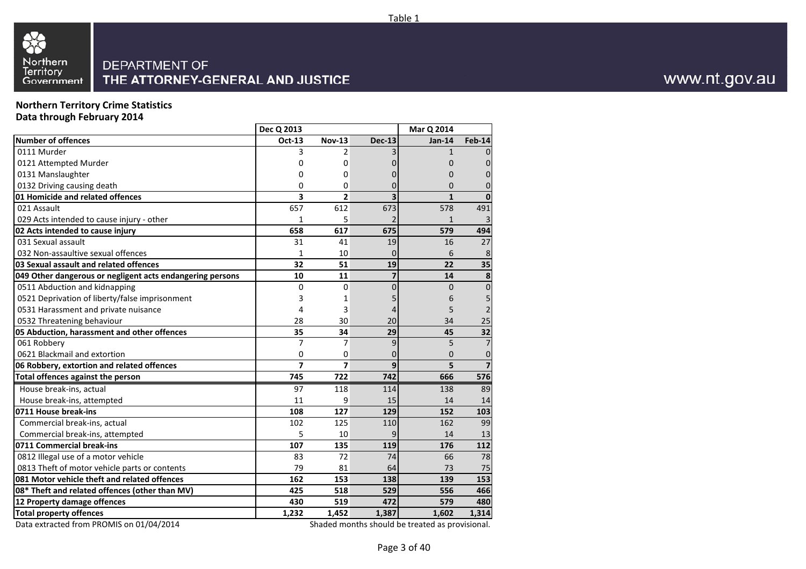

**Northern Territory Crime StatisticsData through February 2014**

|                                                           | Dec Q 2013     |                |                             | Mar Q 2014     |                         |
|-----------------------------------------------------------|----------------|----------------|-----------------------------|----------------|-------------------------|
| <b>Number of offences</b>                                 | Oct-13         | <b>Nov-13</b>  | <b>Dec-13</b>               | <b>Jan-14</b>  | Feb-14                  |
| 0111 Murder                                               | 3              | 2              |                             | $\mathbf{1}$   | $\Omega$                |
| 0121 Attempted Murder                                     | 0              | 0              |                             | $\mathbf 0$    | $\mathbf 0$             |
| 0131 Manslaughter                                         | 0              | 0              |                             | $\Omega$       | $\overline{0}$          |
| 0132 Driving causing death                                | 0              | 0              | 0                           | $\Omega$       | $\overline{0}$          |
| 01 Homicide and related offences                          | 3              | $\overline{2}$ | $\overline{\mathbf{3}}$     | $\mathbf{1}$   | $\mathbf 0$             |
| 021 Assault                                               | 657            | 612            | 673                         | 578            | 491                     |
| 029 Acts intended to cause injury - other                 | 1              | 5              |                             | $\mathbf{1}$   | 3                       |
| 02 Acts intended to cause injury                          | 658            | 617            | 675                         | 579            | 494                     |
| 031 Sexual assault                                        | 31             | 41             | 19                          | 16             | 27                      |
| 032 Non-assaultive sexual offences                        | 1              | 10             | $\mathbf 0$                 | 6              | 8                       |
| 03 Sexual assault and related offences                    | 32             | 51             | 19                          | 22             | 35                      |
| 049 Other dangerous or negligent acts endangering persons | 10             | 11             | $\overline{\mathbf{z}}$     | 14             | 8                       |
| 0511 Abduction and kidnapping                             | 0              | 0              | 0                           | $\overline{0}$ | $\pmb{0}$               |
| 0521 Deprivation of liberty/false imprisonment            | 3              | 1              |                             | 6              | 5                       |
| 0531 Harassment and private nuisance                      | 4              | 3              |                             | 5              | $\overline{2}$          |
| 0532 Threatening behaviour                                | 28             | 30             | 20                          | 34             | 25                      |
| 05 Abduction, harassment and other offences               | 35             | 34             | 29                          | 45             | 32                      |
| 061 Robbery                                               | 7              | 7              | 9                           | 5              | $\overline{7}$          |
| 0621 Blackmail and extortion                              | 0              | 0              | 0                           | $\overline{0}$ | $\mathbf 0$             |
| 06 Robbery, extortion and related offences                | $\overline{z}$ | $\overline{7}$ | 9                           | 5              | $\overline{\mathbf{z}}$ |
| Total offences against the person                         | 745            | 722            | 742                         | 666            | 576                     |
| House break-ins, actual                                   | 97             | 118            | 114                         | 138            | 89                      |
| House break-ins, attempted                                | 11             | 9              | 15                          | 14             | 14                      |
| 0711 House break-ins                                      | 108            | 127            | 129                         | 152            | 103                     |
| Commercial break-ins, actual                              | 102            | 125            | 110                         | 162            | 99                      |
| Commercial break-ins, attempted                           | 5              | 10             | 9                           | 14             | 13                      |
| 0711 Commercial break-ins                                 | 107            | 135            | 119                         | 176            | 112                     |
| 0812 Illegal use of a motor vehicle                       | 83             | 72             | 74                          | 66             | 78                      |
| 0813 Theft of motor vehicle parts or contents             | 79             | 81             | 64                          | 73             | 75                      |
| 081 Motor vehicle theft and related offences              | 162            | 153            | 138                         | 139            | 153                     |
| 08* Theft and related offences (other than MV)            | 425            | 518            | 529                         | 556            | 466                     |
| 12 Property damage offences                               | 430            | 519            | 472                         | 579            | 480                     |
| <b>Total property offences</b>                            | 1,232          | 1,452          | 1,387                       | 1,602          | 1,314                   |
| $D_{\text{obs}}$ subsected from $DDOMIC$ an $OA/OA/2OA/4$ |                | $C = -1$       | ما الدان<br>مربول والمرابعة |                | $-1$                    |

Data extracted from PROMIS on 01/04/2014

Shaded months should be treated as provisional.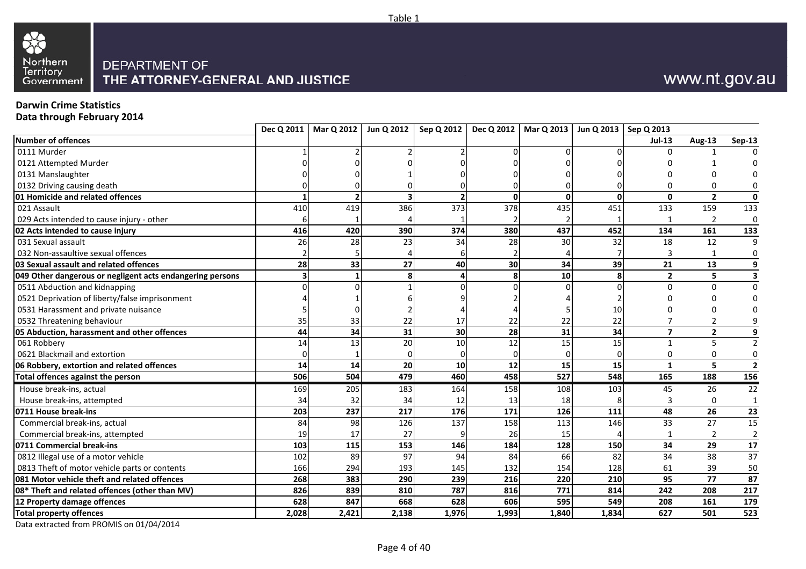

#### **Darwin Crime Statistics**

**Data through February 2014**

|                                                           |       |                          | Dec Q 2011   Mar Q 2012   Jun Q 2012 | Sep Q 2012      |                 | Dec Q 2012   Mar Q 2013   Jun Q 2013   Sep Q 2013 |              |                         |                         |                  |
|-----------------------------------------------------------|-------|--------------------------|--------------------------------------|-----------------|-----------------|---------------------------------------------------|--------------|-------------------------|-------------------------|------------------|
| Number of offences                                        |       |                          |                                      |                 |                 |                                                   |              | <b>Jul-13</b>           | <b>Aug-13</b>           | <b>Sep-13</b>    |
| 0111 Murder                                               |       |                          |                                      |                 |                 |                                                   |              |                         |                         |                  |
| 0121 Attempted Murder                                     |       |                          |                                      |                 |                 |                                                   |              |                         |                         |                  |
| 0131 Manslaughter                                         |       |                          |                                      |                 |                 |                                                   |              |                         |                         | 0                |
| 0132 Driving causing death                                |       |                          |                                      |                 |                 |                                                   |              |                         | $\Omega$                | 0                |
| 01 Homicide and related offences                          |       | $\overline{\phantom{a}}$ |                                      |                 | $\Omega$        | $\Omega$                                          | $\mathbf{0}$ | $\mathbf{0}$            | $\overline{\mathbf{2}}$ | $\mathbf 0$      |
| 021 Assault                                               | 410   | 419                      | 386                                  | 373             | 378             | 435                                               | 451          | 133                     | 159                     | 133              |
| 029 Acts intended to cause injury - other                 |       |                          |                                      |                 |                 |                                                   |              |                         | $\overline{2}$          | 0                |
| 02 Acts intended to cause injury                          | 416   | 420                      | 390                                  | 374             | 380             | 437                                               | 452          | 134                     | 161                     | 133              |
| 031 Sexual assault                                        | 26    | 28                       | 23                                   | 34              | 28              | 30                                                | 32           | 18                      | 12                      | 9                |
| 032 Non-assaultive sexual offences                        |       |                          |                                      |                 |                 |                                                   |              |                         | 1                       | 0                |
| 03 Sexual assault and related offences                    | 28    | 33                       | 27                                   | 40              | 30 <sup>1</sup> | 34                                                | 39           | 21                      | 13                      | $\boldsymbol{9}$ |
| 049 Other dangerous or negligent acts endangering persons |       |                          |                                      |                 | 8               | 10                                                | 8            | $\overline{2}$          | 5                       | 3                |
| 0511 Abduction and kidnapping                             |       |                          |                                      |                 |                 |                                                   | $\Omega$     | $\Omega$                | $\Omega$                | $\mathbf 0$      |
| 0521 Deprivation of liberty/false imprisonment            |       |                          |                                      |                 |                 |                                                   |              |                         |                         | 0                |
| 0531 Harassment and private nuisance                      |       |                          |                                      |                 |                 |                                                   | 10           |                         |                         |                  |
| 0532 Threatening behaviour                                | 35    | 33                       | 22                                   | 17              | 22              | 22                                                | 22           |                         | $\overline{2}$          |                  |
| 05 Abduction, harassment and other offences               | 44    | 34                       | 31                                   | 30 <sub>1</sub> | 28              | 31                                                | 34           | $\overline{\mathbf{z}}$ | $\overline{2}$          | 9                |
| 061 Robbery                                               | 14    | 13                       | 20                                   | 10              | 12              | 15                                                | 15           | $\mathbf{1}$            | 5                       | $\overline{2}$   |
| 0621 Blackmail and extortion                              |       |                          |                                      |                 | $\Omega$        |                                                   | $\Omega$     | 0                       | 0                       | $\pmb{0}$        |
| 06 Robbery, extortion and related offences                | 14    | 14                       | 20                                   | 10              | 12              | 15                                                | 15           | $\mathbf{1}$            | 5                       | $\overline{2}$   |
| Total offences against the person                         | 506   | 504                      | 479                                  | 460             | 458             | 527                                               | 548          | 165                     | 188                     | 156              |
| House break-ins, actual                                   | 169   | 205                      | 183                                  | 164             | 158             | 108                                               | 103          | 45                      | 26                      | 22               |
| House break-ins, attempted                                | 34    | 32                       | 34                                   | 12              | 13              | 18                                                |              |                         | $\Omega$                | $\mathbf{1}$     |
| 0711 House break-ins                                      | 203   | 237                      | $\overline{217}$                     | 176             | 171             | 126                                               | 111          | 48                      | $\overline{26}$         | 23               |
| Commercial break-ins, actual                              | 84    | 98                       | 126                                  | 137             | 158             | 113                                               | 146          | 33                      | 27                      | 15               |
| Commercial break-ins, attempted                           | 19    | 17                       | 27                                   |                 | 26              | 15                                                |              | -1                      | 2                       | $\overline{2}$   |
| 0711 Commercial break-ins                                 | 103   | 115                      | 153                                  | 146             | 184             | 128                                               | 150          | 34                      | 29                      | ${\bf 17}$       |
| 0812 Illegal use of a motor vehicle                       | 102   | 89                       | 97                                   | 94              | 84              | 66                                                | 82           | 34                      | 38                      | $\overline{37}$  |
| 0813 Theft of motor vehicle parts or contents             | 166   | 294                      | 193                                  | 145             | 132             | 154                                               | 128          | 61                      | 39                      | 50               |
| 081 Motor vehicle theft and related offences              | 268   | 383                      | 290                                  | 239             | 216             | 220                                               | 210          | 95                      | 77                      | 87               |
| 08* Theft and related offences (other than MV)            | 826   | 839                      | 810                                  | 787             | 816             | 771                                               | 814          | 242                     | 208                     | 217              |
| 12 Property damage offences                               | 628   | 847                      | 668                                  | 628             | 606             | 595                                               | 549          | 208                     | 161                     | 179              |
| <b>Total property offences</b>                            | 2,028 | 2,421                    | 2,138                                | 1,976           | 1,993           | 1,840                                             | 1,834        | 627                     | 501                     | 523              |

Table 1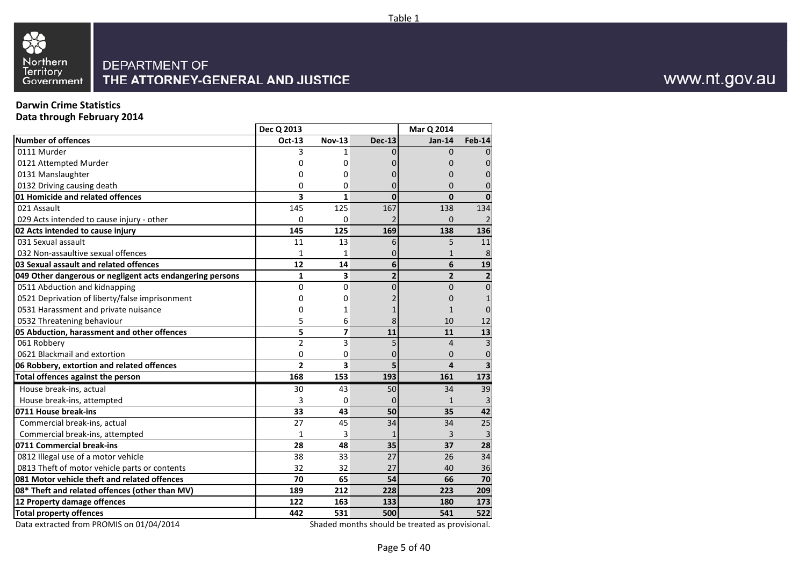



### **Darwin Crime Statistics**

**Data through February 2014**

|                                                           | Dec Q 2013     |                         |                | <b>Mar Q 2014</b> |                         |
|-----------------------------------------------------------|----------------|-------------------------|----------------|-------------------|-------------------------|
| <b>Number of offences</b>                                 | Oct-13         | <b>Nov-13</b>           | <b>Dec-13</b>  | <b>Jan-14</b>     | <b>Feb-14</b>           |
| 0111 Murder                                               | 3              | 1                       |                | $\Omega$          | 0                       |
| 0121 Attempted Murder                                     | 0              | 0                       |                | 0                 | 0                       |
| 0131 Manslaughter                                         | 0              | 0                       |                | 0                 | $\overline{0}$          |
| 0132 Driving causing death                                | 0              | 0                       | 0              | $\Omega$          | $\overline{0}$          |
| 01 Homicide and related offences                          | 3              | $\mathbf{1}$            | $\mathbf{0}$   | $\mathbf{0}$      | $\mathbf{0}$            |
| 021 Assault                                               | 145            | 125                     | 167            | 138               | 134                     |
| 029 Acts intended to cause injury - other                 | 0              | 0                       |                | $\overline{0}$    | $\overline{2}$          |
| 02 Acts intended to cause injury                          | 145            | 125                     | 169            | 138               | 136                     |
| 031 Sexual assault                                        | 11             | 13                      | 6              | 5                 | 11                      |
| 032 Non-assaultive sexual offences                        | $\mathbf{1}$   | 1                       |                | $\mathbf{1}$      | 8                       |
| 03 Sexual assault and related offences                    | 12             | 14                      | 6              | 6                 | 19                      |
| 049 Other dangerous or negligent acts endangering persons | $\mathbf{1}$   | 3                       | $\overline{2}$ | $\overline{2}$    | $\overline{\mathbf{2}}$ |
| 0511 Abduction and kidnapping                             | 0              | 0                       | 0              | $\overline{0}$    | $\overline{0}$          |
| 0521 Deprivation of liberty/false imprisonment            | 0              | 0                       |                | $\overline{0}$    | $\mathbf{1}$            |
| 0531 Harassment and private nuisance                      | 0              | 1                       |                | 1                 | $\overline{0}$          |
| 0532 Threatening behaviour                                | 5              | 6                       | 8              | 10                | 12                      |
| 05 Abduction, harassment and other offences               | 5              | 7                       | 11             | 11                | 13                      |
| 061 Robberv                                               | $\overline{2}$ | 3                       | 5              | $\overline{4}$    | $\overline{3}$          |
| 0621 Blackmail and extortion                              | 0              | 0                       | 0              | $\Omega$          | $\mathbf 0$             |
| 06 Robbery, extortion and related offences                | $\overline{2}$ | $\overline{\mathbf{3}}$ | 5              | $\overline{a}$    | $\overline{\mathbf{3}}$ |
| Total offences against the person                         | 168            | 153                     | 193            | 161               | 173                     |
| House break-ins, actual                                   | 30             | 43                      | 50             | 34                | 39                      |
| House break-ins, attempted                                | 3              | 0                       | $\Omega$       | $\mathbf{1}$      | 3                       |
| 0711 House break-ins                                      | 33             | 43                      | 50             | 35                | 42                      |
| Commercial break-ins, actual                              | 27             | 45                      | 34             | 34                | 25                      |
| Commercial break-ins, attempted                           | 1              | 3                       |                | 3                 | 3                       |
| 0711 Commercial break-ins                                 | 28             | 48                      | 35             | 37                | 28                      |
| 0812 Illegal use of a motor vehicle                       | 38             | 33                      | 27             | 26                | 34                      |
| 0813 Theft of motor vehicle parts or contents             | 32             | 32                      | 27             | 40                | 36                      |
| 081 Motor vehicle theft and related offences              | 70             | 65                      | 54             | 66                | 70                      |
| 08* Theft and related offences (other than MV)            | 189            | 212                     | 228            | 223               | 209                     |
| 12 Property damage offences                               | 122            | 163                     | 133            | 180               | 173                     |
| <b>Total property offences</b>                            | 442            | 531                     | 500            | 541               | 522                     |
|                                                           |                | والمناد                 |                |                   |                         |

Data extracted from PROMIS on 01/04/2014

Shaded months should be treated as provisional.

www.nt.gov.au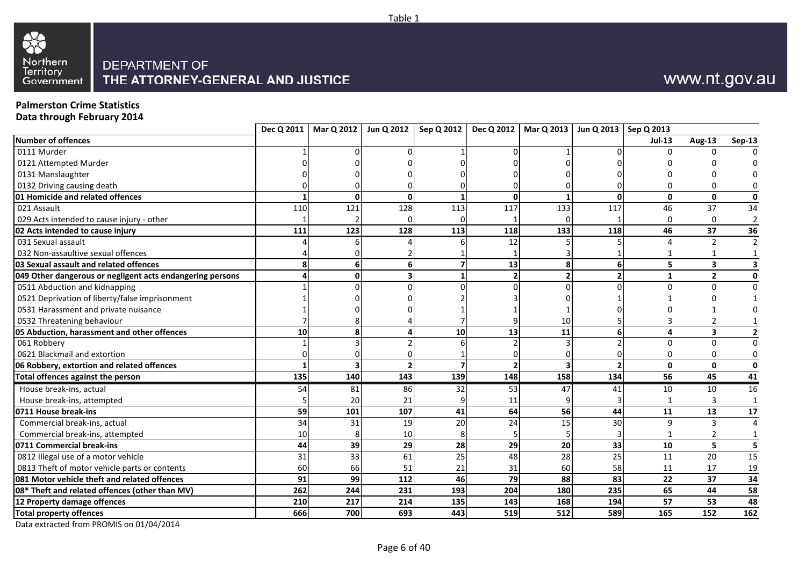



## **Palmerston Crime Statistics**

**Data through February 2014**

|                                                           |     |     | Dec Q 2011   Mar Q 2012   Jun Q 2012 |     | Sep Q 2012   Dec Q 2012   Mar Q 2013   Jun Q 2013   Sep Q 2013 |     |                |              |                         |                         |
|-----------------------------------------------------------|-----|-----|--------------------------------------|-----|----------------------------------------------------------------|-----|----------------|--------------|-------------------------|-------------------------|
| <b>Number of offences</b>                                 |     |     |                                      |     |                                                                |     |                | $Jul-13$     | <b>Aug-13</b>           | <b>Sep-13</b>           |
| 0111 Murder                                               |     |     |                                      |     |                                                                |     |                | U            |                         |                         |
| 0121 Attempted Murder                                     |     |     |                                      |     |                                                                |     |                |              |                         |                         |
| 0131 Manslaughter                                         |     |     |                                      |     |                                                                |     |                |              |                         |                         |
| 0132 Driving causing death                                |     |     |                                      |     |                                                                |     |                |              | $\Omega$                |                         |
| 01 Homicide and related offences                          |     | O   | O                                    |     | $\Omega$                                                       |     | $\mathbf{0}$   | $\mathbf{0}$ | $\mathbf 0$             | $\mathbf 0$             |
| 021 Assault                                               | 110 | 121 | 128                                  | 113 | 117                                                            | 133 | 117            | 46           | 37                      | 34                      |
| 029 Acts intended to cause injury - other                 |     |     |                                      |     |                                                                |     |                | $\Omega$     | 0                       | $\overline{2}$          |
| 02 Acts intended to cause injury                          | 111 | 123 | 128                                  | 113 | 118                                                            | 133 | 118            | 46           | 37                      | 36                      |
| 031 Sexual assault                                        |     |     |                                      |     | 12                                                             |     |                | 4            | $\overline{2}$          | $\mathcal{I}$           |
| 032 Non-assaultive sexual offences                        |     |     |                                      |     |                                                                |     |                |              | $\mathbf{1}$            |                         |
| 03 Sexual assault and related offences                    |     | 6   |                                      |     | 13                                                             | 8   | 6              | 5            | $\overline{\mathbf{3}}$ |                         |
| 049 Other dangerous or negligent acts endangering persons |     | U   |                                      |     |                                                                |     | $\overline{2}$ | 1            | $\mathbf{2}$            | 0                       |
| 0511 Abduction and kidnapping                             |     |     |                                      |     |                                                                |     |                | $\Omega$     | $\Omega$                | $\Omega$                |
| 0521 Deprivation of liberty/false imprisonment            |     |     |                                      |     |                                                                |     |                |              |                         |                         |
| 0531 Harassment and private nuisance                      |     |     |                                      |     |                                                                |     |                |              |                         |                         |
| 0532 Threatening behaviour                                |     |     |                                      |     |                                                                | 10  |                |              | 2                       |                         |
| 05 Abduction, harassment and other offences               | 10  | 8   |                                      | 10  | 13                                                             | 11  | 6              | 4            | 3                       | $\overline{\mathbf{z}}$ |
| 061 Robbery                                               |     |     |                                      |     |                                                                |     |                | $\Omega$     | $\Omega$                |                         |
| 0621 Blackmail and extortion                              |     |     |                                      |     |                                                                |     |                | $\Omega$     | 0                       |                         |
| 06 Robbery, extortion and related offences                |     |     |                                      |     |                                                                |     | $\overline{2}$ | $\mathbf{0}$ | $\mathbf{0}$            | $\mathbf 0$             |
| Total offences against the person                         | 135 | 140 | 143                                  | 139 | 148                                                            | 158 | 134            | 56           | 45                      | 41                      |
| House break-ins, actual                                   | 54  | 81  | 86                                   | 32  | 53                                                             | 47  | 41             | 10           | 10                      | 16                      |
| House break-ins, attempted                                |     | 20  | 21                                   |     | 11                                                             |     |                |              | 3                       | $\mathbf{1}$            |
| 0711 House break-ins                                      | 59  | 101 | 107                                  | 41  | 64                                                             | 56  | 44             | 11           | 13                      | $17\,$                  |
| Commercial break-ins, actual                              | 34  | 31  | 19                                   | 20  | 24                                                             | 15  | 30             | 9            | 3                       |                         |
| Commercial break-ins, attempted                           | 10  |     | 10                                   |     |                                                                |     |                |              | 2                       |                         |
| 0711 Commercial break-ins                                 | 44  | 39  | 29                                   | 28  | 29                                                             | 20  | 33             | 10           | 5                       | 5                       |
| 0812 Illegal use of a motor vehicle                       | 31  | 33  | 61                                   | 25  | 48                                                             | 28  | 25             | 11           | 20                      | 15                      |
| 0813 Theft of motor vehicle parts or contents             | 60  | 66  | 51                                   | 21  | 31                                                             | 60  | 58             | 11           | 17                      | 19                      |
| 081 Motor vehicle theft and related offences              | 91  | 99  | 112                                  | 46  | 79                                                             | 88  | 83             | 22           | 37                      | 34                      |
| 08* Theft and related offences (other than MV)            | 262 | 244 | 231                                  | 193 | 204                                                            | 180 | 235            | 65           | 44                      | 58                      |
| 12 Property damage offences                               | 210 | 217 | 214                                  | 135 | 143                                                            | 168 | 194            | 57           | 53                      | 48                      |
| <b>Total property offences</b>                            | 666 | 700 | 693                                  | 443 | 519                                                            | 512 | 589            | 165          | 152                     | 162                     |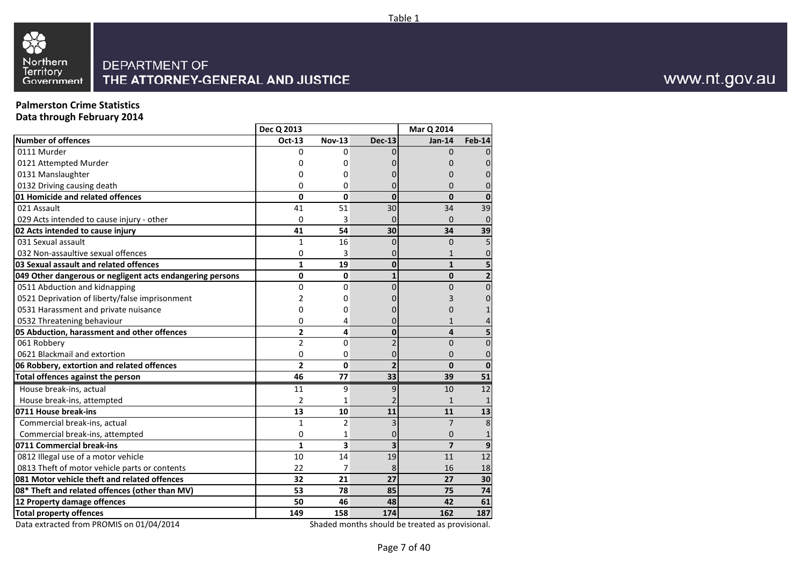

## **Palmerston Crime Statistics**

**Data through February 2014**

|                                                           | Dec Q 2013     |                |                | <b>Mar Q 2014</b>       |                |
|-----------------------------------------------------------|----------------|----------------|----------------|-------------------------|----------------|
| <b>Number of offences</b>                                 | Oct-13         | <b>Nov-13</b>  | <b>Dec-13</b>  | <b>Jan-14</b>           | <b>Feb-14</b>  |
| 0111 Murder                                               | 0              | 0              |                | $\Omega$                | $\Omega$       |
| 0121 Attempted Murder                                     | 0              | 0              |                |                         | 0              |
| 0131 Manslaughter                                         | 0              | 0              |                | 0                       | 0              |
| 0132 Driving causing death                                | 0              | 0              | 0              | 0                       | 0              |
| 01 Homicide and related offences                          | 0              | 0              | $\mathbf{0}$   | $\Omega$                | $\mathbf{0}$   |
| 021 Assault                                               | 41             | 51             | 30             | 34                      | 39             |
| 029 Acts intended to cause injury - other                 | 0              | 3              | $\Omega$       | $\Omega$                | $\mathbf 0$    |
| 02 Acts intended to cause injury                          | 41             | 54             | 30             | 34                      | 39             |
| 031 Sexual assault                                        | $\mathbf{1}$   | 16             | $\Omega$       | $\Omega$                | 5              |
| 032 Non-assaultive sexual offences                        | 0              | 3              | 0              | $\mathbf{1}$            | $\mathbf 0$    |
| 03 Sexual assault and related offences                    | $\mathbf{1}$   | 19             | $\mathbf{0}$   | $\mathbf{1}$            | 5              |
| 049 Other dangerous or negligent acts endangering persons | 0              | 0              | $\mathbf{1}$   | $\mathbf 0$             | $\overline{2}$ |
| 0511 Abduction and kidnapping                             | 0              | $\Omega$       | $\Omega$       | $\Omega$                | $\mathbf 0$    |
| 0521 Deprivation of liberty/false imprisonment            | 2              | 0              |                | 3                       | $\mathbf 0$    |
| 0531 Harassment and private nuisance                      | 0              | 0              | 0              | 0                       | $\mathbf{1}$   |
| 0532 Threatening behaviour                                | 0              | 4              | 0              | $\mathbf{1}$            | 4              |
| 05 Abduction, harassment and other offences               | $\overline{2}$ | 4              | $\mathbf{0}$   | $\overline{\mathbf{4}}$ | 5              |
| 061 Robbery                                               | $\overline{2}$ | $\mathbf 0$    | $\overline{2}$ | $\overline{0}$          | $\overline{0}$ |
| 0621 Blackmail and extortion                              | 0              | 0              | 0              | $\Omega$                | $\mathbf 0$    |
| 06 Robbery, extortion and related offences                | $\overline{2}$ | $\mathbf{0}$   | $\overline{2}$ | $\mathbf{0}$            | $\mathbf 0$    |
| <b>Total offences against the person</b>                  | 46             | 77             | 33             | 39                      | 51             |
| House break-ins, actual                                   | 11             | 9              | 9              | 10                      | 12             |
| House break-ins, attempted                                | $\overline{2}$ | 1              |                | $\mathbf{1}$            | $\mathbf{1}$   |
| 0711 House break-ins                                      | 13             | 10             | 11             | 11                      | 13             |
| Commercial break-ins, actual                              | $\mathbf{1}$   | $\overline{2}$ | 3              | $\overline{7}$          | 8              |
| Commercial break-ins, attempted                           | 0              | 1              | 0              | $\mathbf 0$             | 1              |
| 0711 Commercial break-ins                                 | $\mathbf{1}$   | 3              | 3              | $\overline{7}$          | 9              |
| 0812 Illegal use of a motor vehicle                       | 10             | 14             | 19             | 11                      | 12             |
| 0813 Theft of motor vehicle parts or contents             | 22             | 7              | 8              | 16                      | 18             |
| 081 Motor vehicle theft and related offences              | 32             | 21             | 27             | 27                      | 30             |
| 08* Theft and related offences (other than MV)            | 53             | 78             | 85             | 75                      | 74             |
| 12 Property damage offences                               | 50             | 46             | 48             | 42                      | 61             |
| <b>Total property offences</b>                            | 149            | 158            | 174            | 162                     | 187            |
|                                                           |                | $\overline{1}$ |                |                         | . L.           |

Data extracted from PROMIS on 01/04/2014

Shaded months should be treated as provisional.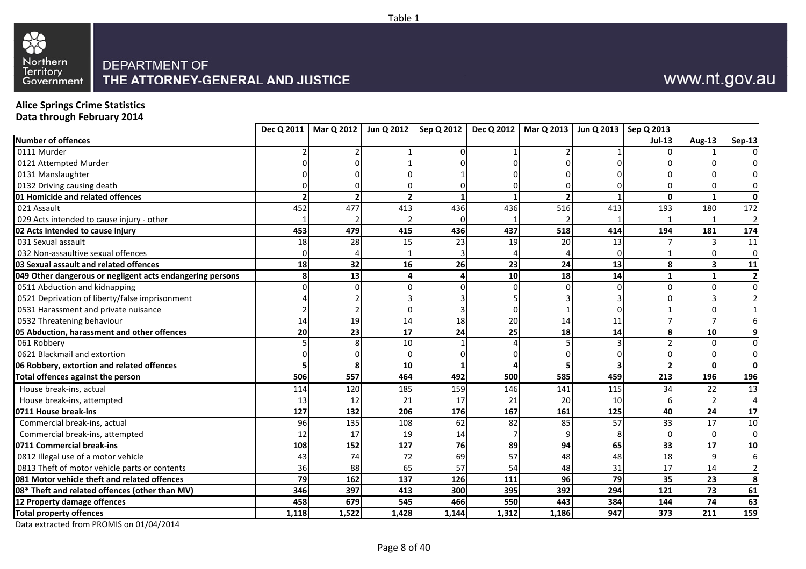



# **Alice Springs Crime Statistics Data through February 2014**

| <b>Number of offences</b><br>0111 Murder<br>0121 Attempted Murder<br>0131 Manslaughter<br>0132 Driving causing death | 452   | $\overline{2}$ |       |       |                 |       |                         | $Jul-13$<br>$\Omega$ | <b>Aug-13</b>           | <b>Sep-13</b>           |
|----------------------------------------------------------------------------------------------------------------------|-------|----------------|-------|-------|-----------------|-------|-------------------------|----------------------|-------------------------|-------------------------|
|                                                                                                                      |       |                |       |       |                 |       |                         |                      |                         |                         |
|                                                                                                                      |       |                |       |       |                 |       |                         |                      |                         |                         |
|                                                                                                                      |       |                |       |       |                 |       |                         |                      |                         |                         |
|                                                                                                                      |       |                |       |       |                 |       |                         |                      |                         |                         |
|                                                                                                                      |       |                |       |       |                 |       |                         |                      | $\Omega$                |                         |
| 01 Homicide and related offences                                                                                     |       |                |       |       |                 |       |                         | $\mathbf{0}$         | $\mathbf{1}$            | $\mathbf{0}$            |
| 021 Assault                                                                                                          |       | 477            | 413   | 436   | 436             | 516   | 413                     | 193                  | 180                     | 172                     |
| 029 Acts intended to cause injury - other                                                                            |       |                |       |       |                 |       |                         | $\mathbf{1}$         | 1                       | $\overline{2}$          |
| 02 Acts intended to cause injury                                                                                     | 453   | 479            | 415   | 436   | 437             | 518   | 414                     | 194                  | 181                     | 174                     |
| 031 Sexual assault                                                                                                   | 18    | 28             | 15    | 23    | 19              | 20    | 13                      |                      | 3                       | 11                      |
| 032 Non-assaultive sexual offences                                                                                   |       |                |       |       |                 |       |                         |                      | 0                       | 0                       |
| 03 Sexual assault and related offences                                                                               | 18    | 32             | 16    | 26    | 23              | 24    | 13                      | 8                    | $\overline{\mathbf{3}}$ | 11                      |
| 049 Other dangerous or negligent acts endangering persons                                                            |       | 13             |       |       | 10 <sup>1</sup> | 18    | 14                      | 1                    | $\mathbf{1}$            | $\overline{\mathbf{2}}$ |
| 0511 Abduction and kidnapping                                                                                        |       |                |       |       |                 |       | $\Omega$                | $\Omega$             | $\Omega$                | $\mathbf 0$             |
| 0521 Deprivation of liberty/false imprisonment                                                                       |       |                |       |       |                 |       |                         |                      |                         |                         |
| 0531 Harassment and private nuisance                                                                                 |       |                |       |       |                 |       |                         |                      |                         |                         |
| 0532 Threatening behaviour                                                                                           | 14    | 19             | 14    | 18    | 20              | 14    | 11                      |                      | 7                       |                         |
| 05 Abduction, harassment and other offences                                                                          | 20    | 23             | 17    | 24    | 25              | 18    | 14                      | 8                    | 10                      |                         |
| 061 Robbery                                                                                                          |       |                | 10    |       |                 |       |                         | $\overline{2}$       | $\Omega$                | $\Omega$                |
| 0621 Blackmail and extortion                                                                                         |       |                |       |       |                 |       |                         | 0                    | 0                       | 0                       |
| 06 Robbery, extortion and related offences                                                                           |       | $\mathbf{8}$   | 10    |       |                 |       | $\overline{\mathbf{3}}$ | $\overline{2}$       | $\mathbf 0$             | $\mathbf{0}$            |
| Total offences against the person                                                                                    | 506   | 557            | 464   | 492   | 500             | 585   | 459                     | 213                  | 196                     | 196                     |
| House break-ins, actual                                                                                              | 114   | 120            | 185   | 159   | 146             | 141   | 115                     | 34                   | 22                      | 13                      |
| House break-ins, attempted                                                                                           | 13    | 12             | 21    | 17    | 21              | 20    | 10                      | 6                    | $\overline{2}$          | 4                       |
| 0711 House break-ins                                                                                                 | 127   | 132            | 206   | 176   | 167             | 161   | 125                     | 40                   | 24                      | 17                      |
| Commercial break-ins, actual                                                                                         | 96    | 135            | 108   | 62    | 82              | 85    | 57                      | 33                   | $\overline{17}$         | 10                      |
| Commercial break-ins, attempted                                                                                      | 12    | 17             | 19    | 14    |                 |       | 8                       | 0                    | 0                       | $\pmb{0}$               |
| 0711 Commercial break-ins                                                                                            | 108   | 152            | 127   | 76    | 89              | 94    | 65                      | 33                   | 17                      | ${\bf 10}$              |
| 0812 Illegal use of a motor vehicle                                                                                  | 43    | 74             | 72    | 69    | 57              | 48    | 48                      | 18                   | 9                       | $6\,$                   |
| 0813 Theft of motor vehicle parts or contents                                                                        | 36    | 88             | 65    | 57    | 54              | 48    | 31                      | 17                   | 14                      | 2                       |
| 081 Motor vehicle theft and related offences                                                                         | 79    | 162            | 137   | 126   | 111             | 96    | 79                      | 35                   | 23                      | 8                       |
| 08* Theft and related offences (other than MV)                                                                       | 346   | 397            | 413   | 300   | 395             | 392   | 294                     | 121                  | 73                      | 61                      |
| 12 Property damage offences                                                                                          | 458   | 679            | 545   | 466   | 550             | 443   | 384                     | 144                  | 74                      | 63                      |
| <b>Total property offences</b>                                                                                       | 1,118 | 1,522          | 1,428 | 1,144 | 1,312           | 1,186 | 947                     | 373                  | 211                     | 159                     |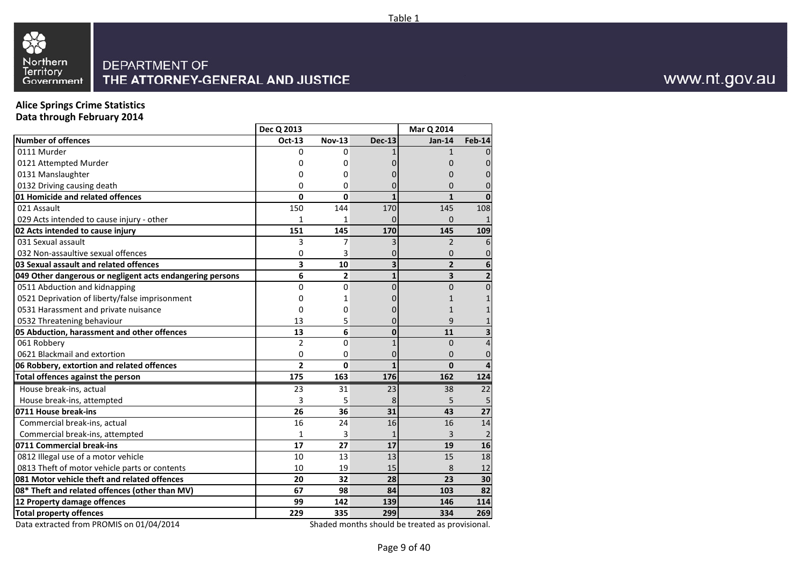

# **Alice Springs Crime Statistics Data through February 2014**

|                                                           | Dec Q 2013     |                |               | <b>Mar Q 2014</b>       |                |
|-----------------------------------------------------------|----------------|----------------|---------------|-------------------------|----------------|
| <b>Number of offences</b>                                 | Oct-13         | <b>Nov-13</b>  | <b>Dec-13</b> | $Jan-14$                | <b>Feb-14</b>  |
| 0111 Murder                                               | 0              | 0              |               | $\mathbf{1}$            | $\Omega$       |
| 0121 Attempted Murder                                     | 0              | 0              |               | 0                       | 0              |
| 0131 Manslaughter                                         | 0              | 0              | O             | 0                       | 0              |
| 0132 Driving causing death                                | 0              | 0              | 0             | 0                       | 0              |
| 01 Homicide and related offences                          | 0              | 0              | $\mathbf{1}$  | $\mathbf{1}$            | $\mathbf{0}$   |
| 021 Assault                                               | 150            | 144            | 170           | 145                     | 108            |
| 029 Acts intended to cause injury - other                 | 1              | 1              |               | $\Omega$                | $\mathbf{1}$   |
| 02 Acts intended to cause injury                          | 151            | 145            | 170           | 145                     | 109            |
| 031 Sexual assault                                        | 3              | 7              |               | $\overline{2}$          | 6              |
| 032 Non-assaultive sexual offences                        | 0              | 3              |               | $\Omega$                | $\mathbf 0$    |
| 03 Sexual assault and related offences                    | 3              | 10             | 3             | $\overline{2}$          | 6              |
| 049 Other dangerous or negligent acts endangering persons | 6              | $\overline{2}$ | $\mathbf{1}$  | $\overline{\mathbf{3}}$ | $\overline{2}$ |
| 0511 Abduction and kidnapping                             | 0              | 0              | $\Omega$      | $\Omega$                | $\mathbf 0$    |
| 0521 Deprivation of liberty/false imprisonment            | 0              | 1              |               |                         | $\mathbf{1}$   |
| 0531 Harassment and private nuisance                      | 0              | 0              | O             | 1                       | $\mathbf{1}$   |
| 0532 Threatening behaviour                                | 13             | 5              | 0             | 9                       | $\mathbf{1}$   |
| 05 Abduction, harassment and other offences               | 13             | 6              | $\mathbf{0}$  | 11                      | 3              |
| 061 Robbery                                               | $\overline{2}$ | 0              | $\mathbf{1}$  | $\mathbf 0$             | $\overline{4}$ |
| 0621 Blackmail and extortion                              | 0              | 0              | 0             | $\Omega$                | $\mathbf 0$    |
| 06 Robbery, extortion and related offences                | $\overline{2}$ | 0              | $\mathbf{1}$  | $\mathbf 0$             | $\overline{4}$ |
| Total offences against the person                         | 175            | 163            | 176           | 162                     | 124            |
| House break-ins, actual                                   | 23             | 31             | 23            | 38                      | 22             |
| House break-ins, attempted                                | 3              | 5              | 8             | 5                       | 5              |
| 0711 House break-ins                                      | 26             | 36             | 31            | 43                      | 27             |
| Commercial break-ins, actual                              | 16             | 24             | 16            | 16                      | 14             |
| Commercial break-ins, attempted                           | $\mathbf{1}$   | 3              | 1             | 3                       | $\overline{2}$ |
| 0711 Commercial break-ins                                 | 17             | 27             | 17            | 19                      | 16             |
| 0812 Illegal use of a motor vehicle                       | 10             | 13             | 13            | 15                      | 18             |
| 0813 Theft of motor vehicle parts or contents             | 10             | 19             | 15            | 8                       | 12             |
| 081 Motor vehicle theft and related offences              | 20             | 32             | 28            | 23                      | 30             |
| 08* Theft and related offences (other than MV)            | 67             | 98             | 84            | 103                     | 82             |
| 12 Property damage offences                               | 99             | 142            | 139           | 146                     | 114            |
| <b>Total property offences</b>                            | 229            | 335            | 299           | 334                     | 269            |
|                                                           |                |                |               |                         |                |

Data extracted from PROMIS on 01/04/2014

Shaded months should be treated as provisional.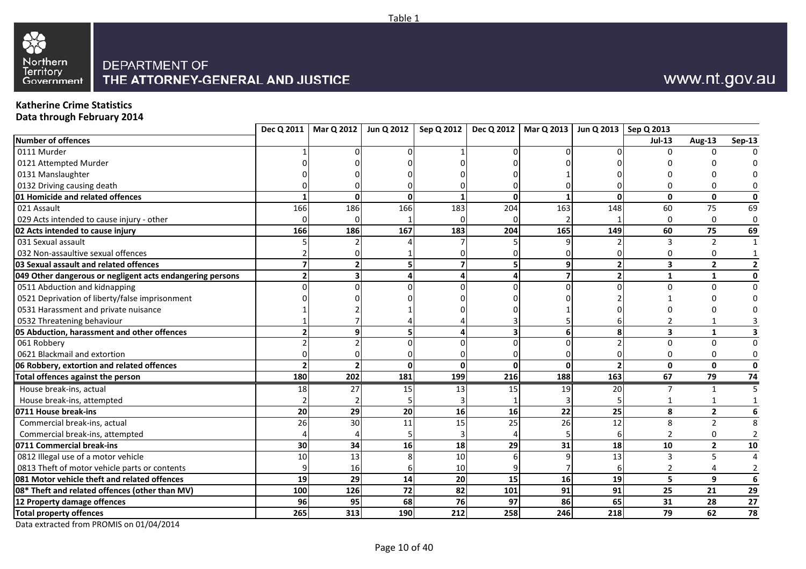



### **Katherine Crime Statistics**

**Data through February 2014**

| Number of offences<br><b>Jul-13</b><br><b>Aug-13</b><br>0111 Murder<br>U<br>0121 Attempted Murder<br>0131 Manslaughter<br>0132 Driving causing death<br>01 Homicide and related offences<br>$\mathbf{0}$<br>$\mathbf 0$<br>$\Omega$<br>ΩI<br>$\mathbf{0}$<br>$\Omega$<br>$\overline{75}$<br>163<br>148<br>021 Assault<br>166<br>186<br>166<br>183<br>204<br>60<br>029 Acts intended to cause injury - other<br>0<br>$\Omega$<br>75<br>186<br>167<br>204<br>165<br>149<br>60<br>02 Acts intended to cause injury<br>166<br>183<br>$\overline{2}$<br>031 Sexual assault<br>3<br>032 Non-assaultive sexual offences<br>0<br>0<br>03 Sexual assault and related offences<br>$\overline{\mathbf{3}}$<br>$\overline{2}$<br>$\overline{2}$<br>$\mathbf{2}$<br>q<br>049 Other dangerous or negligent acts endangering persons<br>$\overline{2}$<br>$\mathbf{1}$<br>$\mathbf{1}$<br>0511 Abduction and kidnapping<br>$\Omega$<br>$\Omega$<br>0521 Deprivation of liberty/false imprisonment<br>0531 Harassment and private nuisance<br>0532 Threatening behaviour<br>05 Abduction, harassment and other offences<br>8<br>$\overline{\mathbf{3}}$<br>$\mathbf{1}$<br>q <br>6<br>$\Omega$<br>061 Robbery<br>$\Omega$<br>0621 Blackmail and extortion<br>0<br>0<br>$\mathbf{0}$<br>$\overline{2}$<br>$\overline{2}$<br>06 Robbery, extortion and related offences<br>Οl<br>$\mathbf 0$<br>$\mathbf{0}$<br>202<br>188<br>163<br>67<br>180<br>181<br>199<br>216<br>79<br>Total offences against the person<br>House break-ins, actual<br>27<br>19<br>20<br>18<br>15<br>15<br>$\mathbf{1}$<br>13<br>House break-ins, attempted<br>22<br>$\mathbf{2}$<br>20<br>29<br>20<br>16<br>25<br>8<br>0711 House break-ins<br>16<br>26<br>12<br>Commercial break-ins, actual<br>26<br>30<br>25<br>8<br>$\overline{2}$<br>11<br>15<br>Commercial break-ins, attempted<br>0<br>$\overline{2}$<br>6<br>34<br>29<br>31<br>18<br>10<br>$\overline{2}$<br>0711 Commercial break-ins<br>30<br>16<br>18<br>0812 Illegal use of a motor vehicle<br>13<br>13<br>5<br>10<br>$\overline{3}$<br>10<br>0813 Theft of motor vehicle parts or contents<br>16<br>$\overline{a}$<br>10<br>4<br>6<br>081 Motor vehicle theft and related offences<br>29<br>5<br>9<br>19<br>14<br>20<br>15<br>16<br>19<br>100<br>126<br>72<br>82<br>91<br>91<br>25<br>21<br>08* Theft and related offences (other than MV)<br>101<br>96<br>95 |                             |  | Dec Q 2011   Mar Q 2012   Jun Q 2012 |    | Sep Q 2012   Dec Q 2012   Mar Q 2013   Jun Q 2013   Sep Q 2013 |    |    |    |    |                |
|---------------------------------------------------------------------------------------------------------------------------------------------------------------------------------------------------------------------------------------------------------------------------------------------------------------------------------------------------------------------------------------------------------------------------------------------------------------------------------------------------------------------------------------------------------------------------------------------------------------------------------------------------------------------------------------------------------------------------------------------------------------------------------------------------------------------------------------------------------------------------------------------------------------------------------------------------------------------------------------------------------------------------------------------------------------------------------------------------------------------------------------------------------------------------------------------------------------------------------------------------------------------------------------------------------------------------------------------------------------------------------------------------------------------------------------------------------------------------------------------------------------------------------------------------------------------------------------------------------------------------------------------------------------------------------------------------------------------------------------------------------------------------------------------------------------------------------------------------------------------------------------------------------------------------------------------------------------------------------------------------------------------------------------------------------------------------------------------------------------------------------------------------------------------------------------------------------------------------------------------------------------------------------------------------------------------------------------------------------------------------------|-----------------------------|--|--------------------------------------|----|----------------------------------------------------------------|----|----|----|----|----------------|
|                                                                                                                                                                                                                                                                                                                                                                                                                                                                                                                                                                                                                                                                                                                                                                                                                                                                                                                                                                                                                                                                                                                                                                                                                                                                                                                                                                                                                                                                                                                                                                                                                                                                                                                                                                                                                                                                                                                                                                                                                                                                                                                                                                                                                                                                                                                                                                                 |                             |  |                                      |    |                                                                |    |    |    |    | <b>Sep-13</b>  |
|                                                                                                                                                                                                                                                                                                                                                                                                                                                                                                                                                                                                                                                                                                                                                                                                                                                                                                                                                                                                                                                                                                                                                                                                                                                                                                                                                                                                                                                                                                                                                                                                                                                                                                                                                                                                                                                                                                                                                                                                                                                                                                                                                                                                                                                                                                                                                                                 |                             |  |                                      |    |                                                                |    |    |    |    |                |
|                                                                                                                                                                                                                                                                                                                                                                                                                                                                                                                                                                                                                                                                                                                                                                                                                                                                                                                                                                                                                                                                                                                                                                                                                                                                                                                                                                                                                                                                                                                                                                                                                                                                                                                                                                                                                                                                                                                                                                                                                                                                                                                                                                                                                                                                                                                                                                                 |                             |  |                                      |    |                                                                |    |    |    |    |                |
|                                                                                                                                                                                                                                                                                                                                                                                                                                                                                                                                                                                                                                                                                                                                                                                                                                                                                                                                                                                                                                                                                                                                                                                                                                                                                                                                                                                                                                                                                                                                                                                                                                                                                                                                                                                                                                                                                                                                                                                                                                                                                                                                                                                                                                                                                                                                                                                 |                             |  |                                      |    |                                                                |    |    |    |    |                |
|                                                                                                                                                                                                                                                                                                                                                                                                                                                                                                                                                                                                                                                                                                                                                                                                                                                                                                                                                                                                                                                                                                                                                                                                                                                                                                                                                                                                                                                                                                                                                                                                                                                                                                                                                                                                                                                                                                                                                                                                                                                                                                                                                                                                                                                                                                                                                                                 |                             |  |                                      |    |                                                                |    |    |    |    |                |
|                                                                                                                                                                                                                                                                                                                                                                                                                                                                                                                                                                                                                                                                                                                                                                                                                                                                                                                                                                                                                                                                                                                                                                                                                                                                                                                                                                                                                                                                                                                                                                                                                                                                                                                                                                                                                                                                                                                                                                                                                                                                                                                                                                                                                                                                                                                                                                                 |                             |  |                                      |    |                                                                |    |    |    |    | $\mathbf 0$    |
|                                                                                                                                                                                                                                                                                                                                                                                                                                                                                                                                                                                                                                                                                                                                                                                                                                                                                                                                                                                                                                                                                                                                                                                                                                                                                                                                                                                                                                                                                                                                                                                                                                                                                                                                                                                                                                                                                                                                                                                                                                                                                                                                                                                                                                                                                                                                                                                 |                             |  |                                      |    |                                                                |    |    |    |    | 69             |
|                                                                                                                                                                                                                                                                                                                                                                                                                                                                                                                                                                                                                                                                                                                                                                                                                                                                                                                                                                                                                                                                                                                                                                                                                                                                                                                                                                                                                                                                                                                                                                                                                                                                                                                                                                                                                                                                                                                                                                                                                                                                                                                                                                                                                                                                                                                                                                                 |                             |  |                                      |    |                                                                |    |    |    |    | 0              |
|                                                                                                                                                                                                                                                                                                                                                                                                                                                                                                                                                                                                                                                                                                                                                                                                                                                                                                                                                                                                                                                                                                                                                                                                                                                                                                                                                                                                                                                                                                                                                                                                                                                                                                                                                                                                                                                                                                                                                                                                                                                                                                                                                                                                                                                                                                                                                                                 |                             |  |                                      |    |                                                                |    |    |    |    | 69             |
|                                                                                                                                                                                                                                                                                                                                                                                                                                                                                                                                                                                                                                                                                                                                                                                                                                                                                                                                                                                                                                                                                                                                                                                                                                                                                                                                                                                                                                                                                                                                                                                                                                                                                                                                                                                                                                                                                                                                                                                                                                                                                                                                                                                                                                                                                                                                                                                 |                             |  |                                      |    |                                                                |    |    |    |    |                |
|                                                                                                                                                                                                                                                                                                                                                                                                                                                                                                                                                                                                                                                                                                                                                                                                                                                                                                                                                                                                                                                                                                                                                                                                                                                                                                                                                                                                                                                                                                                                                                                                                                                                                                                                                                                                                                                                                                                                                                                                                                                                                                                                                                                                                                                                                                                                                                                 |                             |  |                                      |    |                                                                |    |    |    |    |                |
|                                                                                                                                                                                                                                                                                                                                                                                                                                                                                                                                                                                                                                                                                                                                                                                                                                                                                                                                                                                                                                                                                                                                                                                                                                                                                                                                                                                                                                                                                                                                                                                                                                                                                                                                                                                                                                                                                                                                                                                                                                                                                                                                                                                                                                                                                                                                                                                 |                             |  |                                      |    |                                                                |    |    |    |    | 2              |
|                                                                                                                                                                                                                                                                                                                                                                                                                                                                                                                                                                                                                                                                                                                                                                                                                                                                                                                                                                                                                                                                                                                                                                                                                                                                                                                                                                                                                                                                                                                                                                                                                                                                                                                                                                                                                                                                                                                                                                                                                                                                                                                                                                                                                                                                                                                                                                                 |                             |  |                                      |    |                                                                |    |    |    |    | 0              |
|                                                                                                                                                                                                                                                                                                                                                                                                                                                                                                                                                                                                                                                                                                                                                                                                                                                                                                                                                                                                                                                                                                                                                                                                                                                                                                                                                                                                                                                                                                                                                                                                                                                                                                                                                                                                                                                                                                                                                                                                                                                                                                                                                                                                                                                                                                                                                                                 |                             |  |                                      |    |                                                                |    |    |    |    |                |
|                                                                                                                                                                                                                                                                                                                                                                                                                                                                                                                                                                                                                                                                                                                                                                                                                                                                                                                                                                                                                                                                                                                                                                                                                                                                                                                                                                                                                                                                                                                                                                                                                                                                                                                                                                                                                                                                                                                                                                                                                                                                                                                                                                                                                                                                                                                                                                                 |                             |  |                                      |    |                                                                |    |    |    |    |                |
|                                                                                                                                                                                                                                                                                                                                                                                                                                                                                                                                                                                                                                                                                                                                                                                                                                                                                                                                                                                                                                                                                                                                                                                                                                                                                                                                                                                                                                                                                                                                                                                                                                                                                                                                                                                                                                                                                                                                                                                                                                                                                                                                                                                                                                                                                                                                                                                 |                             |  |                                      |    |                                                                |    |    |    |    |                |
|                                                                                                                                                                                                                                                                                                                                                                                                                                                                                                                                                                                                                                                                                                                                                                                                                                                                                                                                                                                                                                                                                                                                                                                                                                                                                                                                                                                                                                                                                                                                                                                                                                                                                                                                                                                                                                                                                                                                                                                                                                                                                                                                                                                                                                                                                                                                                                                 |                             |  |                                      |    |                                                                |    |    |    |    |                |
|                                                                                                                                                                                                                                                                                                                                                                                                                                                                                                                                                                                                                                                                                                                                                                                                                                                                                                                                                                                                                                                                                                                                                                                                                                                                                                                                                                                                                                                                                                                                                                                                                                                                                                                                                                                                                                                                                                                                                                                                                                                                                                                                                                                                                                                                                                                                                                                 |                             |  |                                      |    |                                                                |    |    |    |    |                |
|                                                                                                                                                                                                                                                                                                                                                                                                                                                                                                                                                                                                                                                                                                                                                                                                                                                                                                                                                                                                                                                                                                                                                                                                                                                                                                                                                                                                                                                                                                                                                                                                                                                                                                                                                                                                                                                                                                                                                                                                                                                                                                                                                                                                                                                                                                                                                                                 |                             |  |                                      |    |                                                                |    |    |    |    |                |
|                                                                                                                                                                                                                                                                                                                                                                                                                                                                                                                                                                                                                                                                                                                                                                                                                                                                                                                                                                                                                                                                                                                                                                                                                                                                                                                                                                                                                                                                                                                                                                                                                                                                                                                                                                                                                                                                                                                                                                                                                                                                                                                                                                                                                                                                                                                                                                                 |                             |  |                                      |    |                                                                |    |    |    |    |                |
|                                                                                                                                                                                                                                                                                                                                                                                                                                                                                                                                                                                                                                                                                                                                                                                                                                                                                                                                                                                                                                                                                                                                                                                                                                                                                                                                                                                                                                                                                                                                                                                                                                                                                                                                                                                                                                                                                                                                                                                                                                                                                                                                                                                                                                                                                                                                                                                 |                             |  |                                      |    |                                                                |    |    |    |    | $\mathbf 0$    |
|                                                                                                                                                                                                                                                                                                                                                                                                                                                                                                                                                                                                                                                                                                                                                                                                                                                                                                                                                                                                                                                                                                                                                                                                                                                                                                                                                                                                                                                                                                                                                                                                                                                                                                                                                                                                                                                                                                                                                                                                                                                                                                                                                                                                                                                                                                                                                                                 |                             |  |                                      |    |                                                                |    |    |    |    | 74             |
|                                                                                                                                                                                                                                                                                                                                                                                                                                                                                                                                                                                                                                                                                                                                                                                                                                                                                                                                                                                                                                                                                                                                                                                                                                                                                                                                                                                                                                                                                                                                                                                                                                                                                                                                                                                                                                                                                                                                                                                                                                                                                                                                                                                                                                                                                                                                                                                 |                             |  |                                      |    |                                                                |    |    |    |    |                |
|                                                                                                                                                                                                                                                                                                                                                                                                                                                                                                                                                                                                                                                                                                                                                                                                                                                                                                                                                                                                                                                                                                                                                                                                                                                                                                                                                                                                                                                                                                                                                                                                                                                                                                                                                                                                                                                                                                                                                                                                                                                                                                                                                                                                                                                                                                                                                                                 |                             |  |                                      |    |                                                                |    |    |    |    |                |
|                                                                                                                                                                                                                                                                                                                                                                                                                                                                                                                                                                                                                                                                                                                                                                                                                                                                                                                                                                                                                                                                                                                                                                                                                                                                                                                                                                                                                                                                                                                                                                                                                                                                                                                                                                                                                                                                                                                                                                                                                                                                                                                                                                                                                                                                                                                                                                                 |                             |  |                                      |    |                                                                |    |    |    |    | 6              |
|                                                                                                                                                                                                                                                                                                                                                                                                                                                                                                                                                                                                                                                                                                                                                                                                                                                                                                                                                                                                                                                                                                                                                                                                                                                                                                                                                                                                                                                                                                                                                                                                                                                                                                                                                                                                                                                                                                                                                                                                                                                                                                                                                                                                                                                                                                                                                                                 |                             |  |                                      |    |                                                                |    |    |    |    |                |
|                                                                                                                                                                                                                                                                                                                                                                                                                                                                                                                                                                                                                                                                                                                                                                                                                                                                                                                                                                                                                                                                                                                                                                                                                                                                                                                                                                                                                                                                                                                                                                                                                                                                                                                                                                                                                                                                                                                                                                                                                                                                                                                                                                                                                                                                                                                                                                                 |                             |  |                                      |    |                                                                |    |    |    |    |                |
|                                                                                                                                                                                                                                                                                                                                                                                                                                                                                                                                                                                                                                                                                                                                                                                                                                                                                                                                                                                                                                                                                                                                                                                                                                                                                                                                                                                                                                                                                                                                                                                                                                                                                                                                                                                                                                                                                                                                                                                                                                                                                                                                                                                                                                                                                                                                                                                 |                             |  |                                      |    |                                                                |    |    |    |    | 10             |
|                                                                                                                                                                                                                                                                                                                                                                                                                                                                                                                                                                                                                                                                                                                                                                                                                                                                                                                                                                                                                                                                                                                                                                                                                                                                                                                                                                                                                                                                                                                                                                                                                                                                                                                                                                                                                                                                                                                                                                                                                                                                                                                                                                                                                                                                                                                                                                                 |                             |  |                                      |    |                                                                |    |    |    |    | $\Delta$       |
|                                                                                                                                                                                                                                                                                                                                                                                                                                                                                                                                                                                                                                                                                                                                                                                                                                                                                                                                                                                                                                                                                                                                                                                                                                                                                                                                                                                                                                                                                                                                                                                                                                                                                                                                                                                                                                                                                                                                                                                                                                                                                                                                                                                                                                                                                                                                                                                 |                             |  |                                      |    |                                                                |    |    |    |    | $\overline{2}$ |
|                                                                                                                                                                                                                                                                                                                                                                                                                                                                                                                                                                                                                                                                                                                                                                                                                                                                                                                                                                                                                                                                                                                                                                                                                                                                                                                                                                                                                                                                                                                                                                                                                                                                                                                                                                                                                                                                                                                                                                                                                                                                                                                                                                                                                                                                                                                                                                                 |                             |  |                                      |    |                                                                |    |    |    |    | $6\phantom{1}$ |
|                                                                                                                                                                                                                                                                                                                                                                                                                                                                                                                                                                                                                                                                                                                                                                                                                                                                                                                                                                                                                                                                                                                                                                                                                                                                                                                                                                                                                                                                                                                                                                                                                                                                                                                                                                                                                                                                                                                                                                                                                                                                                                                                                                                                                                                                                                                                                                                 |                             |  |                                      |    |                                                                |    |    |    |    | 29             |
|                                                                                                                                                                                                                                                                                                                                                                                                                                                                                                                                                                                                                                                                                                                                                                                                                                                                                                                                                                                                                                                                                                                                                                                                                                                                                                                                                                                                                                                                                                                                                                                                                                                                                                                                                                                                                                                                                                                                                                                                                                                                                                                                                                                                                                                                                                                                                                                 | 12 Property damage offences |  | 68                                   | 76 | 97                                                             | 86 | 65 | 31 | 28 | 27             |
| 265<br>313<br>190<br>258<br>246<br>218<br>79<br>62<br><b>Total property offences</b><br>212                                                                                                                                                                                                                                                                                                                                                                                                                                                                                                                                                                                                                                                                                                                                                                                                                                                                                                                                                                                                                                                                                                                                                                                                                                                                                                                                                                                                                                                                                                                                                                                                                                                                                                                                                                                                                                                                                                                                                                                                                                                                                                                                                                                                                                                                                     |                             |  |                                      |    |                                                                |    |    |    |    | 78             |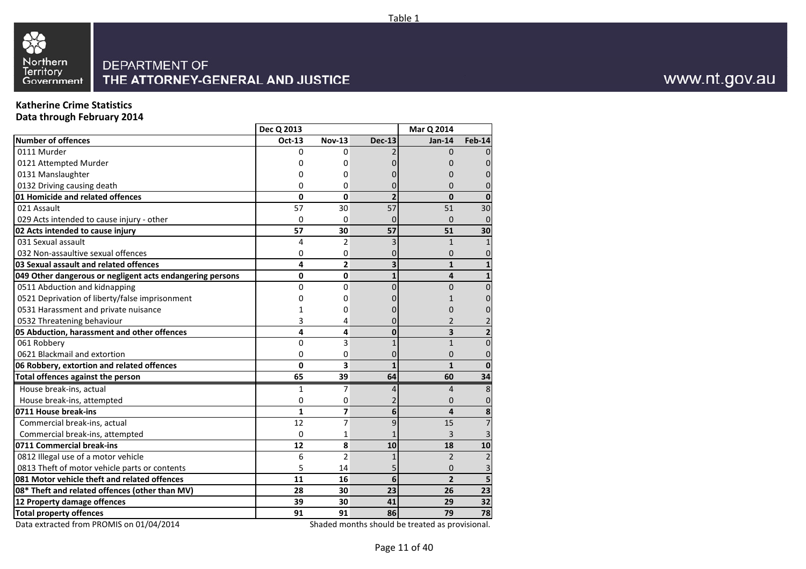

## **Katherine Crime Statistics**

**Data through February 2014**

|                                                           | Dec Q 2013   |                |                | Mar Q 2014     |                 |
|-----------------------------------------------------------|--------------|----------------|----------------|----------------|-----------------|
| <b>Number of offences</b>                                 | Oct-13       | <b>Nov-13</b>  | <b>Dec-13</b>  | $Jan-14$       | <b>Feb-14</b>   |
| 0111 Murder                                               | 0            | 0              |                | $\Omega$       | $\Omega$        |
| 0121 Attempted Murder                                     | 0            | 0              |                | 0              | $\mathbf{0}$    |
| 0131 Manslaughter                                         | Ω            | 0              |                | O              | 0               |
| 0132 Driving causing death                                | 0            | 0              | 0              | 0              | 0               |
| 01 Homicide and related offences                          | 0            | $\Omega$       | $\overline{2}$ | $\mathbf{0}$   | $\mathbf{0}$    |
| 021 Assault                                               | 57           | 30             | 57             | 51             | 30              |
| 029 Acts intended to cause injury - other                 | 0            | $\Omega$       | 0              | $\mathbf{0}$   | $\mathbf 0$     |
| 02 Acts intended to cause injury                          | 57           | 30             | 57             | 51             | 30              |
| 031 Sexual assault                                        | 4            | $\overline{2}$ | 3              | $\mathbf{1}$   | $\mathbf{1}$    |
| 032 Non-assaultive sexual offences                        | 0            | 0              | 0              | 0              | 0               |
| 03 Sexual assault and related offences                    | 4            | $\overline{2}$ | 3              | $\mathbf{1}$   | $\mathbf{1}$    |
| 049 Other dangerous or negligent acts endangering persons | 0            | 0              | $\mathbf{1}$   | 4              | $\mathbf{1}$    |
| 0511 Abduction and kidnapping                             | 0            | 0              | $\Omega$       | $\Omega$       | $\overline{0}$  |
| 0521 Deprivation of liberty/false imprisonment            | 0            | 0              |                |                | 0               |
| 0531 Harassment and private nuisance                      | 1            | 0              |                | 0              | 0               |
| 0532 Threatening behaviour                                | 3            | 4              |                | 2              | 2               |
| 05 Abduction, harassment and other offences               | 4            | 4              | $\mathbf{0}$   | 3              | $\overline{2}$  |
| 061 Robbery                                               | 0            | 3              | 1              | $\mathbf{1}$   | $\overline{0}$  |
| 0621 Blackmail and extortion                              | 0            | 0              | 0              | $\mathbf{0}$   | $\mathbf 0$     |
| 06 Robbery, extortion and related offences                | 0            | 3              | $\mathbf{1}$   | $\mathbf{1}$   | $\mathbf{0}$    |
| Total offences against the person                         | 65           | 39             | 64             | 60             | $\overline{34}$ |
| House break-ins, actual                                   | 1            | 7              | 4              | $\overline{4}$ | 8               |
| House break-ins, attempted                                | 0            | 0              |                | $\mathbf{0}$   | $\mathbf{0}$    |
| 0711 House break-ins                                      | $\mathbf{1}$ | 7              | 6              | 4              | 8               |
| Commercial break-ins, actual                              | 12           | $\overline{7}$ | 9              | 15             | $\overline{7}$  |
| Commercial break-ins, attempted                           | $\Omega$     | 1              |                | 3              | 3               |
| 0711 Commercial break-ins                                 | 12           | 8              | 10             | 18             | 10              |
| 0812 Illegal use of a motor vehicle                       | 6            | $\overline{2}$ | 1              | $\overline{2}$ | $\overline{2}$  |
| 0813 Theft of motor vehicle parts or contents             | 5            | 14             |                | $\mathbf{0}$   | 3               |
| 081 Motor vehicle theft and related offences              | 11           | 16             | 6              | $\overline{2}$ | 5               |
| 08* Theft and related offences (other than MV)            | 28           | 30             | 23             | 26             | 23              |
| 12 Property damage offences                               | 39           | 30             | 41             | 29             | 32              |
| <b>Total property offences</b>                            | 91           | 91             | 86             | 79             | 78              |
| $0.4$ $10.4$ $100$<br>$\sim$ $\sim$ $\sim$                |              |                |                |                |                 |

Data extracted from PROMIS on 01/04/2014

Shaded months should be treated as provisional.

Page 11 of 40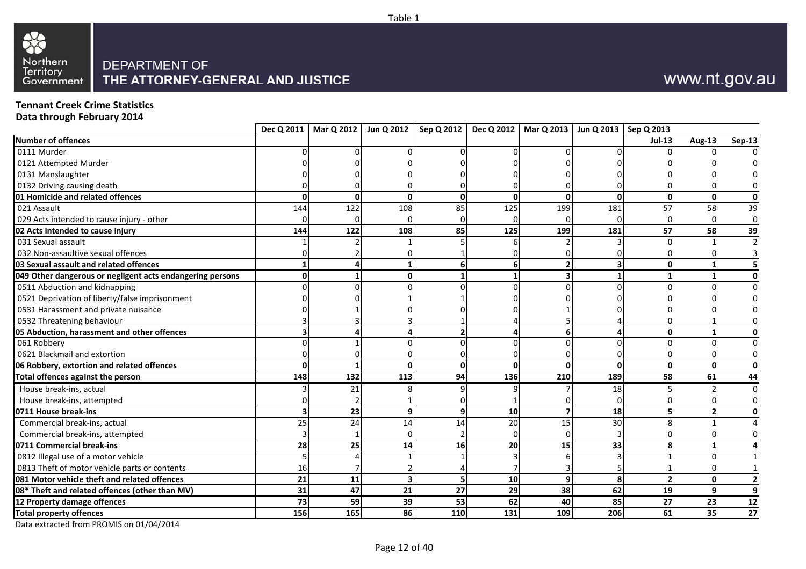



## **Tennant Creek Crime Statistics**

**Data through February 2014**

|                                                           |     |          | Dec Q 2011   Mar Q 2012   Jun Q 2012 |              | Sep Q 2012   Dec Q 2012   Mar Q 2013   Jun Q 2013   Sep Q 2013 |          |          |                |                |                  |
|-----------------------------------------------------------|-----|----------|--------------------------------------|--------------|----------------------------------------------------------------|----------|----------|----------------|----------------|------------------|
| Number of offences                                        |     |          |                                      |              |                                                                |          |          | <b>Jul-13</b>  | <b>Aug-13</b>  | Sep-13           |
| 0111 Murder                                               |     |          |                                      |              |                                                                |          |          |                |                |                  |
| 0121 Attempted Murder                                     |     |          |                                      |              |                                                                |          |          |                |                |                  |
| 0131 Manslaughter                                         |     |          |                                      |              |                                                                |          |          |                |                |                  |
| 0132 Driving causing death                                |     |          |                                      |              |                                                                |          |          |                | ∩              |                  |
| 01 Homicide and related offences                          | ŋ   | $\Omega$ | 0                                    | $\Omega$     |                                                                | $\Omega$ | $\Omega$ | $\mathbf{0}$   | $\mathbf 0$    | $\mathbf 0$      |
| 021 Assault                                               | 144 | 122      | 108                                  | 85           | 125                                                            | 199      | 181      | 57             | 58             | $\overline{39}$  |
| 029 Acts intended to cause injury - other                 |     |          |                                      |              |                                                                |          |          | $\Omega$       | $\mathbf 0$    | $\boldsymbol{0}$ |
| 02 Acts intended to cause injury                          | 144 | 122      | 108                                  | 85           | 125                                                            | 199      | 181      | 57             | 58             | 39               |
| 031 Sexual assault                                        |     |          |                                      |              |                                                                |          |          | $\mathbf 0$    | $\mathbf{1}$   | $\overline{2}$   |
| 032 Non-assaultive sexual offences                        |     |          |                                      |              |                                                                |          |          | 0              | 0              |                  |
| 03 Sexual assault and related offences                    |     |          |                                      | 6            |                                                                |          |          | $\mathbf{0}$   | $\mathbf{1}$   |                  |
| 049 Other dangerous or negligent acts endangering persons |     |          |                                      |              |                                                                |          |          | $\mathbf{1}$   | $\mathbf{1}$   | $\mathbf 0$      |
| 0511 Abduction and kidnapping                             |     |          |                                      |              |                                                                |          |          | $\Omega$       | $\Omega$       | $\mathbf 0$      |
| 0521 Deprivation of liberty/false imprisonment            |     |          |                                      |              |                                                                |          |          |                |                |                  |
| 0531 Harassment and private nuisance                      |     |          |                                      |              |                                                                |          |          |                |                |                  |
| 0532 Threatening behaviour                                |     |          |                                      |              |                                                                |          |          | $\Omega$       |                |                  |
| 05 Abduction, harassment and other offences               |     |          |                                      |              |                                                                |          |          | $\mathbf{0}$   | $\mathbf{1}$   | 0                |
| 061 Robbery                                               |     |          |                                      |              |                                                                |          |          | $\Omega$       | $\mathbf 0$    | $\mathbf 0$      |
| 0621 Blackmail and extortion                              |     |          |                                      |              |                                                                |          |          | $\Omega$       | $\mathbf 0$    | 0                |
| 06 Robbery, extortion and related offences                |     |          | <sup>0</sup>                         | $\mathbf{0}$ |                                                                |          | $\Omega$ | $\mathbf{0}$   | $\mathbf 0$    | $\mathbf 0$      |
| Total offences against the person                         | 148 | 132      | 113                                  | 94           | 136                                                            | 210      | 189      | 58             | 61             | 44               |
| House break-ins, actual                                   |     | 21       |                                      |              |                                                                |          | 18       |                | $\overline{2}$ | $\Omega$         |
| House break-ins, attempted                                |     |          |                                      |              |                                                                |          |          |                | $\Omega$       | 0                |
| 0711 House break-ins                                      |     | 23       | ٩l                                   | 9            | 10                                                             |          | 18       | 5              | $\overline{2}$ | 0                |
| Commercial break-ins, actual                              | 25  | 24       | 14                                   | 14           | 20                                                             | 15       | 30       | 8              | $\mathbf{1}$   | 4                |
| Commercial break-ins, attempted                           |     |          |                                      |              |                                                                |          |          | 0              | 0              | 0                |
| 0711 Commercial break-ins                                 | 28  | 25       | 14                                   | 16           | 20                                                             | 15       | 33       | 8              | $\mathbf{1}$   | 4                |
| 0812 Illegal use of a motor vehicle                       |     |          |                                      |              |                                                                |          |          | $\mathbf{1}$   | $\mathbf{0}$   | $\mathbf{1}$     |
| 0813 Theft of motor vehicle parts or contents             | 16  |          |                                      |              |                                                                |          |          | 1              | $\mathbf 0$    | $\mathbf{1}$     |
| 081 Motor vehicle theft and related offences              | 21  | 11       |                                      |              | 10                                                             | 9        | 8        | $\overline{2}$ | $\mathbf 0$    | $\mathbf{2}$     |
| 08* Theft and related offences (other than MV)            | 31  | 47       | 21                                   | 27           | 29                                                             | 38       | 62       | 19             | 9              | $\mathbf{9}$     |
| 12 Property damage offences                               | 73  | 59       | 39                                   | 53           | 62                                                             | 40       | 85       | 27             | 23             | 12               |
| <b>Total property offences</b>                            | 156 | 165      | 86                                   | 110          | 131                                                            | 109      | 206      | 61             | 35             | 27               |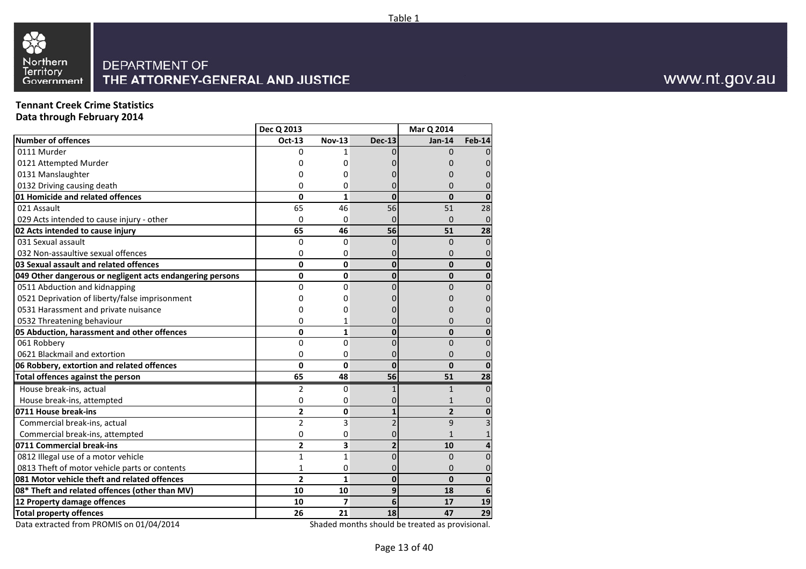

## **Tennant Creek Crime Statistics**

**Data through February 2014**

|                                                           | Dec Q 2013     |                    |                             | Mar Q 2014     |                |
|-----------------------------------------------------------|----------------|--------------------|-----------------------------|----------------|----------------|
| <b>Number of offences</b>                                 | Oct-13         | <b>Nov-13</b>      | <b>Dec-13</b>               | $Jan-14$       | <b>Feb-14</b>  |
| 0111 Murder                                               | 0              | 1                  |                             | $\Omega$       | $\Omega$       |
| 0121 Attempted Murder                                     | ი              | 0                  |                             | ი              | 0              |
| 0131 Manslaughter                                         | 0              | 0                  |                             | 0              | 0              |
| 0132 Driving causing death                                | 0              | 0                  | 0                           | $\Omega$       | 0              |
| 01 Homicide and related offences                          | $\mathbf 0$    | $\mathbf{1}$       | $\bf{0}$                    | $\mathbf{0}$   | $\mathbf{0}$   |
| 021 Assault                                               | 65             | 46                 | 56                          | 51             | 28             |
| 029 Acts intended to cause injury - other                 | $\Omega$       | 0                  | $\Omega$                    | $\Omega$       | $\mathbf{0}$   |
| 02 Acts intended to cause injury                          | 65             | 46                 | 56                          | 51             | 28             |
| 031 Sexual assault                                        | $\Omega$       | $\mathbf 0$        | $\Omega$                    | $\Omega$       | $\mathbf{0}$   |
| 032 Non-assaultive sexual offences                        | 0              | 0                  |                             | $\Omega$       | $\overline{0}$ |
| 03 Sexual assault and related offences                    | 0              | 0                  | $\mathbf{0}$                | $\mathbf{0}$   | $\bf{0}$       |
| 049 Other dangerous or negligent acts endangering persons | 0              | 0                  | $\Omega$                    | $\mathbf{0}$   | 0              |
| 0511 Abduction and kidnapping                             | 0              | $\mathbf 0$        | $\Omega$                    | $\overline{0}$ | $\mathbf{0}$   |
| 0521 Deprivation of liberty/false imprisonment            | 0              | 0                  | 0                           | O              | 0              |
| 0531 Harassment and private nuisance                      | ი              | 0                  | O                           | O              | 0              |
| 0532 Threatening behaviour                                | 0              | 1                  | 0                           | 0              | 0              |
| 05 Abduction, harassment and other offences               | $\mathbf 0$    | $\mathbf{1}$       | $\bf{0}$                    | $\mathbf{0}$   | $\mathbf{0}$   |
| 061 Robbery                                               | 0              | 0                  | $\overline{0}$              | $\overline{0}$ | $\overline{0}$ |
| 0621 Blackmail and extortion                              | 0              | 0                  |                             | $\mathbf{0}$   | $\mathbf 0$    |
| 06 Robbery, extortion and related offences                | $\mathbf{0}$   | 0                  | $\mathbf{0}$                | $\mathbf{0}$   | $\mathbf{0}$   |
| Total offences against the person                         | 65             | 48                 | 56                          | 51             | 28             |
| House break-ins, actual                                   | $\overline{2}$ | 0                  | $\mathbf{1}$                | $\mathbf{1}$   | $\mathbf 0$    |
| House break-ins, attempted                                | 0              | 0                  | 0                           | $\mathbf{1}$   | $\overline{0}$ |
| 0711 House break-ins                                      | 2              | 0                  | $\mathbf{1}$                | $\mathbf{2}$   | $\bf{0}$       |
| Commercial break-ins, actual                              | $\overline{2}$ | 3                  | $\overline{2}$              | 9              | 3              |
| Commercial break-ins, attempted                           | 0              | 0                  | 0                           | 1              |                |
| 0711 Commercial break-ins                                 | $\overline{2}$ | 3                  | $\overline{2}$              | 10             | 4              |
| 0812 Illegal use of a motor vehicle                       | 1              | $\mathbf{1}$       | $\Omega$                    | $\Omega$       | $\Omega$       |
| 0813 Theft of motor vehicle parts or contents             | 1              | 0                  | 0                           | 0              | 0              |
| 081 Motor vehicle theft and related offences              | $\overline{2}$ | $\mathbf{1}$       | $\mathbf{0}$                | $\mathbf{0}$   | 0              |
| 08* Theft and related offences (other than MV)            | 10             | 10                 | 9                           | 18             | 6              |
| 12 Property damage offences                               | 10             | $\overline{7}$     | 6                           | 17             | 19             |
| <b>Total property offences</b>                            | 26             | 21                 | 18                          | 47             | 29             |
| $\frac{1}{2}$                                             |                | والمتعاملات<br>CL. | ما الدان<br>مربول والمرابعة | د اد           |                |

Data extracted from PROMIS on 01/04/2014

Shaded months should be treated as provisional.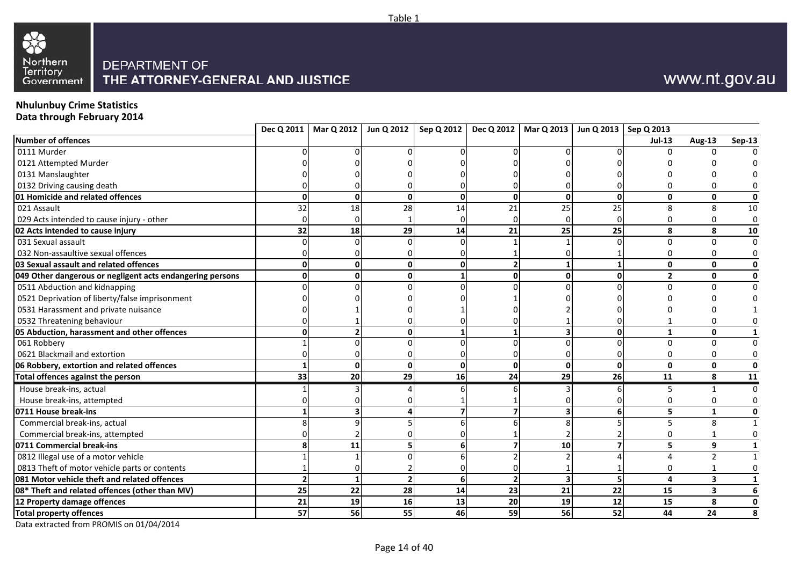



## **Nhulunbuy Crime Statistics**

**Data through February 2014**

|                                                           |    |              | Dec Q 2011   Mar Q 2012   Jun Q 2012 |              | Sep Q 2012   Dec Q 2012   Mar Q 2013   Jun Q 2013   Sep Q 2013 |                         |              |                |                         |                         |
|-----------------------------------------------------------|----|--------------|--------------------------------------|--------------|----------------------------------------------------------------|-------------------------|--------------|----------------|-------------------------|-------------------------|
| Number of offences                                        |    |              |                                      |              |                                                                |                         |              | <b>Jul-13</b>  | <b>Aug-13</b>           | <b>Sep-13</b>           |
| 0111 Murder                                               |    |              |                                      |              |                                                                |                         |              | 0              | U                       |                         |
| 0121 Attempted Murder                                     |    |              |                                      |              |                                                                |                         |              |                |                         |                         |
| 0131 Manslaughter                                         |    |              |                                      |              |                                                                |                         |              |                |                         |                         |
| 0132 Driving causing death                                |    |              |                                      |              |                                                                |                         |              |                | 0                       |                         |
| 01 Homicide and related offences                          | n  | $\Omega$     | 0                                    | $\Omega$     | $\Omega$                                                       | $\mathbf{0}$            | $\Omega$     | $\mathbf{0}$   | $\mathbf 0$             | $\pmb{0}$               |
| 021 Assault                                               | 32 | 18           | 28                                   | 14           | 21                                                             | 25                      | 25           | 8              | 8                       | 10                      |
| 029 Acts intended to cause injury - other                 |    | $\Omega$     |                                      |              |                                                                |                         |              | O              | $\mathbf 0$             | $\pmb{0}$               |
| 02 Acts intended to cause injury                          | 32 | 18           | 29                                   | 14           | 21                                                             | 25                      | 25           | 8              | 8                       | 10                      |
| 031 Sexual assault                                        |    |              |                                      |              |                                                                |                         |              | $\Omega$       | $\mathbf 0$             | $\Omega$                |
| 032 Non-assaultive sexual offences                        |    |              |                                      |              |                                                                |                         |              | $\Omega$       | 0                       | 0                       |
| <b>03 Sexual assault and related offences</b>             |    | U            |                                      |              |                                                                |                         |              | $\mathbf{0}$   | $\mathbf 0$             | $\mathbf 0$             |
| 049 Other dangerous or negligent acts endangering persons |    | U            |                                      |              |                                                                | 0                       | O            | $\overline{2}$ | $\mathbf 0$             | $\mathbf 0$             |
| 0511 Abduction and kidnapping                             |    |              |                                      |              |                                                                |                         |              | $\Omega$       | $\Omega$                | $\mathbf 0$             |
| 0521 Deprivation of liberty/false imprisonment            |    |              |                                      |              |                                                                |                         |              |                |                         |                         |
| 0531 Harassment and private nuisance                      |    |              |                                      |              |                                                                |                         |              |                |                         |                         |
| 0532 Threatening behaviour                                |    |              |                                      |              |                                                                |                         |              |                | $\Omega$                |                         |
| 05 Abduction, harassment and other offences               |    |              |                                      |              |                                                                |                         | $\bf{0}$     | $\mathbf{1}$   | $\mathbf{0}$            | 1                       |
| 061 Robbery                                               |    |              |                                      |              |                                                                |                         |              | $\Omega$       | $\mathbf 0$             | $\mathbf 0$             |
| 0621 Blackmail and extortion                              |    |              |                                      |              |                                                                |                         |              | 0              | $\mathbf 0$             | 0                       |
| 06 Robbery, extortion and related offences                |    | $\mathbf{0}$ | $\mathbf{0}$                         | $\mathbf{0}$ | 0                                                              | $\mathbf 0$             | $\mathbf{0}$ | $\mathbf{0}$   | $\mathbf{0}$            | $\mathbf 0$             |
| Total offences against the person                         | 33 | 20           | 29                                   | 16           | 24                                                             | 29                      | 26           | 11             | 8                       | $\frac{11}{1}$          |
| House break-ins, actual                                   |    |              |                                      |              |                                                                |                         |              | 5              | $\mathbf{1}$            | $\mathbf 0$             |
| House break-ins, attempted                                |    |              |                                      |              |                                                                |                         |              |                | 0                       |                         |
| 0711 House break-ins                                      |    |              |                                      |              |                                                                |                         |              | 5              | $\mathbf{1}$            | $\pmb{0}$               |
| Commercial break-ins, actual                              |    |              |                                      |              |                                                                |                         |              | 5              | 8                       | $\mathbf{1}$            |
| Commercial break-ins, attempted                           |    |              |                                      |              |                                                                |                         |              | U              | $\mathbf 1$             | 0                       |
| 0711 Commercial break-ins                                 |    | 11           |                                      | 6            |                                                                | 10                      |              | 5              | 9                       | $\mathbf{1}$            |
| 0812 Illegal use of a motor vehicle                       |    |              |                                      |              |                                                                |                         |              | Δ              | $\mathcal{P}$           | $\mathbf{1}$            |
| 0813 Theft of motor vehicle parts or contents             |    |              |                                      |              |                                                                |                         |              | 0              |                         | $\mathbf 0$             |
| 081 Motor vehicle theft and related offences              |    |              |                                      | 6            | $\overline{\phantom{a}}$                                       | $\overline{\mathbf{3}}$ | 5            | 4              | $\overline{\mathbf{3}}$ | $\mathbf{1}$            |
| 08* Theft and related offences (other than MV)            | 25 | 22           | 28                                   | 14           | 23                                                             | 21                      | 22           | 15             | $\overline{\mathbf{3}}$ | $\boldsymbol{6}$        |
| 12 Property damage offences                               | 21 | 19           | 16                                   | 13           | 20                                                             | $\overline{19}$         | 12           | 15             | $\overline{\mathbf{8}}$ | $\overline{\mathbf{0}}$ |
| Total property offences                                   | 57 | 56           | 55                                   | 46           | 59                                                             | 56                      | 52           | 44             | 24                      | 8                       |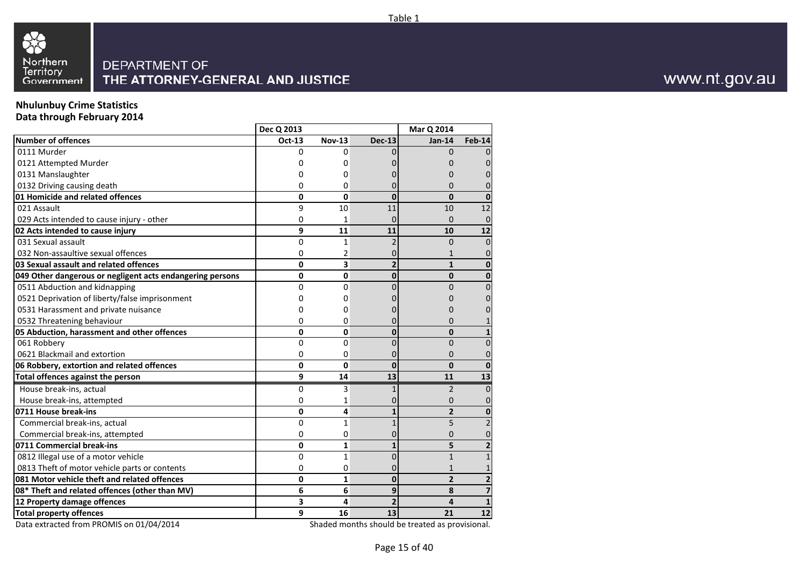



## **Nhulunbuy Crime Statistics**

**Data through February 2014**

|                                                           | Dec Q 2013   |               |                | Mar Q 2014     |                         |
|-----------------------------------------------------------|--------------|---------------|----------------|----------------|-------------------------|
| <b>Number of offences</b>                                 | Oct-13       | <b>Nov-13</b> | <b>Dec-13</b>  | $Jan-14$       | <b>Feb-14</b>           |
| 0111 Murder                                               | 0            | 0             |                | $\Omega$       | 0                       |
| 0121 Attempted Murder                                     |              | 0             |                |                | 0                       |
| 0131 Manslaughter                                         |              | 0             |                | 0              | $\Omega$                |
| 0132 Driving causing death                                | 0            | 0             |                | 0              | 0                       |
| 01 Homicide and related offences                          | 0            | 0             | $\bf{0}$       | $\mathbf{0}$   | 0                       |
| 021 Assault                                               | 9            | 10            | 11             | 10             | 12                      |
| 029 Acts intended to cause injury - other                 | 0            | 1             | $\Omega$       | 0              | $\mathbf 0$             |
| 02 Acts intended to cause injury                          | 9            | 11            | 11             | 10             | 12                      |
| 031 Sexual assault                                        | 0            | $\mathbf{1}$  | $\overline{2}$ | $\Omega$       | $\Omega$                |
| 032 Non-assaultive sexual offences                        | 0            | 2             |                | $\mathbf{1}$   | 0                       |
| 03 Sexual assault and related offences                    | 0            | 3             | $\overline{2}$ | $\mathbf{1}$   | $\mathbf{0}$            |
| 049 Other dangerous or negligent acts endangering persons | 0            | 0             | $\mathbf{0}$   | $\mathbf{0}$   | $\mathbf{0}$            |
| 0511 Abduction and kidnapping                             | 0            | 0             | 0              | 0              | $\Omega$                |
| 0521 Deprivation of liberty/false imprisonment            | ი            | 0             |                | O              | 0                       |
| 0531 Harassment and private nuisance                      | Ω            | 0             |                | O              | 0                       |
| 0532 Threatening behaviour                                | 0            | 0             | 0              | 0              | 1                       |
| 05 Abduction, harassment and other offences               | 0            | 0             | $\bf{0}$       | $\mathbf{0}$   | $\mathbf{1}$            |
| 061 Robberv                                               | 0            | 0             | 0              | $\overline{0}$ | 0                       |
| 0621 Blackmail and extortion                              | 0            | 0             | 0              | 0              | 0                       |
| 06 Robbery, extortion and related offences                | $\mathbf{0}$ | 0             | $\Omega$       | $\mathbf{0}$   | $\mathbf{0}$            |
| Total offences against the person                         | 9            | 14            | 13             | 11             | 13                      |
| House break-ins, actual                                   | 0            | 3             |                | $\overline{2}$ | $\mathbf{0}$            |
| House break-ins, attempted                                | 0            | 1             |                | 0              | 0                       |
| 0711 House break-ins                                      | 0            | 4             |                | $\overline{2}$ | $\mathbf{0}$            |
| Commercial break-ins, actual                              | 0            | 1             | $\overline{1}$ | 5              | $\overline{2}$          |
| Commercial break-ins, attempted                           | 0            | 0             | 0              | $\overline{0}$ | 0                       |
| 0711 Commercial break-ins                                 | 0            | $\mathbf{1}$  | 1              | 5              | $\overline{2}$          |
| 0812 Illegal use of a motor vehicle                       | 0            | $\mathbf{1}$  | 0              | $\mathbf{1}$   | $\mathbf{1}$            |
| 0813 Theft of motor vehicle parts or contents             | 0            | 0             | 0              | $\mathbf{1}$   | $\mathbf{1}$            |
| 081 Motor vehicle theft and related offences              | 0            | $\mathbf{1}$  | $\mathbf{0}$   | $\overline{2}$ | $\overline{\mathbf{2}}$ |
| 08* Theft and related offences (other than MV)            | 6            | 6             | 9              | 8              | $\overline{\mathbf{z}}$ |
| 12 Property damage offences                               | 3            | 4             | $\overline{2}$ | 4              | $\mathbf{1}$            |
| <b>Total property offences</b>                            | 9            | 16            | 13             | 21             | 12                      |
| $0.4$ $10.4$ $100$                                        |              |               |                |                |                         |

Data extracted from PROMIS on 01/04/2014

Shaded months should be treated as provisional.

www.nt.gov.au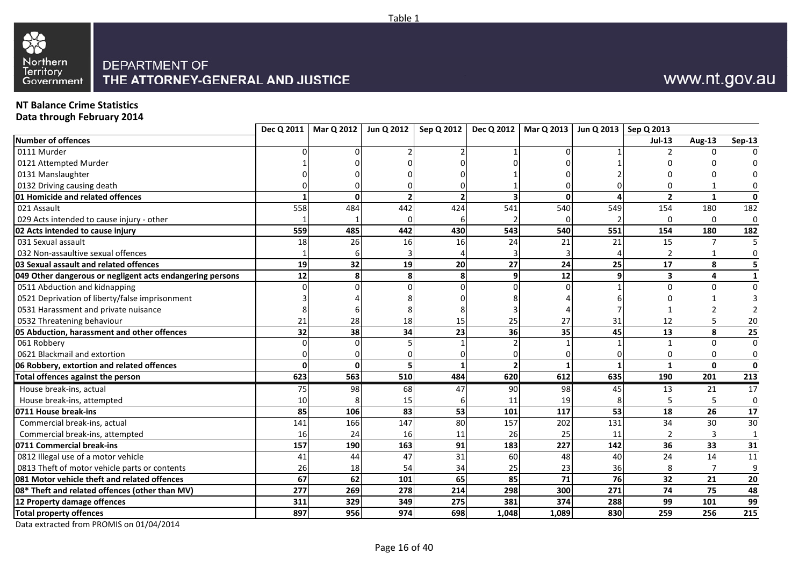

## **NT Balance Crime Statistics**

**Data through February 2014**

| Number of offences<br>Aug-13<br><b>Jul-13</b><br>0111 Murder<br>n<br>0121 Attempted Murder<br>0131 Manslaughter<br>0132 Driving causing death<br>01 Homicide and related offences<br>$\overline{2}$<br>$\mathbf{1}$<br>$\Omega$<br>$\Omega$<br>Δ<br>180<br>558<br>484<br>442<br>541<br>540<br>549<br>154<br>021 Assault<br>424<br>0<br>029 Acts intended to cause injury - other<br>$\Omega$<br>485<br>442<br>543<br>540<br>02 Acts intended to cause injury<br>559<br>430<br>551<br>154<br>180<br>031 Sexual assault<br>18<br>26<br>21<br>21<br>15<br>$\overline{7}$<br>16<br>24<br>16<br>032 Non-assaultive sexual offences<br>1<br>32<br>27<br>19<br>19<br>20<br>24<br>25<br>17<br>8<br>03 Sexual assault and related offences<br>12<br>12<br>$\overline{\mathbf{3}}$<br>$\overline{4}$<br>8<br>8<br>049 Other dangerous or negligent acts endangering persons<br>9<br>9<br>0511 Abduction and kidnapping<br>$\Omega$<br>$\Omega$<br>0521 Deprivation of liberty/false imprisonment<br>0531 Harassment and private nuisance<br>12<br>0532 Threatening behaviour<br>21<br>28<br>15<br>25<br>27<br>31<br>5<br>18<br>36<br>8<br>05 Abduction, harassment and other offences<br>32<br>38<br>23<br>35<br>45<br>13<br>34<br>$\mathbf{0}$<br>061 Robbery<br>$\mathbf 1$<br>0621 Blackmail and extortion<br>0<br>0<br>$\mathbf 0$<br>06 Robbery, extortion and related offences<br>$\Omega$<br>$\mathbf{1}$<br>$\mathbf{0}$<br>623<br>563<br>620<br>510<br>484<br>612<br>635<br>Total offences against the person<br>190<br>201<br>House break-ins, actual<br>75<br>98<br>68<br>47<br>90<br>98<br>45<br>13<br>21<br>19<br>5<br>House break-ins, attempted<br>10<br>11<br>15<br>6<br>106<br>83<br>53<br>101<br>117<br>53<br>26<br>85<br>18<br>0711 House break-ins<br>147<br>80<br>157<br>202<br>131<br>34<br>30<br>Commercial break-ins, actual<br>141<br>166<br>25<br>Commercial break-ins, attempted<br>24<br>26<br>3<br>16<br>16<br>11<br>11<br>227<br>36<br>157<br>190<br>163<br>91<br>183<br>142<br>33<br>0711 Commercial break-ins<br>0812 Illegal use of a motor vehicle<br>31<br>60<br>24<br>14<br>41<br>44<br>47<br>48<br>40<br>0813 Theft of motor vehicle parts or contents<br>26<br>18<br>54<br>34<br>25<br>23<br>36<br>7<br>8<br>62<br>85<br>081 Motor vehicle theft and related offences<br>67<br>65<br>71<br>76<br>32<br>21<br>101<br>08* Theft and related offences (other than MV)<br>298<br>300<br>75<br>277<br>269<br>278<br>214<br>271<br>74 |                             |     | Dec Q 2011   Mar Q 2012 | Jun Q 2012 | Sep Q 2012 |     | Dec Q 2012   Mar Q 2013   Jun Q 2013   Sep Q 2013 |     |    |     |                  |
|-------------------------------------------------------------------------------------------------------------------------------------------------------------------------------------------------------------------------------------------------------------------------------------------------------------------------------------------------------------------------------------------------------------------------------------------------------------------------------------------------------------------------------------------------------------------------------------------------------------------------------------------------------------------------------------------------------------------------------------------------------------------------------------------------------------------------------------------------------------------------------------------------------------------------------------------------------------------------------------------------------------------------------------------------------------------------------------------------------------------------------------------------------------------------------------------------------------------------------------------------------------------------------------------------------------------------------------------------------------------------------------------------------------------------------------------------------------------------------------------------------------------------------------------------------------------------------------------------------------------------------------------------------------------------------------------------------------------------------------------------------------------------------------------------------------------------------------------------------------------------------------------------------------------------------------------------------------------------------------------------------------------------------------------------------------------------------------------------------------------------------------------------------------------------------------------------------------------------------------------------------------------------------------------------------------------------------------------------------------------------------------------------------------------------------------------------------------|-----------------------------|-----|-------------------------|------------|------------|-----|---------------------------------------------------|-----|----|-----|------------------|
|                                                                                                                                                                                                                                                                                                                                                                                                                                                                                                                                                                                                                                                                                                                                                                                                                                                                                                                                                                                                                                                                                                                                                                                                                                                                                                                                                                                                                                                                                                                                                                                                                                                                                                                                                                                                                                                                                                                                                                                                                                                                                                                                                                                                                                                                                                                                                                                                                                                             |                             |     |                         |            |            |     |                                                   |     |    |     | <b>Sep-13</b>    |
|                                                                                                                                                                                                                                                                                                                                                                                                                                                                                                                                                                                                                                                                                                                                                                                                                                                                                                                                                                                                                                                                                                                                                                                                                                                                                                                                                                                                                                                                                                                                                                                                                                                                                                                                                                                                                                                                                                                                                                                                                                                                                                                                                                                                                                                                                                                                                                                                                                                             |                             |     |                         |            |            |     |                                                   |     |    |     |                  |
|                                                                                                                                                                                                                                                                                                                                                                                                                                                                                                                                                                                                                                                                                                                                                                                                                                                                                                                                                                                                                                                                                                                                                                                                                                                                                                                                                                                                                                                                                                                                                                                                                                                                                                                                                                                                                                                                                                                                                                                                                                                                                                                                                                                                                                                                                                                                                                                                                                                             |                             |     |                         |            |            |     |                                                   |     |    |     |                  |
|                                                                                                                                                                                                                                                                                                                                                                                                                                                                                                                                                                                                                                                                                                                                                                                                                                                                                                                                                                                                                                                                                                                                                                                                                                                                                                                                                                                                                                                                                                                                                                                                                                                                                                                                                                                                                                                                                                                                                                                                                                                                                                                                                                                                                                                                                                                                                                                                                                                             |                             |     |                         |            |            |     |                                                   |     |    |     |                  |
|                                                                                                                                                                                                                                                                                                                                                                                                                                                                                                                                                                                                                                                                                                                                                                                                                                                                                                                                                                                                                                                                                                                                                                                                                                                                                                                                                                                                                                                                                                                                                                                                                                                                                                                                                                                                                                                                                                                                                                                                                                                                                                                                                                                                                                                                                                                                                                                                                                                             |                             |     |                         |            |            |     |                                                   |     |    |     |                  |
|                                                                                                                                                                                                                                                                                                                                                                                                                                                                                                                                                                                                                                                                                                                                                                                                                                                                                                                                                                                                                                                                                                                                                                                                                                                                                                                                                                                                                                                                                                                                                                                                                                                                                                                                                                                                                                                                                                                                                                                                                                                                                                                                                                                                                                                                                                                                                                                                                                                             |                             |     |                         |            |            |     |                                                   |     |    |     | $\mathbf{0}$     |
|                                                                                                                                                                                                                                                                                                                                                                                                                                                                                                                                                                                                                                                                                                                                                                                                                                                                                                                                                                                                                                                                                                                                                                                                                                                                                                                                                                                                                                                                                                                                                                                                                                                                                                                                                                                                                                                                                                                                                                                                                                                                                                                                                                                                                                                                                                                                                                                                                                                             |                             |     |                         |            |            |     |                                                   |     |    |     | 182              |
|                                                                                                                                                                                                                                                                                                                                                                                                                                                                                                                                                                                                                                                                                                                                                                                                                                                                                                                                                                                                                                                                                                                                                                                                                                                                                                                                                                                                                                                                                                                                                                                                                                                                                                                                                                                                                                                                                                                                                                                                                                                                                                                                                                                                                                                                                                                                                                                                                                                             |                             |     |                         |            |            |     |                                                   |     |    |     | $\mathbf 0$      |
|                                                                                                                                                                                                                                                                                                                                                                                                                                                                                                                                                                                                                                                                                                                                                                                                                                                                                                                                                                                                                                                                                                                                                                                                                                                                                                                                                                                                                                                                                                                                                                                                                                                                                                                                                                                                                                                                                                                                                                                                                                                                                                                                                                                                                                                                                                                                                                                                                                                             |                             |     |                         |            |            |     |                                                   |     |    |     | 182              |
|                                                                                                                                                                                                                                                                                                                                                                                                                                                                                                                                                                                                                                                                                                                                                                                                                                                                                                                                                                                                                                                                                                                                                                                                                                                                                                                                                                                                                                                                                                                                                                                                                                                                                                                                                                                                                                                                                                                                                                                                                                                                                                                                                                                                                                                                                                                                                                                                                                                             |                             |     |                         |            |            |     |                                                   |     |    |     | 5                |
|                                                                                                                                                                                                                                                                                                                                                                                                                                                                                                                                                                                                                                                                                                                                                                                                                                                                                                                                                                                                                                                                                                                                                                                                                                                                                                                                                                                                                                                                                                                                                                                                                                                                                                                                                                                                                                                                                                                                                                                                                                                                                                                                                                                                                                                                                                                                                                                                                                                             |                             |     |                         |            |            |     |                                                   |     |    |     | 0                |
|                                                                                                                                                                                                                                                                                                                                                                                                                                                                                                                                                                                                                                                                                                                                                                                                                                                                                                                                                                                                                                                                                                                                                                                                                                                                                                                                                                                                                                                                                                                                                                                                                                                                                                                                                                                                                                                                                                                                                                                                                                                                                                                                                                                                                                                                                                                                                                                                                                                             |                             |     |                         |            |            |     |                                                   |     |    |     | 5                |
|                                                                                                                                                                                                                                                                                                                                                                                                                                                                                                                                                                                                                                                                                                                                                                                                                                                                                                                                                                                                                                                                                                                                                                                                                                                                                                                                                                                                                                                                                                                                                                                                                                                                                                                                                                                                                                                                                                                                                                                                                                                                                                                                                                                                                                                                                                                                                                                                                                                             |                             |     |                         |            |            |     |                                                   |     |    |     | $\mathbf{1}$     |
|                                                                                                                                                                                                                                                                                                                                                                                                                                                                                                                                                                                                                                                                                                                                                                                                                                                                                                                                                                                                                                                                                                                                                                                                                                                                                                                                                                                                                                                                                                                                                                                                                                                                                                                                                                                                                                                                                                                                                                                                                                                                                                                                                                                                                                                                                                                                                                                                                                                             |                             |     |                         |            |            |     |                                                   |     |    |     | $\mathbf 0$      |
|                                                                                                                                                                                                                                                                                                                                                                                                                                                                                                                                                                                                                                                                                                                                                                                                                                                                                                                                                                                                                                                                                                                                                                                                                                                                                                                                                                                                                                                                                                                                                                                                                                                                                                                                                                                                                                                                                                                                                                                                                                                                                                                                                                                                                                                                                                                                                                                                                                                             |                             |     |                         |            |            |     |                                                   |     |    |     |                  |
|                                                                                                                                                                                                                                                                                                                                                                                                                                                                                                                                                                                                                                                                                                                                                                                                                                                                                                                                                                                                                                                                                                                                                                                                                                                                                                                                                                                                                                                                                                                                                                                                                                                                                                                                                                                                                                                                                                                                                                                                                                                                                                                                                                                                                                                                                                                                                                                                                                                             |                             |     |                         |            |            |     |                                                   |     |    |     | $\mathfrak z$    |
|                                                                                                                                                                                                                                                                                                                                                                                                                                                                                                                                                                                                                                                                                                                                                                                                                                                                                                                                                                                                                                                                                                                                                                                                                                                                                                                                                                                                                                                                                                                                                                                                                                                                                                                                                                                                                                                                                                                                                                                                                                                                                                                                                                                                                                                                                                                                                                                                                                                             |                             |     |                         |            |            |     |                                                   |     |    |     | 20               |
|                                                                                                                                                                                                                                                                                                                                                                                                                                                                                                                                                                                                                                                                                                                                                                                                                                                                                                                                                                                                                                                                                                                                                                                                                                                                                                                                                                                                                                                                                                                                                                                                                                                                                                                                                                                                                                                                                                                                                                                                                                                                                                                                                                                                                                                                                                                                                                                                                                                             |                             |     |                         |            |            |     |                                                   |     |    |     | 25               |
|                                                                                                                                                                                                                                                                                                                                                                                                                                                                                                                                                                                                                                                                                                                                                                                                                                                                                                                                                                                                                                                                                                                                                                                                                                                                                                                                                                                                                                                                                                                                                                                                                                                                                                                                                                                                                                                                                                                                                                                                                                                                                                                                                                                                                                                                                                                                                                                                                                                             |                             |     |                         |            |            |     |                                                   |     |    |     | $\Omega$         |
|                                                                                                                                                                                                                                                                                                                                                                                                                                                                                                                                                                                                                                                                                                                                                                                                                                                                                                                                                                                                                                                                                                                                                                                                                                                                                                                                                                                                                                                                                                                                                                                                                                                                                                                                                                                                                                                                                                                                                                                                                                                                                                                                                                                                                                                                                                                                                                                                                                                             |                             |     |                         |            |            |     |                                                   |     |    |     | 0                |
|                                                                                                                                                                                                                                                                                                                                                                                                                                                                                                                                                                                                                                                                                                                                                                                                                                                                                                                                                                                                                                                                                                                                                                                                                                                                                                                                                                                                                                                                                                                                                                                                                                                                                                                                                                                                                                                                                                                                                                                                                                                                                                                                                                                                                                                                                                                                                                                                                                                             |                             |     |                         |            |            |     |                                                   |     |    |     | $\mathbf 0$      |
|                                                                                                                                                                                                                                                                                                                                                                                                                                                                                                                                                                                                                                                                                                                                                                                                                                                                                                                                                                                                                                                                                                                                                                                                                                                                                                                                                                                                                                                                                                                                                                                                                                                                                                                                                                                                                                                                                                                                                                                                                                                                                                                                                                                                                                                                                                                                                                                                                                                             |                             |     |                         |            |            |     |                                                   |     |    |     | 213              |
|                                                                                                                                                                                                                                                                                                                                                                                                                                                                                                                                                                                                                                                                                                                                                                                                                                                                                                                                                                                                                                                                                                                                                                                                                                                                                                                                                                                                                                                                                                                                                                                                                                                                                                                                                                                                                                                                                                                                                                                                                                                                                                                                                                                                                                                                                                                                                                                                                                                             |                             |     |                         |            |            |     |                                                   |     |    |     | 17               |
|                                                                                                                                                                                                                                                                                                                                                                                                                                                                                                                                                                                                                                                                                                                                                                                                                                                                                                                                                                                                                                                                                                                                                                                                                                                                                                                                                                                                                                                                                                                                                                                                                                                                                                                                                                                                                                                                                                                                                                                                                                                                                                                                                                                                                                                                                                                                                                                                                                                             |                             |     |                         |            |            |     |                                                   |     |    |     | $\mathbf 0$      |
|                                                                                                                                                                                                                                                                                                                                                                                                                                                                                                                                                                                                                                                                                                                                                                                                                                                                                                                                                                                                                                                                                                                                                                                                                                                                                                                                                                                                                                                                                                                                                                                                                                                                                                                                                                                                                                                                                                                                                                                                                                                                                                                                                                                                                                                                                                                                                                                                                                                             |                             |     |                         |            |            |     |                                                   |     |    |     | 17               |
|                                                                                                                                                                                                                                                                                                                                                                                                                                                                                                                                                                                                                                                                                                                                                                                                                                                                                                                                                                                                                                                                                                                                                                                                                                                                                                                                                                                                                                                                                                                                                                                                                                                                                                                                                                                                                                                                                                                                                                                                                                                                                                                                                                                                                                                                                                                                                                                                                                                             |                             |     |                         |            |            |     |                                                   |     |    |     | 30               |
|                                                                                                                                                                                                                                                                                                                                                                                                                                                                                                                                                                                                                                                                                                                                                                                                                                                                                                                                                                                                                                                                                                                                                                                                                                                                                                                                                                                                                                                                                                                                                                                                                                                                                                                                                                                                                                                                                                                                                                                                                                                                                                                                                                                                                                                                                                                                                                                                                                                             |                             |     |                         |            |            |     |                                                   |     |    |     | $\mathbf{1}$     |
|                                                                                                                                                                                                                                                                                                                                                                                                                                                                                                                                                                                                                                                                                                                                                                                                                                                                                                                                                                                                                                                                                                                                                                                                                                                                                                                                                                                                                                                                                                                                                                                                                                                                                                                                                                                                                                                                                                                                                                                                                                                                                                                                                                                                                                                                                                                                                                                                                                                             |                             |     |                         |            |            |     |                                                   |     |    |     | 31               |
|                                                                                                                                                                                                                                                                                                                                                                                                                                                                                                                                                                                                                                                                                                                                                                                                                                                                                                                                                                                                                                                                                                                                                                                                                                                                                                                                                                                                                                                                                                                                                                                                                                                                                                                                                                                                                                                                                                                                                                                                                                                                                                                                                                                                                                                                                                                                                                                                                                                             |                             |     |                         |            |            |     |                                                   |     |    |     | 11               |
|                                                                                                                                                                                                                                                                                                                                                                                                                                                                                                                                                                                                                                                                                                                                                                                                                                                                                                                                                                                                                                                                                                                                                                                                                                                                                                                                                                                                                                                                                                                                                                                                                                                                                                                                                                                                                                                                                                                                                                                                                                                                                                                                                                                                                                                                                                                                                                                                                                                             |                             |     |                         |            |            |     |                                                   |     |    |     | $\boldsymbol{9}$ |
|                                                                                                                                                                                                                                                                                                                                                                                                                                                                                                                                                                                                                                                                                                                                                                                                                                                                                                                                                                                                                                                                                                                                                                                                                                                                                                                                                                                                                                                                                                                                                                                                                                                                                                                                                                                                                                                                                                                                                                                                                                                                                                                                                                                                                                                                                                                                                                                                                                                             |                             |     |                         |            |            |     |                                                   |     |    |     | 20               |
|                                                                                                                                                                                                                                                                                                                                                                                                                                                                                                                                                                                                                                                                                                                                                                                                                                                                                                                                                                                                                                                                                                                                                                                                                                                                                                                                                                                                                                                                                                                                                                                                                                                                                                                                                                                                                                                                                                                                                                                                                                                                                                                                                                                                                                                                                                                                                                                                                                                             |                             |     |                         |            |            |     |                                                   |     |    |     | 48               |
| 329                                                                                                                                                                                                                                                                                                                                                                                                                                                                                                                                                                                                                                                                                                                                                                                                                                                                                                                                                                                                                                                                                                                                                                                                                                                                                                                                                                                                                                                                                                                                                                                                                                                                                                                                                                                                                                                                                                                                                                                                                                                                                                                                                                                                                                                                                                                                                                                                                                                         | 12 Property damage offences | 311 |                         | 349        | 275        | 381 | 374                                               | 288 | 99 | 101 | 99               |
| 897<br>956<br>974<br>698<br>1,048<br>1,089<br>259<br>256<br><b>Total property offences</b><br>830                                                                                                                                                                                                                                                                                                                                                                                                                                                                                                                                                                                                                                                                                                                                                                                                                                                                                                                                                                                                                                                                                                                                                                                                                                                                                                                                                                                                                                                                                                                                                                                                                                                                                                                                                                                                                                                                                                                                                                                                                                                                                                                                                                                                                                                                                                                                                           |                             |     |                         |            |            |     |                                                   |     |    |     | 215              |

Table 1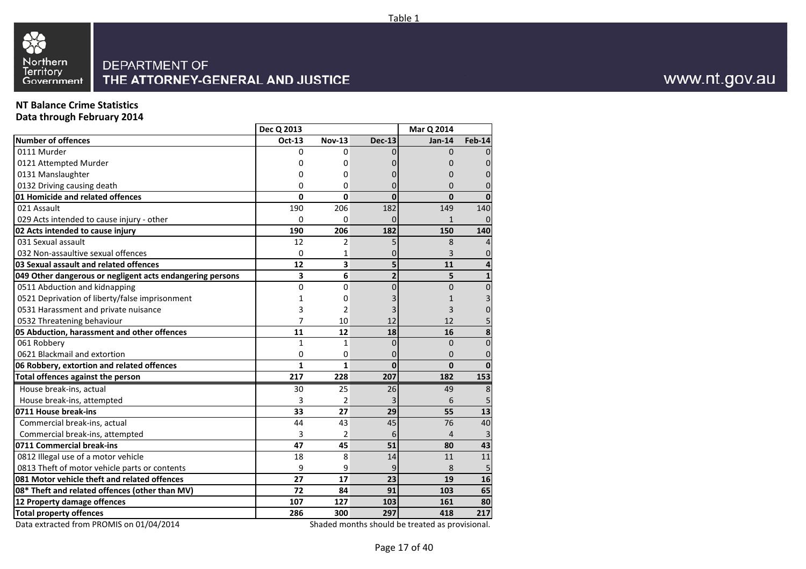

## **NT Balance Crime Statistics**

**Data through February 2014**

| <b>Number of offences</b><br>Oct-13<br><b>Nov-13</b><br><b>Dec-13</b><br><b>Feb-14</b><br>$Jan-14$<br>0111 Murder<br>0<br>0<br>$\Omega$<br>$\Omega$<br>0121 Attempted Murder<br>0<br>$\mathbf{0}$<br>0<br>0<br>0131 Manslaughter<br>$\Omega$<br>0<br>0<br>O<br>0132 Driving causing death<br>0<br>0<br>0<br>0<br>0<br>01 Homicide and related offences<br>$\mathbf 0$<br>0<br>0<br>$\Omega$<br>$\mathbf{0}$<br>182<br>021 Assault<br>190<br>206<br>149<br>140<br>029 Acts intended to cause injury - other<br>0<br>$\Omega$<br>$\mathbf{1}$<br>$\mathbf{0}$<br>0<br>02 Acts intended to cause injury<br>206<br>190<br>182<br>150<br>140<br>031 Sexual assault<br>$\overline{2}$<br>8<br>12<br>5<br>4<br>032 Non-assaultive sexual offences<br>3<br>$\mathbf 0$<br>0<br>1<br>3<br>03 Sexual assault and related offences<br>12<br>5<br>11<br>4<br>6<br>3<br>5<br>049 Other dangerous or negligent acts endangering persons<br>$\mathbf{2}$<br>$\mathbf{1}$<br>$\pmb{0}$<br>0511 Abduction and kidnapping<br>0<br>0<br>0<br>$\mathbf{0}$<br>0521 Deprivation of liberty/false imprisonment<br>3<br>0<br>1<br>1<br>0531 Harassment and private nuisance<br>3<br>$\overline{2}$<br>3<br>0<br>7<br>5<br>10<br>12<br>0532 Threatening behaviour<br>12<br>8<br>05 Abduction, harassment and other offences<br>11<br>12<br>18<br>16<br>061 Robbery<br>$\mathbf{1}$<br>$\mathbf{1}$<br>$\overline{0}$<br>$\mathbf{0}$<br>$\mathbf 0$<br>0621 Blackmail and extortion<br>0<br>0<br>0<br>0<br>0<br>06 Robbery, extortion and related offences<br>$\mathbf{1}$<br>$\mathbf{1}$<br>$\mathbf{0}$<br>$\mathbf{0}$<br>$\mathbf{0}$<br>207<br>217<br>153<br>Total offences against the person<br>228<br>182<br>House break-ins, actual<br>8<br>30<br>25<br>26<br>49<br>3<br>$\overline{2}$<br>6<br>5<br>House break-ins, attempted<br>27<br>29<br>13<br>0711 House break-ins<br>33<br>55<br>44<br>43<br>45<br>76<br>40<br>Commercial break-ins, actual<br>Commercial break-ins, attempted<br>3<br>2<br>3<br>6<br>4<br>51<br>43<br>0711 Commercial break-ins<br>47<br>45<br>80<br>0812 Illegal use of a motor vehicle<br>18<br>8<br>11<br>14<br>11<br>0813 Theft of motor vehicle parts or contents<br>9<br>9<br>9<br>8<br>5<br>081 Motor vehicle theft and related offences<br>27<br>17<br>23<br>19<br>16<br>08* Theft and related offences (other than MV)<br>72<br>84<br>91<br>103<br>65<br>107<br>127<br>12 Property damage offences<br>103<br>161<br>80<br><b>Total property offences</b><br>286<br>297<br>217<br>300<br>418 | Dec Q 2013 |  | Mar Q 2014 |  |
|-----------------------------------------------------------------------------------------------------------------------------------------------------------------------------------------------------------------------------------------------------------------------------------------------------------------------------------------------------------------------------------------------------------------------------------------------------------------------------------------------------------------------------------------------------------------------------------------------------------------------------------------------------------------------------------------------------------------------------------------------------------------------------------------------------------------------------------------------------------------------------------------------------------------------------------------------------------------------------------------------------------------------------------------------------------------------------------------------------------------------------------------------------------------------------------------------------------------------------------------------------------------------------------------------------------------------------------------------------------------------------------------------------------------------------------------------------------------------------------------------------------------------------------------------------------------------------------------------------------------------------------------------------------------------------------------------------------------------------------------------------------------------------------------------------------------------------------------------------------------------------------------------------------------------------------------------------------------------------------------------------------------------------------------------------------------------------------------------------------------------------------------------------------------------------------------------------------------------------------------------------------------------------------------------------------------------------------------------------------------------------------------------------------------------------------------------------------------------------------------------------------------|------------|--|------------|--|
|                                                                                                                                                                                                                                                                                                                                                                                                                                                                                                                                                                                                                                                                                                                                                                                                                                                                                                                                                                                                                                                                                                                                                                                                                                                                                                                                                                                                                                                                                                                                                                                                                                                                                                                                                                                                                                                                                                                                                                                                                                                                                                                                                                                                                                                                                                                                                                                                                                                                                                                 |            |  |            |  |
|                                                                                                                                                                                                                                                                                                                                                                                                                                                                                                                                                                                                                                                                                                                                                                                                                                                                                                                                                                                                                                                                                                                                                                                                                                                                                                                                                                                                                                                                                                                                                                                                                                                                                                                                                                                                                                                                                                                                                                                                                                                                                                                                                                                                                                                                                                                                                                                                                                                                                                                 |            |  |            |  |
|                                                                                                                                                                                                                                                                                                                                                                                                                                                                                                                                                                                                                                                                                                                                                                                                                                                                                                                                                                                                                                                                                                                                                                                                                                                                                                                                                                                                                                                                                                                                                                                                                                                                                                                                                                                                                                                                                                                                                                                                                                                                                                                                                                                                                                                                                                                                                                                                                                                                                                                 |            |  |            |  |
|                                                                                                                                                                                                                                                                                                                                                                                                                                                                                                                                                                                                                                                                                                                                                                                                                                                                                                                                                                                                                                                                                                                                                                                                                                                                                                                                                                                                                                                                                                                                                                                                                                                                                                                                                                                                                                                                                                                                                                                                                                                                                                                                                                                                                                                                                                                                                                                                                                                                                                                 |            |  |            |  |
|                                                                                                                                                                                                                                                                                                                                                                                                                                                                                                                                                                                                                                                                                                                                                                                                                                                                                                                                                                                                                                                                                                                                                                                                                                                                                                                                                                                                                                                                                                                                                                                                                                                                                                                                                                                                                                                                                                                                                                                                                                                                                                                                                                                                                                                                                                                                                                                                                                                                                                                 |            |  |            |  |
|                                                                                                                                                                                                                                                                                                                                                                                                                                                                                                                                                                                                                                                                                                                                                                                                                                                                                                                                                                                                                                                                                                                                                                                                                                                                                                                                                                                                                                                                                                                                                                                                                                                                                                                                                                                                                                                                                                                                                                                                                                                                                                                                                                                                                                                                                                                                                                                                                                                                                                                 |            |  |            |  |
|                                                                                                                                                                                                                                                                                                                                                                                                                                                                                                                                                                                                                                                                                                                                                                                                                                                                                                                                                                                                                                                                                                                                                                                                                                                                                                                                                                                                                                                                                                                                                                                                                                                                                                                                                                                                                                                                                                                                                                                                                                                                                                                                                                                                                                                                                                                                                                                                                                                                                                                 |            |  |            |  |
|                                                                                                                                                                                                                                                                                                                                                                                                                                                                                                                                                                                                                                                                                                                                                                                                                                                                                                                                                                                                                                                                                                                                                                                                                                                                                                                                                                                                                                                                                                                                                                                                                                                                                                                                                                                                                                                                                                                                                                                                                                                                                                                                                                                                                                                                                                                                                                                                                                                                                                                 |            |  |            |  |
|                                                                                                                                                                                                                                                                                                                                                                                                                                                                                                                                                                                                                                                                                                                                                                                                                                                                                                                                                                                                                                                                                                                                                                                                                                                                                                                                                                                                                                                                                                                                                                                                                                                                                                                                                                                                                                                                                                                                                                                                                                                                                                                                                                                                                                                                                                                                                                                                                                                                                                                 |            |  |            |  |
|                                                                                                                                                                                                                                                                                                                                                                                                                                                                                                                                                                                                                                                                                                                                                                                                                                                                                                                                                                                                                                                                                                                                                                                                                                                                                                                                                                                                                                                                                                                                                                                                                                                                                                                                                                                                                                                                                                                                                                                                                                                                                                                                                                                                                                                                                                                                                                                                                                                                                                                 |            |  |            |  |
|                                                                                                                                                                                                                                                                                                                                                                                                                                                                                                                                                                                                                                                                                                                                                                                                                                                                                                                                                                                                                                                                                                                                                                                                                                                                                                                                                                                                                                                                                                                                                                                                                                                                                                                                                                                                                                                                                                                                                                                                                                                                                                                                                                                                                                                                                                                                                                                                                                                                                                                 |            |  |            |  |
|                                                                                                                                                                                                                                                                                                                                                                                                                                                                                                                                                                                                                                                                                                                                                                                                                                                                                                                                                                                                                                                                                                                                                                                                                                                                                                                                                                                                                                                                                                                                                                                                                                                                                                                                                                                                                                                                                                                                                                                                                                                                                                                                                                                                                                                                                                                                                                                                                                                                                                                 |            |  |            |  |
|                                                                                                                                                                                                                                                                                                                                                                                                                                                                                                                                                                                                                                                                                                                                                                                                                                                                                                                                                                                                                                                                                                                                                                                                                                                                                                                                                                                                                                                                                                                                                                                                                                                                                                                                                                                                                                                                                                                                                                                                                                                                                                                                                                                                                                                                                                                                                                                                                                                                                                                 |            |  |            |  |
|                                                                                                                                                                                                                                                                                                                                                                                                                                                                                                                                                                                                                                                                                                                                                                                                                                                                                                                                                                                                                                                                                                                                                                                                                                                                                                                                                                                                                                                                                                                                                                                                                                                                                                                                                                                                                                                                                                                                                                                                                                                                                                                                                                                                                                                                                                                                                                                                                                                                                                                 |            |  |            |  |
|                                                                                                                                                                                                                                                                                                                                                                                                                                                                                                                                                                                                                                                                                                                                                                                                                                                                                                                                                                                                                                                                                                                                                                                                                                                                                                                                                                                                                                                                                                                                                                                                                                                                                                                                                                                                                                                                                                                                                                                                                                                                                                                                                                                                                                                                                                                                                                                                                                                                                                                 |            |  |            |  |
|                                                                                                                                                                                                                                                                                                                                                                                                                                                                                                                                                                                                                                                                                                                                                                                                                                                                                                                                                                                                                                                                                                                                                                                                                                                                                                                                                                                                                                                                                                                                                                                                                                                                                                                                                                                                                                                                                                                                                                                                                                                                                                                                                                                                                                                                                                                                                                                                                                                                                                                 |            |  |            |  |
|                                                                                                                                                                                                                                                                                                                                                                                                                                                                                                                                                                                                                                                                                                                                                                                                                                                                                                                                                                                                                                                                                                                                                                                                                                                                                                                                                                                                                                                                                                                                                                                                                                                                                                                                                                                                                                                                                                                                                                                                                                                                                                                                                                                                                                                                                                                                                                                                                                                                                                                 |            |  |            |  |
|                                                                                                                                                                                                                                                                                                                                                                                                                                                                                                                                                                                                                                                                                                                                                                                                                                                                                                                                                                                                                                                                                                                                                                                                                                                                                                                                                                                                                                                                                                                                                                                                                                                                                                                                                                                                                                                                                                                                                                                                                                                                                                                                                                                                                                                                                                                                                                                                                                                                                                                 |            |  |            |  |
|                                                                                                                                                                                                                                                                                                                                                                                                                                                                                                                                                                                                                                                                                                                                                                                                                                                                                                                                                                                                                                                                                                                                                                                                                                                                                                                                                                                                                                                                                                                                                                                                                                                                                                                                                                                                                                                                                                                                                                                                                                                                                                                                                                                                                                                                                                                                                                                                                                                                                                                 |            |  |            |  |
|                                                                                                                                                                                                                                                                                                                                                                                                                                                                                                                                                                                                                                                                                                                                                                                                                                                                                                                                                                                                                                                                                                                                                                                                                                                                                                                                                                                                                                                                                                                                                                                                                                                                                                                                                                                                                                                                                                                                                                                                                                                                                                                                                                                                                                                                                                                                                                                                                                                                                                                 |            |  |            |  |
|                                                                                                                                                                                                                                                                                                                                                                                                                                                                                                                                                                                                                                                                                                                                                                                                                                                                                                                                                                                                                                                                                                                                                                                                                                                                                                                                                                                                                                                                                                                                                                                                                                                                                                                                                                                                                                                                                                                                                                                                                                                                                                                                                                                                                                                                                                                                                                                                                                                                                                                 |            |  |            |  |
|                                                                                                                                                                                                                                                                                                                                                                                                                                                                                                                                                                                                                                                                                                                                                                                                                                                                                                                                                                                                                                                                                                                                                                                                                                                                                                                                                                                                                                                                                                                                                                                                                                                                                                                                                                                                                                                                                                                                                                                                                                                                                                                                                                                                                                                                                                                                                                                                                                                                                                                 |            |  |            |  |
|                                                                                                                                                                                                                                                                                                                                                                                                                                                                                                                                                                                                                                                                                                                                                                                                                                                                                                                                                                                                                                                                                                                                                                                                                                                                                                                                                                                                                                                                                                                                                                                                                                                                                                                                                                                                                                                                                                                                                                                                                                                                                                                                                                                                                                                                                                                                                                                                                                                                                                                 |            |  |            |  |
|                                                                                                                                                                                                                                                                                                                                                                                                                                                                                                                                                                                                                                                                                                                                                                                                                                                                                                                                                                                                                                                                                                                                                                                                                                                                                                                                                                                                                                                                                                                                                                                                                                                                                                                                                                                                                                                                                                                                                                                                                                                                                                                                                                                                                                                                                                                                                                                                                                                                                                                 |            |  |            |  |
|                                                                                                                                                                                                                                                                                                                                                                                                                                                                                                                                                                                                                                                                                                                                                                                                                                                                                                                                                                                                                                                                                                                                                                                                                                                                                                                                                                                                                                                                                                                                                                                                                                                                                                                                                                                                                                                                                                                                                                                                                                                                                                                                                                                                                                                                                                                                                                                                                                                                                                                 |            |  |            |  |
|                                                                                                                                                                                                                                                                                                                                                                                                                                                                                                                                                                                                                                                                                                                                                                                                                                                                                                                                                                                                                                                                                                                                                                                                                                                                                                                                                                                                                                                                                                                                                                                                                                                                                                                                                                                                                                                                                                                                                                                                                                                                                                                                                                                                                                                                                                                                                                                                                                                                                                                 |            |  |            |  |
|                                                                                                                                                                                                                                                                                                                                                                                                                                                                                                                                                                                                                                                                                                                                                                                                                                                                                                                                                                                                                                                                                                                                                                                                                                                                                                                                                                                                                                                                                                                                                                                                                                                                                                                                                                                                                                                                                                                                                                                                                                                                                                                                                                                                                                                                                                                                                                                                                                                                                                                 |            |  |            |  |
|                                                                                                                                                                                                                                                                                                                                                                                                                                                                                                                                                                                                                                                                                                                                                                                                                                                                                                                                                                                                                                                                                                                                                                                                                                                                                                                                                                                                                                                                                                                                                                                                                                                                                                                                                                                                                                                                                                                                                                                                                                                                                                                                                                                                                                                                                                                                                                                                                                                                                                                 |            |  |            |  |
|                                                                                                                                                                                                                                                                                                                                                                                                                                                                                                                                                                                                                                                                                                                                                                                                                                                                                                                                                                                                                                                                                                                                                                                                                                                                                                                                                                                                                                                                                                                                                                                                                                                                                                                                                                                                                                                                                                                                                                                                                                                                                                                                                                                                                                                                                                                                                                                                                                                                                                                 |            |  |            |  |
|                                                                                                                                                                                                                                                                                                                                                                                                                                                                                                                                                                                                                                                                                                                                                                                                                                                                                                                                                                                                                                                                                                                                                                                                                                                                                                                                                                                                                                                                                                                                                                                                                                                                                                                                                                                                                                                                                                                                                                                                                                                                                                                                                                                                                                                                                                                                                                                                                                                                                                                 |            |  |            |  |
|                                                                                                                                                                                                                                                                                                                                                                                                                                                                                                                                                                                                                                                                                                                                                                                                                                                                                                                                                                                                                                                                                                                                                                                                                                                                                                                                                                                                                                                                                                                                                                                                                                                                                                                                                                                                                                                                                                                                                                                                                                                                                                                                                                                                                                                                                                                                                                                                                                                                                                                 |            |  |            |  |
|                                                                                                                                                                                                                                                                                                                                                                                                                                                                                                                                                                                                                                                                                                                                                                                                                                                                                                                                                                                                                                                                                                                                                                                                                                                                                                                                                                                                                                                                                                                                                                                                                                                                                                                                                                                                                                                                                                                                                                                                                                                                                                                                                                                                                                                                                                                                                                                                                                                                                                                 |            |  |            |  |
|                                                                                                                                                                                                                                                                                                                                                                                                                                                                                                                                                                                                                                                                                                                                                                                                                                                                                                                                                                                                                                                                                                                                                                                                                                                                                                                                                                                                                                                                                                                                                                                                                                                                                                                                                                                                                                                                                                                                                                                                                                                                                                                                                                                                                                                                                                                                                                                                                                                                                                                 |            |  |            |  |
|                                                                                                                                                                                                                                                                                                                                                                                                                                                                                                                                                                                                                                                                                                                                                                                                                                                                                                                                                                                                                                                                                                                                                                                                                                                                                                                                                                                                                                                                                                                                                                                                                                                                                                                                                                                                                                                                                                                                                                                                                                                                                                                                                                                                                                                                                                                                                                                                                                                                                                                 |            |  |            |  |

Data extracted from PROMIS on 01/04/2014

Shaded months should be treated as provisional.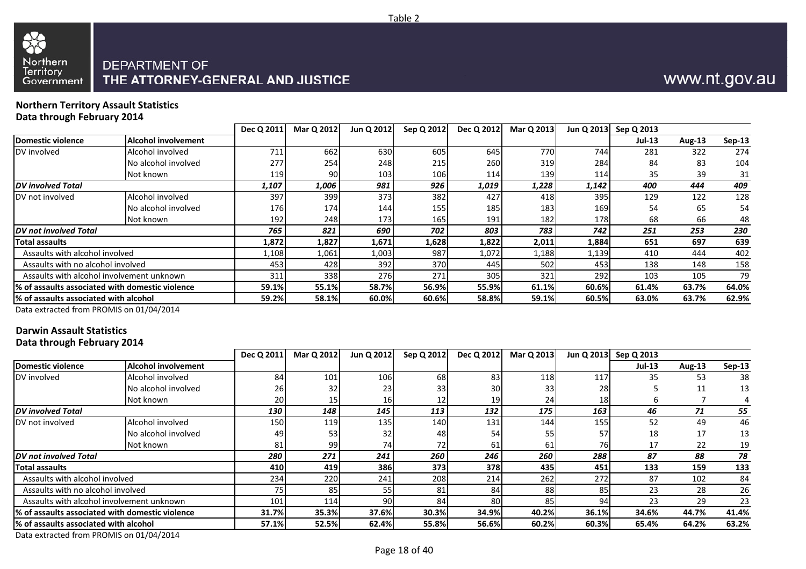



#### **Northern Territory Assault StatisticsData through February 2014**

|                                                  |                     | Dec Q 2011 | Mar Q 2012 | Jun Q 2012 | Sep Q 2012       | Dec Q 2012 | Mar Q 2013 | Jun Q 2013 | Sep Q 2013 |        |          |
|--------------------------------------------------|---------------------|------------|------------|------------|------------------|------------|------------|------------|------------|--------|----------|
| Domestic violence                                | Alcohol involvement |            |            |            |                  |            |            |            | $Jul-13$   | Aug-13 | $Sep-13$ |
| DV involved                                      | Alcohol involved    | 711        | 662        | 630        | 605              | 645        | 770I       | 744        | 281        | 322    | 274      |
|                                                  | No alcohol involved | 277        | 254        | 248        | 215              | 260        | 319        | 284        | 84         | 83     | 104      |
|                                                  | Not known           | 119        | 90         | 103        | 106 <sub>l</sub> | 114        | 139        | 114        | 35         | 39     | 31       |
| <b>DV</b> involved Total                         |                     | 1,107      | 1,006      | 981        | 926              | 1,019      | 1,228      | 1,142      | 400        | 444    | 409      |
| DV not involved                                  | Alcohol involved    | 397        | 399        | 373        | 382              | 427        | 418        | 395        | 129        | 122    | 128      |
|                                                  | No alcohol involved | 176        | 174        | 144        | 155              | 185        | 183        | 169        | 54         | 65     | 54       |
|                                                  | Not known           | 192        | 248        | 173        | 165              | 191        | 182        | 178        | 68         | 66     | 48       |
| <b>DV</b> not involved Total                     |                     | 765        | 821        | 690        | 702              | 803        | 783        | 742        | 251        | 253    | 230      |
| Total assaults                                   |                     | 1,872      | 1,827      | 1,671      | 1,628            | 1,822      | 2,011      | 1,884      | 651        | 697    | 639      |
| Assaults with alcohol involved                   |                     | l,108      | 1,061      | 1,003      | 987              | 1,072      | 1,188      | 1,139      | 410        | 444    | 402      |
| Assaults with no alcohol involved                |                     | 453        | 428        | 392        | 370              | 445        | 502        | 453        | 138        | 148    | 158      |
| Assaults with alcohol involvement unknown        |                     | 311        | 338        | 276        | 271              | 305        | 321        | 292        | 103        | 105    | 79       |
| 1% of assaults associated with domestic violence |                     | 59.1%      | 55.1%      | 58.7%      | 56.9%            | 55.9%      | 61.1%      | 60.6%      | 61.4%      | 63.7%  | 64.0%    |
| % of assaults associated with alcohol            |                     | 59.2%      | 58.1%      | 60.0%      | 60.6%            | 58.8%      | 59.1%      | 60.5%      | 63.0%      | 63.7%  | 62.9%    |
|                                                  |                     |            |            |            |                  |            |            |            |            |        |          |

Data extracted from PROMIS on 01/04/2014

## **Darwin Assault Statistics**

**Data through February 2014**

|                                                  |                            | Dec Q 2011      | Mar Q 2012 | Jun Q 2012 | Sep Q 2012      | Dec Q 2012 | Mar Q 2013 |       | Jun Q 2013 Sep Q 2013 |        |          |
|--------------------------------------------------|----------------------------|-----------------|------------|------------|-----------------|------------|------------|-------|-----------------------|--------|----------|
| Domestic violence                                | <b>Alcohol involvement</b> |                 |            |            |                 |            |            |       | $Jul-13$              | Aug-13 | $Sep-13$ |
| DV involved                                      | Alcohol involved           | 84              | 101        | 106        | 68              | 83         | 118        | 117   | 35                    | 53     | 38       |
|                                                  | No alcohol involved        | 26              | 32         | 23         | 33 <sup>1</sup> | 30         | 33         | 28    |                       | 11     | 13       |
|                                                  | Not known                  | 20              | 15         | 16 I       | 12 <sub>l</sub> | 19         | 24         | 18    |                       |        |          |
| <b>IDV</b> involved Total                        |                            | 130             | 148        | 145        | 113             | 132        | 175        | 163   | 46                    | 71     | 55       |
| DV not involved                                  | Alcohol involved           | 150             | 119        | 135        | <b>140</b>      | 131        | 144        | 155   | 52                    | 49     | 46       |
|                                                  | No alcohol involved        | 49              | 53         | 32         | 48              | 54         | 55         | 57    | 18                    | 17     | 13       |
|                                                  | Not known                  | 81              | 99         | 74I        | <b>721</b>      | 61         | 61         | 76I   | 17                    | 22     | 19       |
| <b>DV</b> not involved Total                     |                            | 280             | 271        | 241        | 260             | 246        | 260        | 288   | 87                    | 88     | 78       |
| <b>Total assaults</b>                            |                            | 410             | 419        | 386        | 3731            | 378        | 435        | 451   | 133                   | 159    | 133      |
| Assaults with alcohol involved                   |                            | 234             | 220        | 241        | 208             | 214        | 262        | 272   | 87                    | 102    | 84       |
| Assaults with no alcohol involved                |                            | 75 <sub>1</sub> | 85         | 55)        | 81              | 84         | 88         | 85    | 23                    | 28     | 26       |
| Assaults with alcohol involvement unknown        |                            | 101             | 114        | 90         | 84              | 80         | 85         | 94    | 23                    | 29     | 23       |
| 1% of assaults associated with domestic violence |                            | 31.7%           | 35.3%      | 37.6%      | 30.3%           | 34.9%      | 40.2%      | 36.1% | 34.6%                 | 44.7%  | 41.4%    |
| 1% of assaults associated with alcohol           |                            | 57.1%           | 52.5%      | 62.4%      | 55.8%           | 56.6%      | 60.2%      | 60.3% | 65.4%                 | 64.2%  | 63.2%    |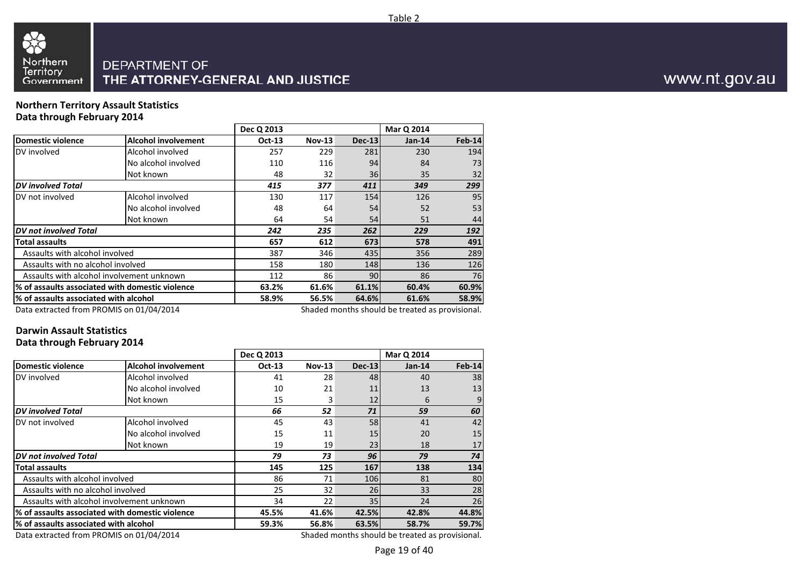

#### **Northern Territory Assault StatisticsData through February 2014**

|                                           |                                                 | Dec Q 2013                                      |          |               | Mar Q 2014 |               |  |
|-------------------------------------------|-------------------------------------------------|-------------------------------------------------|----------|---------------|------------|---------------|--|
| <b>Domestic violence</b>                  | <b>Alcohol involvement</b>                      | <b>Oct-13</b>                                   | $Nov-13$ | <b>Dec-13</b> | $Jan-14$   | <b>Feb-14</b> |  |
| DV involved                               | Alcohol involved                                | 257                                             | 229      | 281           | 230        | 194           |  |
|                                           | No alcohol involved                             | 110                                             | 116      | 94            | 84         | 73            |  |
|                                           | Not known                                       | 48                                              | 32       | 36            | 35         | 32            |  |
| <b>DV</b> involved Total                  |                                                 | 415                                             | 377      | 411           | 349        | 299           |  |
| DV not involved                           | Alcohol involved                                | 130                                             | 117      | 154           | 126        | 95            |  |
|                                           | No alcohol involved                             | 48                                              | 64       | 54            | 52         | 53            |  |
|                                           | Not known                                       | 64                                              | 54       | 54            | 51         | 44            |  |
| DV not involved Total                     |                                                 | 242                                             | 235      | 262           | 229        | 192           |  |
| <b>Total assaults</b>                     |                                                 | 657                                             | 612      | 673           | 578        | 491           |  |
| Assaults with alcohol involved            |                                                 | 387                                             | 346      | 435           | 356        | 289           |  |
| Assaults with no alcohol involved         |                                                 | 158                                             | 180      | 148           | 136        | 126           |  |
| Assaults with alcohol involvement unknown |                                                 | 112                                             | 86       | 90            | 86         | 76            |  |
|                                           | % of assaults associated with domestic violence | 61.6%                                           | 61.1%    | 60.4%         | 60.9%      |               |  |
| % of assaults associated with alcohol     |                                                 | 58.9%                                           | 56.5%    | 64.6%         | 61.6%      | 58.9%         |  |
| Data extracted from PROMIS on 01/04/2014  |                                                 | Shaded months should be treated as provisional. |          |               |            |               |  |

Data extracted from PROMIS on 01/04/2014

## **Darwin Assault Statistics**

#### **Data through February 2014**

|                                                 |                                       | Dec Q 2013                                      |               |               | Mar Q 2014 |               |  |
|-------------------------------------------------|---------------------------------------|-------------------------------------------------|---------------|---------------|------------|---------------|--|
| <b>Domestic violence</b>                        | <b>Alcohol involvement</b>            | <b>Oct-13</b>                                   | <b>Nov-13</b> | <b>Dec-13</b> | $Jan-14$   | <b>Feb-14</b> |  |
| DV involved                                     | Alcohol involved                      | 41                                              | 28            | 48            | 40         | 38            |  |
|                                                 | No alcohol involved                   | 10                                              | 21            | 11            | 13         | 13            |  |
|                                                 | Not known                             | 15                                              | 3             | 12            | 6          |               |  |
| <b>DV</b> involved Total                        |                                       | 66                                              | 52            | 71            | 59         | 60            |  |
| DV not involved                                 | Alcohol involved                      | 45                                              | 43            | 58            | 41         | 42            |  |
|                                                 | No alcohol involved                   | 15                                              | 11            | 15            | 20         | 15            |  |
|                                                 | Not known                             | 19                                              | 19            | 23            | 18         | 17            |  |
| <b>DV</b> not involved Total                    |                                       | 79                                              | 73            | 96            | 79         | 74            |  |
| <b>Total assaults</b>                           |                                       | 145                                             | 125           | 167           | 138        | 134           |  |
| Assaults with alcohol involved                  |                                       | 86                                              | 71            | 106           | 81         | 80            |  |
| Assaults with no alcohol involved               |                                       | 25                                              | 32            | 26            | 33         | 28            |  |
| Assaults with alcohol involvement unknown       |                                       | 34                                              | 22            | 35            | 24         | 26            |  |
| % of assaults associated with domestic violence | 45.5%                                 | 41.6%                                           | 42.5%         | 42.8%         | 44.8%      |               |  |
|                                                 | % of assaults associated with alcohol |                                                 |               | 63.5%         | 58.7%      | 59.7%         |  |
| Data extracted from PROMIS on 01/04/2014        |                                       | Shaded months should be treated as provisional. |               |               |            |               |  |

Data extracted from PROMIS on 01/04/2014

www.nt.gov.au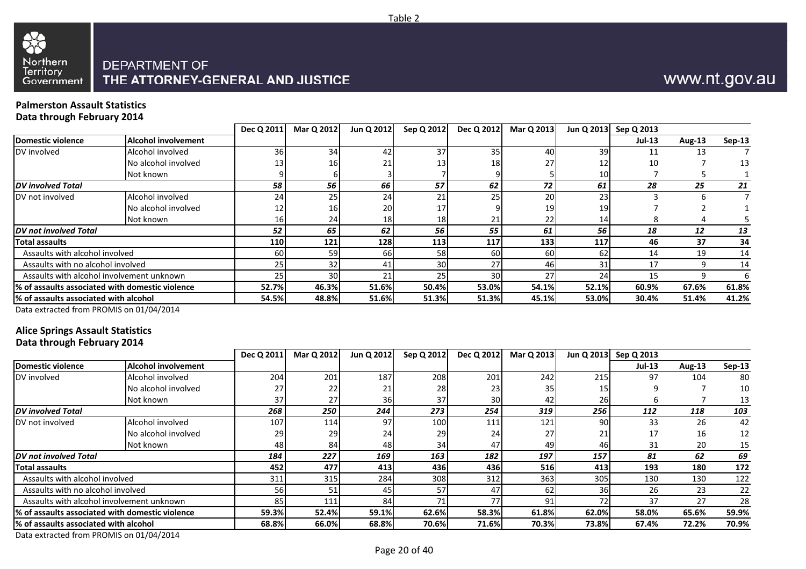



#### **Palmerston Assault StatisticsData through February 2014**

|                                        |                                                  | Dec Q 2011   | Mar Q 2012 | Jun Q 2012 | Sep Q 2012 | Dec Q 2012      | Mar Q 2013 | Jun Q 2013 | Sep Q 2013 |        |               |
|----------------------------------------|--------------------------------------------------|--------------|------------|------------|------------|-----------------|------------|------------|------------|--------|---------------|
| Domestic violence                      | <b>Alcohol involvement</b>                       |              |            |            |            |                 |            |            | $Jul-13$   | Aug-13 | <b>Sep-13</b> |
| DV involved                            | Alcohol involved                                 | 36           | 34         | 42         | 37         | 35              | 40         | 39         | 11         | 13     |               |
|                                        | No alcohol involved                              | 13           | 16         | 21         | 13         | 18              | 27         | 12         | 10         |        | 13            |
|                                        | Not known                                        |              |            |            |            |                 |            | 10         |            |        |               |
| <b>DV</b> involved Total               |                                                  | 58           | 56         | 66         | 57         | 62              | 72         | 61         | 28         | 25     | 21            |
| DV not involved                        | Alcohol involved                                 | 24           | 25         | 24         | 21         | 25 <sub>1</sub> | 20         | 23         |            |        |               |
|                                        | No alcohol involved                              | 12           | 16         | 20         |            |                 | 19         | 19         |            |        |               |
|                                        | Not known                                        | <b>16</b>    | 24         | 18         | 18         | 21              | 22         | 14         |            |        |               |
| <b>DV</b> not involved Total           |                                                  | 52           | 65         | 62         | 56         | 55              | 61         | 56         | 18         | 12     | 13            |
| Total assaults                         |                                                  | <b>110</b>   | 121        | 128        | 113        | 117             | 133        | 117        | 46         | 37     | 34            |
| Assaults with alcohol involved         |                                                  | 60           | 59         | 66         | 58         | 60              | 60         | 62         | 14         | 19     | 14            |
| Assaults with no alcohol involved      |                                                  | 25           | 32         |            | 30         | 27              | 46         | 31         |            | q      | 14            |
|                                        | Assaults with alcohol involvement unknown        | 25           | 30         | 21         | 25         | 30              | 27         | 24         | 15         |        | 6             |
|                                        | 1% of assaults associated with domestic violence | <b>52.7%</b> | 46.3%      | 51.6%      | 50.4%      | 53.0%           | 54.1%      | 52.1%      | 60.9%      | 67.6%  | 61.8%         |
| l% of assaults associated with alcohol |                                                  | 54.5%        | 48.8%      | 51.6%      | 51.3%      | 51.3%           | 45.1%      | 53.0%      | 30.4%      | 51.4%  | 41.2%         |
|                                        |                                                  |              |            |            |            |                 |            |            |            |        |               |

Data extracted from PROMIS on 01/04/2014

## **Alice Springs Assault Statistics**

**Data through February 2014**

|                                                  |                            | Dec Q 2011 | Mar Q 2012 | Jun Q 2012 | Sep Q 2012      | Dec Q 2012 | Mar Q 2013 |       | Jun Q 2013 Sep Q 2013 |        |          |
|--------------------------------------------------|----------------------------|------------|------------|------------|-----------------|------------|------------|-------|-----------------------|--------|----------|
| Domestic violence                                | <b>Alcohol involvement</b> |            |            |            |                 |            |            |       | $Jul-13$              | Aug-13 | $Sep-13$ |
| DV involved                                      | Alcohol involved           | 204        | 201        | 187        | 208             | 201        | 242        | 215   | 97                    | 104    | 80       |
|                                                  | No alcohol involved        | 27         | 22         | 21         | <b>28</b>       | 23         | 35         |       |                       |        | 10       |
|                                                  | Not known                  | 37         | 27         | 36         | 37 <sup>1</sup> | 30         | 42         | 26    |                       |        | 13       |
| <b>IDV</b> involved Total                        |                            | 268        | 250        | 244        | 273             | 254        | 319        | 256   | 112                   | 118    | 103      |
| DV not involved                                  | Alcohol involved           | 107        | 114        | 97         | <b>100</b>      | 111        | 121        | 90    | 33                    | 26     | 42       |
|                                                  | No alcohol involved        | 29         | 29         | 24         | 29              | 24         |            |       | 17                    | 16     | 12       |
|                                                  | Not known                  | 48         | 84         | 48         | 34              | 47         | 49         | 46    | 31                    | 20     | 15       |
| <b>DV</b> not involved Total                     |                            | 184        | 227        | 169        | 163             | 182        | 197        | 157   | 81                    | 62     | 69       |
| <b>Total assaults</b>                            |                            | 452        | 477        | 413        | 4361            | 436        | 516        | 413   | 193                   | 180    | 172      |
| Assaults with alcohol involved                   |                            | 311        | 315        | 284        | 308I            | 312        | 363        | 305   | 130                   | 130    | 122      |
| Assaults with no alcohol involved                |                            | 56         | 51         | 45         | 57              | 47         | 62         | 36    | 26                    | 23     | 22       |
| Assaults with alcohol involvement unknown        |                            | 85         | 111        | 84         | 71              | 77         | 91         |       | 37                    | 27     | 28       |
| 1% of assaults associated with domestic violence |                            | 59.3%      | 52.4%      | 59.1%      | 62.6%           | 58.3%      | 61.8%      | 62.0% | 58.0%                 | 65.6%  | 59.9%    |
| 1% of assaults associated with alcohol           |                            | 68.8%      | 66.0%      | 68.8%      | 70.6%           | 71.6%      | 70.3%      | 73.8% | 67.4%                 | 72.2%  | 70.9%    |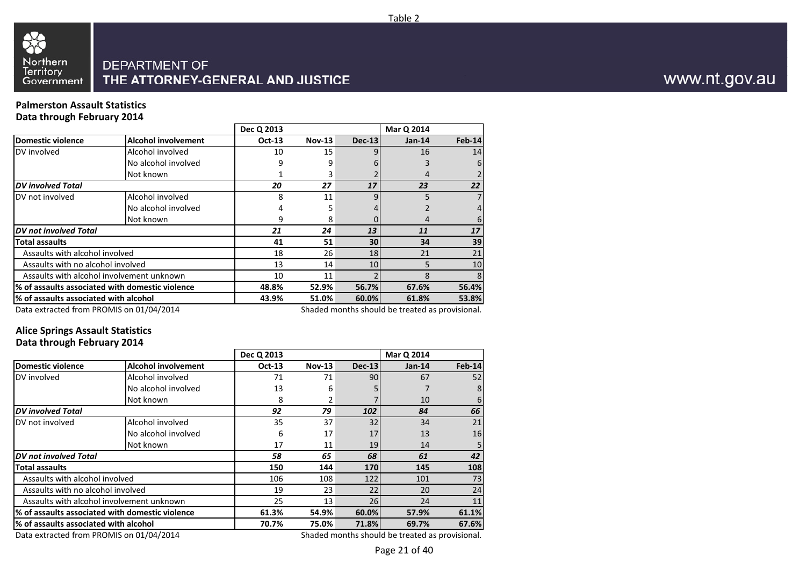

#### **Palmerston Assault StatisticsData through February 2014**

|                                                         |                            | Dec Q 2013    |               |               | Mar Q 2014                                                         |        |
|---------------------------------------------------------|----------------------------|---------------|---------------|---------------|--------------------------------------------------------------------|--------|
| <b>Domestic violence</b>                                | <b>Alcohol involvement</b> | <b>Oct-13</b> | <b>Nov-13</b> | <b>Dec-13</b> | $Jan-14$                                                           | Feb-14 |
| DV involved                                             | Alcohol involved           | 10            | 15            |               | 16                                                                 | 14     |
|                                                         | No alcohol involved        | 9             | 9             |               |                                                                    | 6      |
|                                                         | Not known                  |               |               |               | 4                                                                  |        |
| <b>DV</b> involved Total                                |                            | 20            | 27            | 17            | 23                                                                 | 22     |
| DV not involved                                         | Alcohol involved           | 8             | 11            | q             | 5                                                                  | 7      |
|                                                         | No alcohol involved        |               |               |               |                                                                    |        |
|                                                         | Not known                  |               | 8             |               | 4                                                                  | 6      |
| <b>DV</b> not involved Total                            |                            | 21            | 24            | 13            | 11                                                                 | 17     |
| <b>Total assaults</b>                                   |                            | 41            | 51            | 30            | 34                                                                 | 39     |
| Assaults with alcohol involved                          |                            | 18            | 26            | 18            | 21                                                                 | 21     |
| Assaults with no alcohol involved                       |                            | 13            | 14            | 10            | 5                                                                  | 10     |
| Assaults with alcohol involvement unknown               |                            | 10            | 11            |               | 8                                                                  | 8      |
| % of assaults associated with domestic violence         |                            | 48.8%         | 52.9%         | 56.7%         | 67.6%                                                              | 56.4%  |
| % of assaults associated with alcohol                   | 43.9%                      | 51.0%         | 60.0%         | 61.8%         | 53.8%                                                              |        |
| $D_{\text{obs}}$ schools of frame DDOMAIC so 04/04/3044 |                            |               |               |               | والمستحققة ومستحدث والمتفقف ومقاماته والمراجع والمستحدث والمساحمات |        |

Data extracted from PROMIS on 01/04/2014

Shaded months should be treated as provisional.

#### **Alice Springs Assault StatisticsData through February 2014**

|                                           |                                                 | Dec Q 2013                                      |          |               | Mar Q 2014 |          |  |  |
|-------------------------------------------|-------------------------------------------------|-------------------------------------------------|----------|---------------|------------|----------|--|--|
| <b>Domestic violence</b>                  | <b>Alcohol involvement</b>                      | <b>Oct-13</b>                                   | $Nov-13$ | <b>Dec-13</b> | $Jan-14$   | $Feb-14$ |  |  |
| DV involved                               | Alcohol involved                                | 71                                              | 71       | 90            | 67         | 52       |  |  |
|                                           | No alcohol involved                             | 13                                              | 6        |               |            | 8        |  |  |
|                                           | Not known                                       | 8                                               | 2        |               | 10         | 6        |  |  |
| <b>DV</b> involved Total                  |                                                 | 92                                              | 79       | 102           | 84         | 66       |  |  |
| DV not involved                           | Alcohol involved                                | 35                                              | 37       | 32            | 34         | 21       |  |  |
|                                           | No alcohol involved                             | 6                                               | 17       | 17            | 13         | 16       |  |  |
|                                           | Not known                                       | 17                                              | 11       | 19            | 14         |          |  |  |
| <b>DV</b> not involved Total              |                                                 | 58                                              | 65       | 68            | 61         | 42       |  |  |
| Total assaults                            |                                                 | 150                                             | 144      | 170           | 145        | 108      |  |  |
| Assaults with alcohol involved            |                                                 | 106                                             | 108      | 122           | 101        | 73       |  |  |
| Assaults with no alcohol involved         |                                                 | 19                                              | 23       | 22            | 20         | 24       |  |  |
| Assaults with alcohol involvement unknown |                                                 | 25                                              | 13       | 26            | 24         | 11       |  |  |
|                                           | % of assaults associated with domestic violence | 61.3%                                           | 54.9%    | 60.0%         | 57.9%      | 61.1%    |  |  |
| % of assaults associated with alcohol     |                                                 | 70.7%                                           | 75.0%    | 71.8%         | 69.7%      | 67.6%    |  |  |
| Data extracted from PROMIS on 01/04/2014  |                                                 | Shaded months should be treated as provisional. |          |               |            |          |  |  |

Data extracted from PROMIS on 01/04/2014

www.nt.gov.au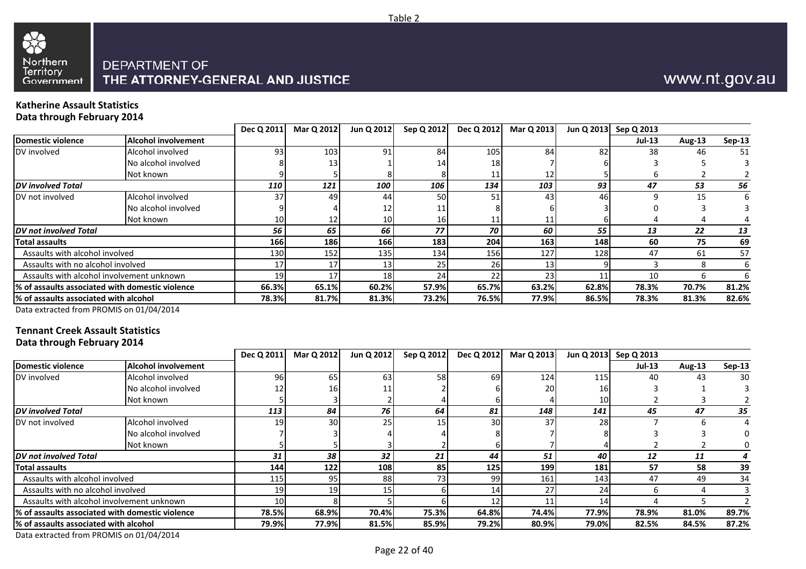



#### **Katherine Assault StatisticsData through February 2014**

|                 |                 | Jun Q 2012      | Sep Q 2012     | Dec Q 2012      | Mar Q 2013      |       | Jun Q 2013 Sep Q 2013 |        |               |
|-----------------|-----------------|-----------------|----------------|-----------------|-----------------|-------|-----------------------|--------|---------------|
|                 |                 |                 |                |                 |                 |       | $Jul-13$              | Aug-13 | <b>Sep-13</b> |
| 93              | 103             | 91              | 84             | 105             | 84              | 82    | 38                    | 46     | 51            |
|                 | 13 <sub>1</sub> |                 | 14             | 18 <sub>l</sub> |                 |       |                       |        |               |
|                 |                 |                 |                |                 | 12 <sub>1</sub> |       |                       |        |               |
| <b>110</b>      | 121             | 100             | 106            | 134             | 103             | 93    | 47                    | 53     | 56            |
| 37              | 49              | 44              | 50             | 51              | 43              | 46    |                       | 15     | 6             |
|                 |                 | 12              |                |                 |                 |       |                       |        |               |
| 10 <sup>1</sup> | 12              | 10              | 16             |                 |                 |       |                       |        |               |
| 56              | 65              | 66              | 77             | 70              | 60              | 55    | 13                    | 22     | 13            |
| 166             | 186             | 166             | 183            | 204             |                 | 148   | 60                    | 75     | 69            |
| 130             | 152             | 135             | 134            | 156             | 127             | 128   | 47                    | 61     | 57            |
| 17              | 17              | 13 <sub>1</sub> | 25             | 26              | 13              |       |                       |        |               |
| 19              | 17              | 18 <sub>l</sub> | 24             | 22              | 23 <sub>1</sub> |       | 10                    |        |               |
|                 |                 | 60.2%           | 57.9%          | 65.7%           |                 | 62.8% | 78.3%                 | 70.7%  | 81.2%         |
| 78.3%           |                 | 81.3%           | 73.2%          | 76.5%           |                 | 86.5% | 78.3%                 | 81.3%  | 82.6%         |
|                 |                 | 66.3%           | 65.1%<br>81.7% |                 |                 |       | 163<br>63.2%<br>77.9% |        |               |

Data extracted from PROMIS on 01/04/2014

#### **Tennant Creek Assault StatisticsData through February 2014**

|                                                  |                            | Dec Q 2011      | Mar Q 2012 | Jun Q 2012      | Sep Q 2012      | Dec Q 2012 | Mar Q 2013 |       | Jun Q 2013 Sep Q 2013 |        |          |
|--------------------------------------------------|----------------------------|-----------------|------------|-----------------|-----------------|------------|------------|-------|-----------------------|--------|----------|
| Domestic violence                                | <b>Alcohol involvement</b> |                 |            |                 |                 |            |            |       | <b>Jul-13</b>         | Aug-13 | $Sep-13$ |
| DV involved                                      | Alcohol involved           | 96              | 65         | 63              | <b>58</b>       | 69         | 124        | 115   | 40                    | 43     | 30       |
|                                                  | No alcohol involved        | 12              | 16         |                 |                 |            | 20         |       |                       |        |          |
|                                                  | Not known                  |                 |            |                 |                 |            |            | 10    |                       |        |          |
| <b>DV</b> involved Total                         |                            | 113             | 84         | 76              | 64              | 81         | 148        | 141   | 45                    | 47     | 35       |
| DV not involved                                  | Alcohol involved           | 19              | 30         | 25 <sub>1</sub> | 15 <sub>1</sub> | 30         | 37         | 28    |                       |        |          |
|                                                  | No alcohol involved        |                 |            |                 |                 |            |            |       |                       |        |          |
|                                                  | Not known                  |                 |            |                 |                 |            |            |       |                       |        |          |
| <b>IDV</b> not involved Total                    |                            | 31              | 38         | 32              | 21              | 44         | 51         | 40    | 12                    | 11     |          |
| <b>Total assaults</b>                            |                            | 144             | 122        | <b>108</b>      | 85              | 125        | 199        | 181   | 57                    | 58     | 39       |
| Assaults with alcohol involved                   |                            | 115             | 95         | 88              | 73              | 99         | 161        | 143   | 47                    | 49     | 34       |
| Assaults with no alcohol involved                |                            | 19              | 19         | 15 I            |                 | 14         |            | 24    |                       |        |          |
| Assaults with alcohol involvement unknown        |                            | 10 <sup>1</sup> |            |                 |                 | 12         |            |       |                       |        |          |
| 1% of assaults associated with domestic violence |                            | 78.5%           | 68.9%      | 70.4%           | 75.3%           | 64.8%      | 74.4%      | 77.9% | 78.9%                 | 81.0%  | 89.7%    |
| 1% of assaults associated with alcohol           |                            | 79.9%           | 77.9%      | 81.5%           | 85.9%           | 79.2%      | 80.9%      | 79.0% | 82.5%                 | 84.5%  | 87.2%    |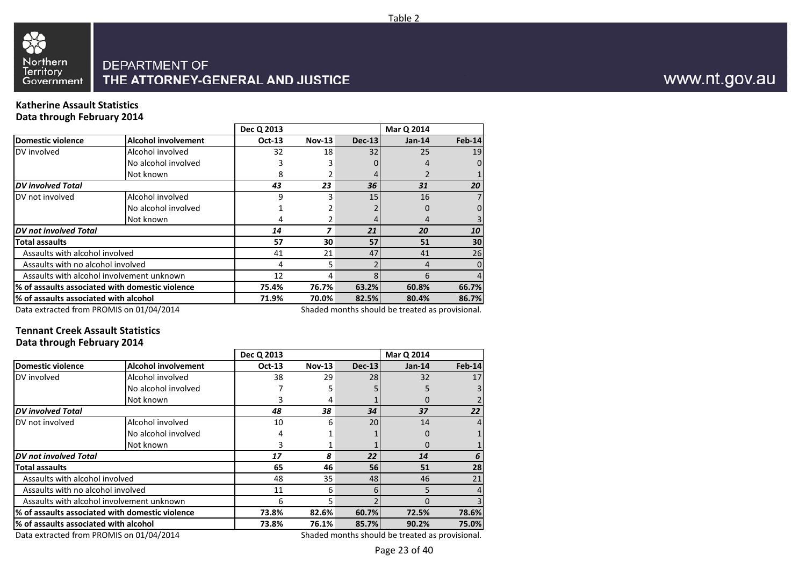

#### **Katherine Assault StatisticsData through February 2014**

|                                                          |                                                 | Dec Q 2013    |               |          | Mar Q 2014                                                             |          |
|----------------------------------------------------------|-------------------------------------------------|---------------|---------------|----------|------------------------------------------------------------------------|----------|
| <b>Domestic violence</b>                                 | <b>Alcohol involvement</b>                      | <b>Oct-13</b> | <b>Nov-13</b> | $Dec-13$ | $Jan-14$                                                               | Feb-14   |
| DV involved                                              | Alcohol involved                                | 32            | 18            | 32       | 25                                                                     | 19       |
|                                                          | No alcohol involved                             |               |               |          | 4                                                                      |          |
|                                                          | Not known                                       | 8             |               |          |                                                                        |          |
| <b>DV</b> involved Total                                 |                                                 | 43            | 23            | 36       | 31                                                                     | 20       |
| DV not involved                                          | Alcohol involved                                | 9             | 3             | 15       | 16                                                                     |          |
|                                                          | No alcohol involved                             |               |               |          | 0                                                                      |          |
|                                                          | Not known                                       | 4             |               |          | 4                                                                      |          |
| DV not involved Total                                    |                                                 | 14            |               | 21       | 20                                                                     | 10       |
| Total assaults                                           |                                                 | 57            | 30            | 57       | 51                                                                     | 30       |
| Assaults with alcohol involved                           |                                                 | 41            | 21            | 47       | 41                                                                     | 26       |
| Assaults with no alcohol involved                        |                                                 | 4             | 5             |          | 4                                                                      | $\Omega$ |
|                                                          | Assaults with alcohol involvement unknown       | 12            | 4             |          | 6                                                                      |          |
|                                                          | % of assaults associated with domestic violence | 75.4%         | 76.7%         | 63.2%    | 60.8%                                                                  | 66.7%    |
| % of assaults associated with alcohol                    |                                                 | 71.9%         | 70.0%         | 82.5%    | 80.4%                                                                  | 86.7%    |
| $D_{\text{obs}}$ schools of frame DDOMAIC and 04/04/3044 |                                                 |               |               |          | والمستملحات ومستسلم والمتفسط ومطالعا الماروس والمستنقص ومستلم والمستان |          |

Data extracted from PROMIS on 01/04/2014

Shaded months should be treated as provisional.

#### **Tennant Creek Assault StatisticsData through February 2014**

|                                          |                                                 | Dec Q 2013    |               |               | Mar Q 2014                                      |               |
|------------------------------------------|-------------------------------------------------|---------------|---------------|---------------|-------------------------------------------------|---------------|
| <b>Domestic violence</b>                 | <b>Alcohol involvement</b>                      | <b>Oct-13</b> | <b>Nov-13</b> | <b>Dec-13</b> | $Jan-14$                                        | <b>Feb-14</b> |
| DV involved                              | Alcohol involved                                | 38            | 29            | 28            | 32                                              | 17            |
|                                          | No alcohol involved                             |               |               |               |                                                 |               |
|                                          | Not known                                       |               | 4             |               | 0                                               |               |
| <b>DV</b> involved Total                 |                                                 | 48            | 38            | 34            | 37                                              | 22            |
| DV not involved                          | Alcohol involved                                | 10            | 6             | 20            | 14                                              |               |
|                                          | No alcohol involved                             | 4             |               |               | 0                                               |               |
|                                          | Not known                                       |               |               |               | $\Omega$                                        |               |
| <b>DV</b> not involved Total             |                                                 | 17            | 8             | 22            | 14                                              |               |
| Total assaults                           |                                                 | 65            | 46            | 56            | 51                                              | 28            |
| Assaults with alcohol involved           |                                                 | 48            | 35            | 48            | 46                                              | 21            |
| Assaults with no alcohol involved        |                                                 | 11            | 6             | 6             |                                                 |               |
|                                          | Assaults with alcohol involvement unknown       | 6             | 5             |               | $\Omega$                                        |               |
|                                          | % of assaults associated with domestic violence | 73.8%         | 82.6%         | 60.7%         | 72.5%                                           | 78.6%         |
| % of assaults associated with alcohol    |                                                 | 73.8%         | 76.1%         | 85.7%         | 90.2%                                           | 75.0%         |
| Data extracted from PROMIS on 01/04/2014 |                                                 |               |               |               | Shaded months should be treated as provisional. |               |

Data extracted from PROMIS on 01/04/2014

www.nt.gov.au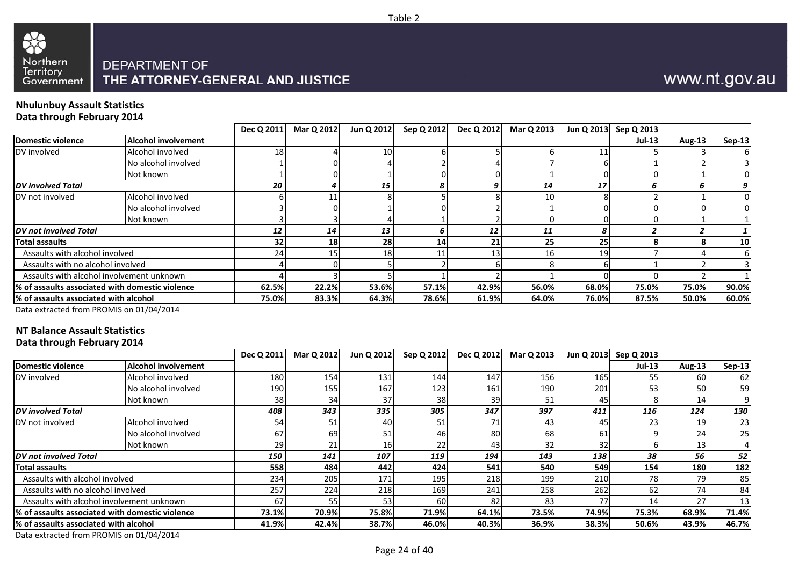



#### **Nhulunbuy Assault StatisticsData through February 2014**

33

|                                        |                                                  | Dec Q 2011 | Mar Q 2012 | Jun Q 2012 | Sep Q 2012      | Dec Q 2012 | Mar Q 2013      |       | Jun Q 2013 Sep Q 2013 |        |          |
|----------------------------------------|--------------------------------------------------|------------|------------|------------|-----------------|------------|-----------------|-------|-----------------------|--------|----------|
| Domestic violence                      | <b>Alcohol involvement</b>                       |            |            |            |                 |            |                 |       | <b>Jul-13</b>         | Aug-13 | $Sep-13$ |
| DV involved                            | Alcohol involved                                 | 18         |            | 10         |                 |            |                 |       |                       |        |          |
|                                        | No alcohol involved                              |            |            |            |                 |            |                 |       |                       |        |          |
|                                        | Not known                                        |            |            |            |                 |            |                 |       |                       |        |          |
| <b>DV</b> involved Total               |                                                  | 20         | 4          | 15         |                 |            | 14              | 17    |                       |        |          |
| DV not involved                        | Alcohol involved                                 |            | 11         |            |                 |            | 10 <sup>1</sup> |       |                       |        | 0        |
|                                        | No alcohol involved                              |            |            |            |                 |            |                 |       |                       |        |          |
|                                        | Not known                                        |            |            |            |                 |            |                 |       |                       |        |          |
| <b>DV</b> not involved Total           |                                                  | 12         | 14         | 13         |                 | 12         | 11              |       |                       |        |          |
| <b>Total assaults</b>                  |                                                  | 32         | 18         | 28         | 14 <sup>1</sup> | 21         | 25              | 25    |                       |        | 10       |
| Assaults with alcohol involved         |                                                  | 24         | 15         | <b>18</b>  |                 |            | 16 <sup>1</sup> | 19    |                       |        |          |
| Assaults with no alcohol involved      |                                                  |            |            |            |                 |            |                 |       |                       |        |          |
|                                        | Assaults with alcohol involvement unknown        |            |            |            |                 |            |                 |       |                       |        |          |
|                                        | 1% of assaults associated with domestic violence | 62.5%      | 22.2%      | 53.6%      | 57.1%           | 42.9%      | 56.0%           | 68.0% | 75.0%                 | 75.0%  | 90.0%    |
|                                        |                                                  | 75.0%      | 83.3%      | 64.3%      | 78.6%           | 61.9%      | 64.0%           | 76.0% | 87.5%                 | 50.0%  | 60.0%    |
| 1% of assaults associated with alcohol |                                                  |            |            |            |                 |            |                 |       |                       |        |          |

Data extracted from PROMIS on 01/04/2014

## **NT Balance Assault Statistics**

**Data through February 2014**

|                                                  |                            | Dec Q 2011      | Mar Q 2012 | Jun Q 2012 | Sep Q 2012       | Dec Q 2012 | Mar Q 2013 |       | Jun Q 2013 Sep Q 2013 |        |          |
|--------------------------------------------------|----------------------------|-----------------|------------|------------|------------------|------------|------------|-------|-----------------------|--------|----------|
| Domestic violence                                | <b>Alcohol involvement</b> |                 |            |            |                  |            |            |       | $Jul-13$              | Aug-13 | $Sep-13$ |
| DV involved                                      | Alcohol involved           | 180             | 154        | 131        | 144              | 147        | 156        | 165   | 55                    | 60     | 62       |
|                                                  | No alcohol involved        | 190             | 155        | 167        | 123 <sub>l</sub> | 161        | 190        | 201   | 53                    | 50     | 59       |
|                                                  | Not known                  | 38 <sub>l</sub> | 34         | 37         | 38               | 39         | 51         | 45    |                       | 14     |          |
| <b>IDV</b> involved Total                        |                            | 408             | 343        | 335        | 305              | 347        | 397        | 411   | 116                   | 124    | 130      |
| DV not involved                                  | Alcohol involved           | 54              | 51         | 40         | 51               | 71         | 43         | 45    | 23                    | 19     | 23       |
|                                                  | No alcohol involved        | 67              | 69         |            | 46               | 80         | 68         | 61    |                       | 24     | 25       |
|                                                  | Not known                  | 29              | 21         | 16         | 22               | 43         | 32         | 32    |                       | 13     |          |
| <b>DV</b> not involved Total                     |                            | 150             | 141        | 107        | 119              | 194        | 143        | 138   | 38                    | 56     | 52       |
| <b>Total assaults</b>                            |                            | 558             | 484        | 442        | 424              | 541        | 540        | 549   | 154                   | 180    | 182      |
| Assaults with alcohol involved                   |                            | 234             | 205        | 171        | <b>195</b>       | 218        | 199        | 210   | 78                    | 79     | 85       |
| Assaults with no alcohol involved                |                            | 257             | 224        | 218        | 169              | 241        | 258        | 262   | 62                    | 74     | 84       |
| Assaults with alcohol involvement unknown        |                            | 67              | 55         | 53         | <b>60</b>        | 82         | 83         |       | 14                    | 27     | 13       |
| 1% of assaults associated with domestic violence |                            | 73.1%           | 70.9%      | 75.8%      | 71.9%            | 64.1%      | 73.5%      | 74.9% | 75.3%                 | 68.9%  | 71.4%    |
| 1% of assaults associated with alcohol           |                            | 41.9%           | 42.4%      | 38.7%      | 46.0%            | 40.3%      | 36.9%      | 38.3% | 50.6%                 | 43.9%  | 46.7%    |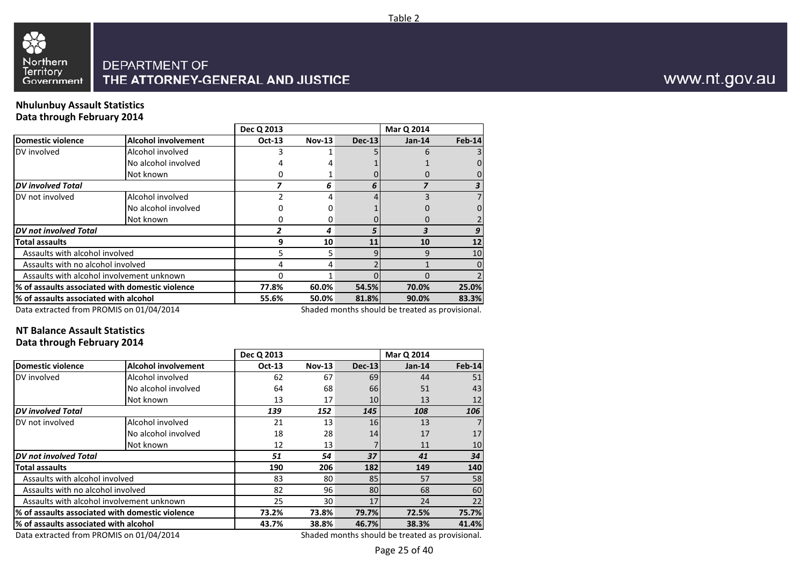

#### **Nhulunbuy Assault StatisticsData through February 2014**

|                                                          |                                                 | Dec Q 2013    |               |               | Mar Q 2014                                                                    |          |
|----------------------------------------------------------|-------------------------------------------------|---------------|---------------|---------------|-------------------------------------------------------------------------------|----------|
| Domestic violence                                        | <b>Alcohol involvement</b>                      | <b>Oct-13</b> | <b>Nov-13</b> | <b>Dec-13</b> | $Jan-14$                                                                      | Feb-14   |
| DV involved                                              | Alcohol involved                                |               |               |               | h                                                                             |          |
|                                                          | No alcohol involved                             |               |               |               |                                                                               |          |
|                                                          | Not known                                       |               |               |               |                                                                               |          |
| <b>DV</b> involved Total                                 |                                                 |               | 6             | 6             |                                                                               |          |
| DV not involved                                          | Alcohol involved                                |               |               |               |                                                                               |          |
|                                                          | No alcohol involved                             |               |               |               |                                                                               |          |
|                                                          | Not known                                       |               | Ω             |               |                                                                               |          |
| DV not involved Total                                    |                                                 |               | 4             |               |                                                                               |          |
| <b>Total assaults</b>                                    |                                                 | 9             | 10            | 11            | 10                                                                            | 12       |
| Assaults with alcohol involved                           |                                                 |               | 5             | g             | 9                                                                             | 10       |
| Assaults with no alcohol involved                        |                                                 |               |               |               |                                                                               | $\Omega$ |
|                                                          | Assaults with alcohol involvement unknown       | O             |               |               |                                                                               |          |
|                                                          | % of assaults associated with domestic violence | 77.8%         | 60.0%         | 54.5%         | 70.0%                                                                         | 25.0%    |
| % of assaults associated with alcohol                    |                                                 | 55.6%         | 50.0%         | 81.8%         | 90.0%                                                                         | 83.3%    |
| $D_{\text{obs}}$ schools of frame DDOMAIC and 04/04/3044 |                                                 |               |               |               | والمستملحات ومستسلم والمتفقف مستلفاتها المراوية والمستقل والمستحدة والمستحداث |          |

Data extracted from PROMIS on 01/04/2014

Shaded months should be treated as provisional.

## **NT Balance Assault Statistics**

#### **Data through February 2014**

|                                          |                                                 | Dec Q 2013    |               |               | Mar Q 2014                                      |          |
|------------------------------------------|-------------------------------------------------|---------------|---------------|---------------|-------------------------------------------------|----------|
| <b>Domestic violence</b>                 | <b>Alcohol involvement</b>                      | <b>Oct-13</b> | <b>Nov-13</b> | <b>Dec-13</b> | $Jan-14$                                        | $Feb-14$ |
| DV involved                              | Alcohol involved                                | 62            | 67            | 69            | 44                                              | 51       |
|                                          | No alcohol involved                             | 64            | 68            | 66            | 51                                              | 43       |
|                                          | Not known                                       | 13            | 17            | 10            | 13                                              | 12       |
| <b>DV</b> involved Total                 |                                                 | 139           | 152           | 145           | 108                                             | 106      |
| DV not involved                          | Alcohol involved                                | 21            | 13            | 16            | 13                                              |          |
|                                          | No alcohol involved                             | 18            | 28            | 14            | 17                                              | 17       |
|                                          | Not known                                       | 12            | 13            |               | 11                                              | 10       |
| <b>DV</b> not involved Total             |                                                 | 51            | 54            | 37            | 41                                              | 34       |
| <b>Total assaults</b>                    |                                                 | 190           | 206           | 182           | 149                                             | 140      |
| Assaults with alcohol involved           |                                                 | 83            | 80            | 85            | 57                                              | 58       |
| Assaults with no alcohol involved        |                                                 | 82            | 96            | 80            | 68                                              | 60       |
|                                          | Assaults with alcohol involvement unknown       | 25            | 30            | 17            | 24                                              | 22       |
|                                          | % of assaults associated with domestic violence | 73.2%         | 73.8%         | 79.7%         | 72.5%                                           | 75.7%    |
| % of assaults associated with alcohol    |                                                 | 43.7%         | 38.8%         | 46.7%         | 38.3%                                           | 41.4%    |
| Data extracted from PROMIS on 01/04/2014 |                                                 |               |               |               | Shaded months should be treated as provisional. |          |

Data extracted from PROMIS on 01/04/2014

www.nt.gov.au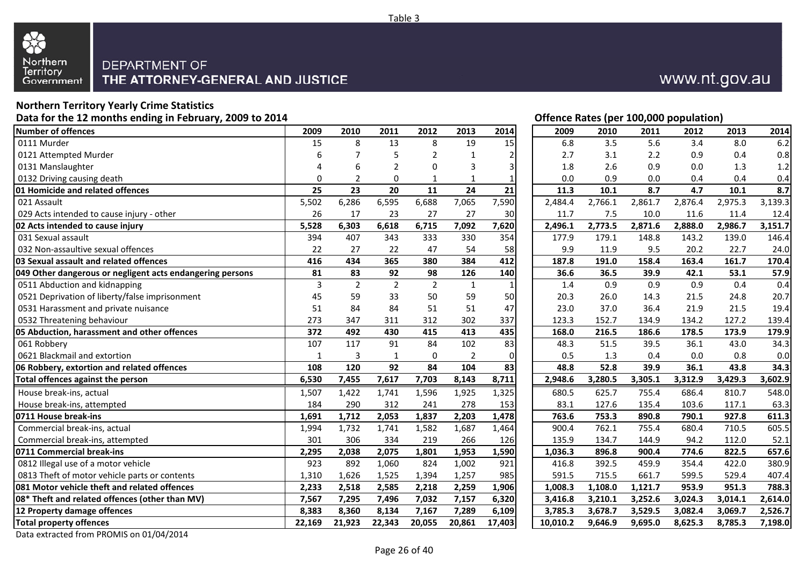

## **Northern Territory Yearly Crime Statistics**

 **Data for the 12 months ending in February, 2009 to 2014Offence Rates (per 100,000 population)**<br> **Offence Rates (per 100,000 population)**<br> **Offence Rates (per 100,000 population) Number of offences <sup>2009</sup>** 0111 Murderr 15 0121 Attempted Murder $\sim$  6 0131 Manslaughter 4 0132 Driving causing death 0 **01 Homicide and related offences 25**021 Assault 5,502 029 Acts intended to cause injury - otherr 26 **02 Acts intended to cause injury 5,528** 031 Sexual assault <sup>394</sup> 032 Non-assaultive sexual offencess and  $\sim$  22 **03 Sexual assault and related offences 416049 Other dangerous or negligent acts endangering persons 81**0511 Abduction and kidnapping 3 0521 Deprivation of liberty/false imprisonment 45 0531 Harassment and private nuisance 510532 Threatening behaviour 273 **05 Abduction, harassment and other offences 372** 061 Robberyy 107 0621 Blackmail and extortionn 1 3 1 0 2 0 0.5 1.3 0.4 0.0 0.8 0.0 **06 Robbery, extortion and related offences** 108 Total offences against the person **6,530**  House break-ins, actual 1,507 1,422 1,741 1,596 1,925 1,325 680.5 625.7 755.4 686.4 810.7 548.0 House break-ins, attempted <sup>184</sup> <sup>290</sup> <sup>312</sup> <sup>241</sup> <sup>278</sup> <sup>153</sup> 83.1 127.6 135.4 103.6 117.1 63.3 **0711 House break-ins 1,691**  Commercial break-ins, actual 1,994 Commercial break-ins, attempted <sup>301</sup> <sup>306</sup> <sup>334</sup> <sup>219</sup> <sup>266</sup> <sup>126</sup> 135.9 134.7 144.9 94.2 112.0 52.1 **0711 Commercial break-ins 2,295**0812 Illegal use of a motor vehicle 1923 0813 Theft of motor vehicle parts or contents 1,310 **081 Motor vehicle theft and related offences 2,23308\* Theft and related offences (other than MV) 7,56712 Property damage offences** 8,383 **Total property offences** 22,169

www.nt.gov.au

|                           |                 |                 |                  |                 |                 | Offence Rates (per 100,000 population) |         |         |                  |         |                  |
|---------------------------|-----------------|-----------------|------------------|-----------------|-----------------|----------------------------------------|---------|---------|------------------|---------|------------------|
| 9                         | 2010            | 2011            | 2012             | 2013            | 2014            | 2009                                   | 2010    | 2011    | 2012             | 2013    | 2014             |
| $\overline{5}$            | 8               | 13              | 8                | 19              | 15              | 6.8                                    | 3.5     | 5.6     | 3.4              | 8.0     | 6.2              |
| 6                         | 7               | 5               | $\overline{2}$   | 1               | 2               | 2.7                                    | 3.1     | 2.2     | 0.9              | 0.4     | 0.8              |
| 4                         | 6               | $\overline{2}$  | 0                | 3               | 3               | 1.8                                    | 2.6     | 0.9     | 0.0              | 1.3     | 1.2              |
| 0                         | $\overline{2}$  | $\mathbf 0$     | 1                | 1               | 1               | 0.0                                    | 0.9     | 0.0     | 0.4              | 0.4     | 0.4              |
| 5                         | $\overline{23}$ | $\overline{20}$ | $\overline{11}$  | $\overline{24}$ | $\overline{21}$ | 11.3                                   | 10.1    | 8.7     | $\overline{4.7}$ | 10.1    | $\overline{8.7}$ |
| $\overline{2}$            | 6,286           | 6,595           | 6,688            | 7,065           | 7,590           | 2,484.4                                | 2,766.1 | 2,861.7 | 2,876.4          | 2,975.3 | 3,139.3          |
| $\overline{6}$            | 17              | 23              | 27               | 27              | 30              | 11.7                                   | 7.5     | 10.0    | 11.6             | 11.4    | 12.4             |
| 8                         | 6,303           | 6,618           | 6,715            | 7,092           | 7,620           | 2,496.1                                | 2,773.5 | 2,871.6 | 2,888.0          | 2,986.7 | 3,151.7          |
| 4                         | 407             | 343             | 333              | 330             | 354             | 177.9                                  | 179.1   | 148.8   | 143.2            | 139.0   | 146.4            |
| 2                         | 27              | 22              | 47               | 54              | 58              | 9.9                                    | 11.9    | 9.5     | 20.2             | 22.7    | 24.0             |
| 6                         | 434             | 365             | 380              | 384             | 412             | 187.8                                  | 191.0   | 158.4   | 163.4            | 161.7   | 170.4            |
| $\overline{\mathbf{1}}$   | 83              | 92              | 98               | 126             | 140             | 36.6                                   | 36.5    | 39.9    | 42.1             | 53.1    | 57.9             |
| $\overline{\overline{3}}$ | $\overline{2}$  | $\overline{2}$  | $\overline{2}$   | $\mathbf{1}$    | 1               | 1.4                                    | 0.9     | 0.9     | 0.9              | 0.4     | 0.4              |
| 5                         | 59              | 33              | 50               | 59              | 50              | 20.3                                   | 26.0    | 14.3    | 21.5             | 24.8    | 20.7             |
| 1                         | 84              | 84              | 51               | 51              | 47              | 23.0                                   | 37.0    | 36.4    | 21.9             | 21.5    | 19.4             |
| 3                         | 347             | 311             | 312              | 302             | 337             | 123.3                                  | 152.7   | 134.9   | 134.2            | 127.2   | 139.4            |
| 2                         | 492             | 430             | 415              | 413             | 435             | 168.0                                  | 216.5   | 186.6   | 178.5            | 173.9   | 179.9            |
| $\overline{7}$            | 117             | 91              | 84               | 102             | 83              | 48.3                                   | 51.5    | 39.5    | 36.1             | 43.0    | 34.3             |
| $\overline{1}$            | 3               | 1               | $\boldsymbol{0}$ | $\overline{2}$  | 0               | 0.5                                    | 1.3     | 0.4     | 0.0              | 0.8     | 0.0              |
| 8                         | 120             | 92              | 84               | 104             | 83              | 48.8                                   | 52.8    | 39.9    | 36.1             | 43.8    | 34.3             |
| 0                         | 7,455           | 7,617           | 7,703            | 8,143           | 8,711           | 2,948.6                                | 3,280.5 | 3,305.1 | 3,312.9          | 3,429.3 | 3,602.9          |
| $\overline{7}$            | 1,422           | 1,741           | 1,596            | 1,925           | 1,325           | 680.5                                  | 625.7   | 755.4   | 686.4            | 810.7   | 548.0            |
| 4                         | 290             | 312             | 241              | 278             | 153             | 83.1                                   | 127.6   | 135.4   | 103.6            | 117.1   | 63.3             |
| 1                         | 1,712           | 2,053           | 1,837            | 2,203           | 1,478           | 763.6                                  | 753.3   | 890.8   | 790.1            | 927.8   | 611.3            |
| 4                         | 1,732           | 1,741           | 1,582            | 1,687           | 1,464           | 900.4                                  | 762.1   | 755.4   | 680.4            | 710.5   | 605.5            |
| 1                         | 306             | 334             | 219              | 266             | 126             | 135.9                                  | 134.7   | 144.9   | 94.2             | 112.0   | 52.1             |
| 5                         | 2,038           | 2,075           | 1,801            | 1,953           | 1,590           | 1,036.3                                | 896.8   | 900.4   | 774.6            | 822.5   | 657.6            |
| $\overline{\mathbf{3}}$   | 892             | 1,060           | 824              | 1,002           | 921             | 416.8                                  | 392.5   | 459.9   | 354.4            | 422.0   | 380.9            |
| 0                         | 1,626           | 1,525           | 1,394            | 1,257           | 985             | 591.5                                  | 715.5   | 661.7   | 599.5            | 529.4   | 407.4            |
| 3                         | 2,518           | 2,585           | 2,218            | 2,259           | 1,906           | 1,008.3                                | 1,108.0 | 1,121.7 | 953.9            | 951.3   | 788.3            |
| 7                         | 7,295           | 7,496           | 7,032            | 7,157           | 6,320           | 3,416.8                                | 3,210.1 | 3,252.6 | 3,024.3          | 3,014.1 | 2,614.0          |
| 3                         | 8,360           | 8,134           | 7,167            | 7,289           | 6,109           | 3,785.3                                | 3,678.7 | 3,529.5 | 3,082.4          | 3,069.7 | 2,526.7          |
| 9                         | 21,923          | 22,343          | 20,055           | 20,861          | 17,403          | 10,010.2                               | 9,646.9 | 9,695.0 | 8,625.3          | 8,785.3 | 7,198.0          |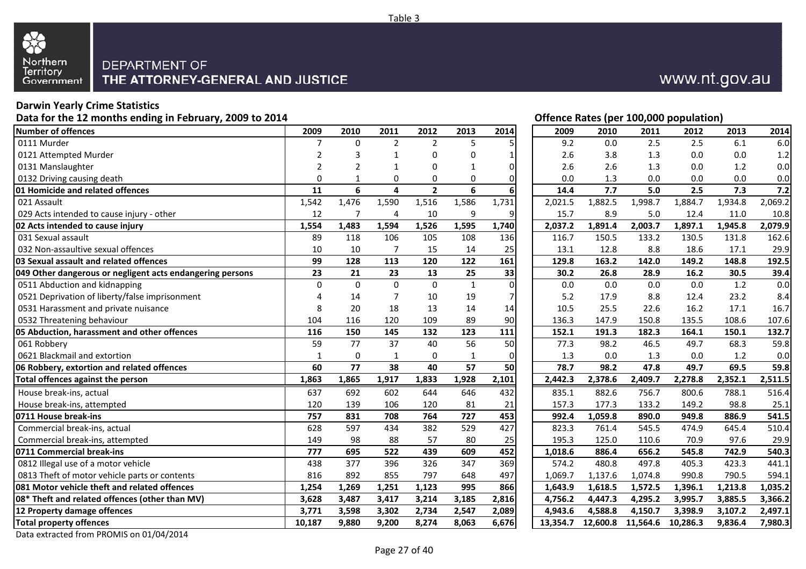

## www.nt.gov.au

### **Darwin Yearly Crime Statistics**

**Data for the 12 months ending in February, 2009 to 2014**

| <b>Number of offences</b>                                 | 2009            | 2010            | 2011           | 2012                    | 2013           | 2014         | 2009     | 2010        | 2011              | 2012     | 2013    | 2014    |
|-----------------------------------------------------------|-----------------|-----------------|----------------|-------------------------|----------------|--------------|----------|-------------|-------------------|----------|---------|---------|
| 0111 Murder                                               | 7               | $\Omega$        | $\overline{2}$ | $\overline{2}$          | 5              | 5            |          | 9.2<br>0.0  | 2.5               | 2.5      | 6.1     | 6.0     |
| 0121 Attempted Murder                                     | 2               | 3               |                | $\Omega$                | O              | $\mathbf{1}$ |          | 2.6<br>3.8  | 1.3               | 0.0      | 0.0     | 1.2     |
| 0131 Manslaughter                                         | $\overline{2}$  |                 |                | $\Omega$                |                | 0            |          | 2.6<br>2.6  | 1.3               | 0.0      | 1.2     | 0.0     |
| 0132 Driving causing death                                | $\Omega$        | 1               | 0              | 0                       | 0              | $\pmb{0}$    |          | 0.0<br>1.3  | 0.0               | 0.0      | 0.0     | 0.0     |
| 01 Homicide and related offences                          | 11              | 6               | 4              | $\overline{\mathbf{2}}$ | $\overline{6}$ | 6            | 14.4     | 7.7         | $\overline{5.0}$  | 2.5      | 7.3     | 7.2     |
| 021 Assault                                               | 1,542           | 1,476           | 1,590          | 1,516                   | 1,586          | 1,731        | 2,021.5  | 1,882.5     | 1,998.7           | 1,884.7  | 1,934.8 | 2,069.2 |
| 029 Acts intended to cause injury - other                 | 12              | 7               | 4              | 10                      | 9              | 9            | 15.7     | 8.9         | 5.0               | 12.4     | 11.0    | 10.8    |
| 02 Acts intended to cause injury                          | 1,554           | 1,483           | 1,594          | 1,526                   | 1,595          | 1,740        | 2,037.2  | 1,891.4     | 2,003.7           | 1,897.1  | 1,945.8 | 2,079.9 |
| 031 Sexual assault                                        | 89              | 118             | 106            | 105                     | 108            | 136          | 116.7    | 150.5       | 133.2             | 130.5    | 131.8   | 162.6   |
| 032 Non-assaultive sexual offences                        | 10              | 10              | $\overline{7}$ | 15                      | 14             | 25           | 13.1     | 12.8        | 8.8               | 18.6     | 17.1    | 29.9    |
| 03 Sexual assault and related offences                    | 99              | 128             | 113            | 120                     | 122            | 161          | 129.8    | 163.2       | 142.0             | 149.2    | 148.8   | 192.5   |
| 049 Other dangerous or negligent acts endangering persons | $\overline{23}$ | 21              | 23             | 13                      | 25             | 33           | 30.2     | 26.8        | 28.9              | 16.2     | 30.5    | 39.4    |
| 0511 Abduction and kidnapping                             | $\mathbf 0$     | $\Omega$        | $\Omega$       | $\mathbf 0$             | $\mathbf{1}$   | 0            |          | 0.0<br>0.0  | 0.0               | 0.0      | 1.2     | 0.0     |
| 0521 Deprivation of liberty/false imprisonment            | Δ               | 14              | 7              | 10                      | 19             | 7            |          | 17.9<br>5.2 | 8.8               | 12.4     | 23.2    | 8.4     |
| 0531 Harassment and private nuisance                      | 8               | 20              | 18             | 13                      | 14             | 14           | 10.5     | 25.5        | 22.6              | 16.2     | 17.1    | 16.7    |
| 0532 Threatening behaviour                                | 104             | 116             | 120            | 109                     | 89             | 90           | 136.3    | 147.9       | 150.8             | 135.5    | 108.6   | 107.6   |
| 05 Abduction, harassment and other offences               | 116             | 150             | 145            | 132                     | 123            | 111          | 152.1    | 191.3       | 182.3             | 164.1    | 150.1   | 132.7   |
| 061 Robbery                                               | 59              | 77              | 37             | 40                      | 56             | 50           | 77.3     | 98.2        | 46.5              | 49.7     | 68.3    | 59.8    |
| 0621 Blackmail and extortion                              | 1               | 0               | 1              | $\mathbf 0$             | $\mathbf{1}$   | 0            |          | 1.3<br>0.0  | 1.3               | 0.0      | 1.2     | 0.0     |
| 06 Robbery, extortion and related offences                | 60              | $\overline{77}$ | 38             | 40                      | 57             | 50           | 78.7     | 98.2        | 47.8              | 49.7     | 69.5    | 59.8    |
| Total offences against the person                         | 1,863           | 1,865           | 1,917          | 1,833                   | 1,928          | 2,101        | 2,442.3  | 2,378.6     | 2,409.7           | 2,278.8  | 2,352.1 | 2,511.5 |
| House break-ins, actual                                   | 637             | 692             | 602            | 644                     | 646            | 432          | 835.1    | 882.6       | 756.7             | 800.6    | 788.1   | 516.4   |
| House break-ins, attempted                                | 120             | 139             | 106            | 120                     | 81             | 21           | 157.3    | 177.3       | 133.2             | 149.2    | 98.8    | 25.1    |
| 0711 House break-ins                                      | 757             | 831             | 708            | 764                     | 727            | 453          | 992.4    | 1,059.8     | 890.0             | 949.8    | 886.9   | 541.5   |
| Commercial break-ins, actual                              | 628             | 597             | 434            | 382                     | 529            | 427          | 823.3    | 761.4       | 545.5             | 474.9    | 645.4   | 510.4   |
| Commercial break-ins, attempted                           | 149             | 98              | 88             | 57                      | 80             | 25           | 195.3    | 125.0       | 110.6             | 70.9     | 97.6    | 29.9    |
| 0711 Commercial break-ins                                 | 777             | 695             | 522            | 439                     | 609            | 452          | 1,018.6  | 886.4       | 656.2             | 545.8    | 742.9   | 540.3   |
| 0812 Illegal use of a motor vehicle                       | 438             | 377             | 396            | 326                     | 347            | 369          | 574.2    | 480.8       | 497.8             | 405.3    | 423.3   | 441.1   |
| 0813 Theft of motor vehicle parts or contents             | 816             | 892             | 855            | 797                     | 648            | 497          | 1,069.7  | 1,137.6     | 1,074.8           | 990.8    | 790.5   | 594.1   |
| 081 Motor vehicle theft and related offences              | 1,254           | 1,269           | 1,251          | 1,123                   | 995            | 866          | 1,643.9  | 1,618.5     | 1,572.5           | 1,396.1  | 1,213.8 | 1,035.2 |
| 08* Theft and related offences (other than MV)            | 3,628           | 3,487           | 3,417          | 3,214                   | 3,185          | 2,816        | 4,756.2  | 4,447.3     | 4,295.2           | 3,995.7  | 3,885.5 | 3,366.2 |
| 12 Property damage offences                               | 3,771           | 3,598           | 3,302          | 2,734                   | 2,547          | 2,089        | 4,943.6  | 4,588.8     | 4,150.7           | 3,398.9  | 3,107.2 | 2,497.1 |
| <b>Total property offences</b>                            | 10,187          | 9,880           | 9,200          | 8,274                   | 8,063          | 6,676        | 13,354.7 |             | 12,600.8 11,564.6 | 10,286.3 | 9,836.4 | 7,980.3 |
|                                                           |                 |                 |                |                         |                |              |          |             |                   |          |         |         |

| 4 |                |             |                |                         |              |                |          |          |          | Offence Rates (per 100,000 population) |         |         |
|---|----------------|-------------|----------------|-------------------------|--------------|----------------|----------|----------|----------|----------------------------------------|---------|---------|
|   | 2009           | 2010        | 2011           | 2012                    | 2013         | 2014           | 2009     | 2010     | 2011     | 2012                                   | 2013    | 2014    |
|   | 7              | $\mathbf 0$ | $\overline{2}$ | $\overline{2}$          | 5            |                | 9.2      | 0.0      | 2.5      | 2.5                                    | 6.1     | 6.0     |
|   | 2              | 3           | 1              | 0                       | 0            |                | 2.6      | 3.8      | 1.3      | 0.0                                    | 0.0     | 1.2     |
|   | $\overline{2}$ | 2           | 1              | 0                       | 1            | $\overline{0}$ | 2.6      | 2.6      | 1.3      | 0.0                                    | 1.2     | 0.0     |
|   | 0              | 1           | 0              | 0                       | 0            | $\Omega$       | 0.0      | 1.3      | 0.0      | 0.0                                    | 0.0     | 0.0     |
|   | 11             | 6           | 4              | $\overline{\mathbf{2}}$ | 6            | 6              | 14.4     | 7.7      | 5.0      | 2.5                                    | 7.3     | 7.2     |
|   | 1,542          | 1,476       | 1,590          | 1,516                   | 1,586        | 1,731          | 2,021.5  | 1,882.5  | 1,998.7  | 1,884.7                                | 1,934.8 | 2,069.2 |
|   | 12             | 7           | 4              | $10\,$                  | 9            | 9              | 15.7     | 8.9      | $5.0$    | 12.4                                   | 11.0    | 10.8    |
|   | 1,554          | 1,483       | 1,594          | 1,526                   | 1,595        | 1,740          | 2,037.2  | 1,891.4  | 2,003.7  | 1,897.1                                | 1,945.8 | 2,079.9 |
|   | 89             | 118         | 106            | 105                     | 108          | 136            | 116.7    | 150.5    | 133.2    | 130.5                                  | 131.8   | 162.6   |
|   | 10             | $10\,$      | 7              | 15                      | 14           | 25             | 13.1     | 12.8     | 8.8      | 18.6                                   | 17.1    | 29.9    |
|   | 99             | 128         | 113            | 120                     | 122          | 161            | 129.8    | 163.2    | 142.0    | 149.2                                  | 148.8   | 192.5   |
|   | 23             | 21          | 23             | 13                      | 25           | 33             | 30.2     | 26.8     | 28.9     | 16.2                                   | 30.5    | 39.4    |
|   | $\pmb{0}$      | $\mathbf 0$ | $\pmb{0}$      | $\pmb{0}$               | $\mathbf{1}$ | $\mathbf 0$    | $0.0\,$  | 0.0      | 0.0      | $0.0\,$                                | 1.2     | 0.0     |
|   | 4              | 14          | 7              | $10\,$                  | 19           | 7              | $5.2$    | 17.9     | 8.8      | 12.4                                   | 23.2    | 8.4     |
|   | 8              | 20          | 18             | 13                      | 14           | 14             | 10.5     | 25.5     | 22.6     | 16.2                                   | 17.1    | 16.7    |
|   | 104            | 116         | 120            | 109                     | 89           | 90             | 136.3    | 147.9    | 150.8    | 135.5                                  | 108.6   | 107.6   |
|   | 116            | 150         | 145            | 132                     | 123          | 111            | 152.1    | 191.3    | 182.3    | 164.1                                  | 150.1   | 132.7   |
|   | 59             | 77          | 37             | 40                      | 56           | 50             | 77.3     | 98.2     | 46.5     | 49.7                                   | 68.3    | 59.8    |
|   | $\mathbf{1}$   | 0           | 1              | 0                       | 1            | 0              | 1.3      | 0.0      | 1.3      | 0.0                                    | 1.2     | 0.0     |
|   | 60             | 77          | 38             | 40                      | 57           | 50             | 78.7     | 98.2     | 47.8     | 49.7                                   | 69.5    | 59.8    |
|   | 1,863          | 1,865       | 1,917          | 1,833                   | 1,928        | 2,101          | 2,442.3  | 2,378.6  | 2,409.7  | 2,278.8                                | 2,352.1 | 2,511.5 |
|   | 637            | 692         | 602            | 644                     | 646          | 432            | 835.1    | 882.6    | 756.7    | 800.6                                  | 788.1   | 516.4   |
|   | 120            | 139         | 106            | 120                     | 81           | 21             | 157.3    | 177.3    | 133.2    | 149.2                                  | 98.8    | 25.1    |
|   | 757            | 831         | 708            | 764                     | 727          | 453            | 992.4    | 1,059.8  | 890.0    | 949.8                                  | 886.9   | 541.5   |
|   | 628            | 597         | 434            | 382                     | 529          | 427            | 823.3    | 761.4    | 545.5    | 474.9                                  | 645.4   | 510.4   |
|   | 149            | 98          | 88             | 57                      | 80           | 25             | 195.3    | 125.0    | 110.6    | 70.9                                   | 97.6    | 29.9    |
|   | 777            | 695         | 522            | 439                     | 609          | 452            | 1,018.6  | 886.4    | 656.2    | 545.8                                  | 742.9   | 540.3   |
|   | 438            | 377         | 396            | 326                     | 347          | 369            | 574.2    | 480.8    | 497.8    | 405.3                                  | 423.3   | 441.1   |
|   | 816            | 892         | 855            | 797                     | 648          | 497            | 1,069.7  | 1,137.6  | 1,074.8  | 990.8                                  | 790.5   | 594.1   |
|   | 1,254          | 1,269       | 1,251          | 1,123                   | 995          | 866            | 1,643.9  | 1,618.5  | 1,572.5  | 1,396.1                                | 1,213.8 | 1,035.2 |
|   | 3,628          | 3,487       | 3,417          | 3,214                   | 3,185        | 2,816          | 4,756.2  | 4,447.3  | 4,295.2  | 3,995.7                                | 3,885.5 | 3,366.2 |
|   | 3,771          | 3,598       | 3,302          | 2,734                   | 2,547        | 2,089          | 4,943.6  | 4,588.8  | 4,150.7  | 3,398.9                                | 3,107.2 | 2,497.1 |
|   | 10,187         | 9,880       | 9,200          | 8,274                   | 8,063        | 6,676          | 13,354.7 | 12,600.8 | 11,564.6 | 10,286.3                               | 9,836.4 | 7,980.3 |

Data extracted from PROMIS on 01/04/2014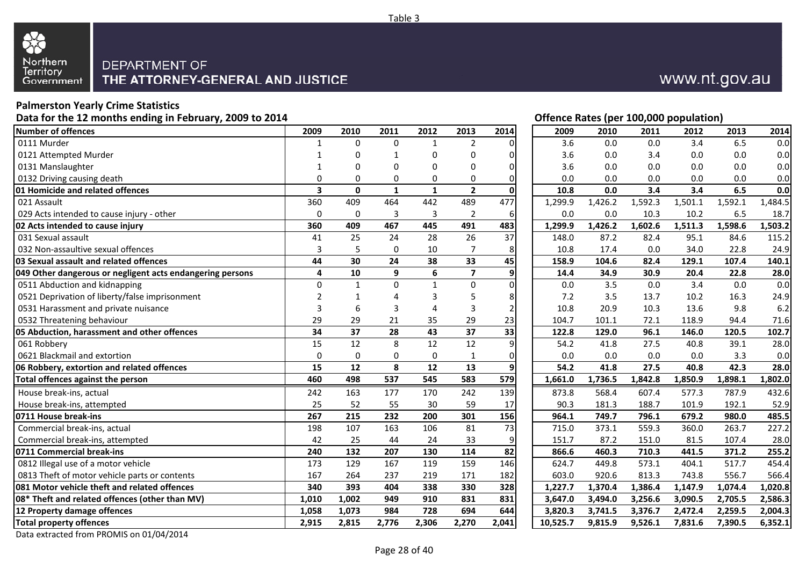

## www.nt.gov.au

### **Palmerston Yearly Crime Statistics**

**Data for the 12 months ending in February, 2009 to 2014**

| Number of offences                                        | 2009                    | 2010         | 2011         | 2012            | 2013                    | 2014             | 2009     | 2010       | 2011    | 2012    | 2013    | 2014    |
|-----------------------------------------------------------|-------------------------|--------------|--------------|-----------------|-------------------------|------------------|----------|------------|---------|---------|---------|---------|
| 0111 Murder                                               | 1                       | $\Omega$     | 0            | -1              | $\overline{2}$          | ŋ                |          | 3.6<br>0.0 | 0.0     | 3.4     | 6.5     | 0.0     |
| 0121 Attempted Murder                                     | 1                       | U            | 1            | $\Omega$        | $\Omega$                | 0                |          | 3.6<br>0.0 | 3.4     | 0.0     | 0.0     | 0.0     |
| 0131 Manslaughter                                         |                         | O            | 0            | $\Omega$        | 0                       | 0                |          | 3.6<br>0.0 | 0.0     | 0.0     | 0.0     | 0.0     |
| 0132 Driving causing death                                | 0                       | $\Omega$     | 0            | 0               | 0                       | 0                |          | 0.0<br>0.0 | 0.0     | 0.0     | 0.0     | 0.0     |
| 01 Homicide and related offences                          | $\overline{\mathbf{3}}$ | $\mathbf{0}$ | $\mathbf{1}$ | $\mathbf{1}$    | $\overline{2}$          | $\mathbf 0$      | 10.8     | 0.0        | 3.4     | 3.4     | 6.5     | 0.0     |
| 021 Assault                                               | 360                     | 409          | 464          | 442             | 489                     | 477              | 1,299.9  | 1,426.2    | 1,592.3 | 1,501.1 | 1,592.1 | 1,484.5 |
| 029 Acts intended to cause injury - other                 | $\mathbf 0$             | 0            | 3            | 3               | $\overline{2}$          | 6                |          | 0.0<br>0.0 | 10.3    | 10.2    | 6.5     | 18.7    |
| 02 Acts intended to cause injury                          | 360                     | 409          | 467          | 445             | 491                     | 483              | 1,299.9  | 1,426.2    | 1,602.6 | 1,511.3 | 1,598.6 | 1,503.2 |
| 031 Sexual assault                                        | 41                      | 25           | 24           | 28              | 26                      | 37               | 148.0    | 87.2       | 82.4    | 95.1    | 84.6    | 115.2   |
| 032 Non-assaultive sexual offences                        | 3                       | 5            | 0            | 10              | 7                       | 8                | 10.8     | 17.4       | 0.0     | 34.0    | 22.8    | 24.9    |
| 03 Sexual assault and related offences                    | 44                      | 30           | 24           | 38              | 33                      | 45               | 158.9    | 104.6      | 82.4    | 129.1   | 107.4   | 140.1   |
| 049 Other dangerous or negligent acts endangering persons | 4                       | 10           | 9            | 6               | $\overline{\mathbf{z}}$ | 9                | 14.4     | 34.9       | 30.9    | 20.4    | 22.8    | 28.0    |
| 0511 Abduction and kidnapping                             | $\Omega$                | 1            | $\Omega$     | $\mathbf{1}$    | $\mathbf 0$             | $\overline{0}$   |          | 3.5<br>0.0 | 0.0     | 3.4     | 0.0     | 0.0     |
| 0521 Deprivation of liberty/false imprisonment            | $\overline{2}$          | $\mathbf 1$  | 4            | 3               | 5                       | 8                |          | 7.2<br>3.5 | 13.7    | 10.2    | 16.3    | 24.9    |
| 0531 Harassment and private nuisance                      | 3                       | 6            | 3            | 4               | 3                       | $\overline{2}$   | 10.8     | 20.9       | 10.3    | 13.6    | 9.8     | 6.2     |
| 0532 Threatening behaviour                                | 29                      | 29           | 21           | 35              | 29                      | 23               | 104.7    | 101.1      | 72.1    | 118.9   | 94.4    | 71.6    |
| 05 Abduction, harassment and other offences               | 34                      | 37           | 28           | 43              | 37                      | 33               | 122.8    | 129.0      | 96.1    | 146.0   | 120.5   | 102.7   |
| 061 Robbery                                               | 15                      | 12           | 8            | $\overline{12}$ | 12                      | $\overline{9}$   | 54.2     | 41.8       | 27.5    | 40.8    | 39.1    | 28.0    |
| 0621 Blackmail and extortion                              | $\mathbf 0$             | 0            | 0            | $\pmb{0}$       | 1                       | $\pmb{0}$        |          | 0.0<br>0.0 | 0.0     | 0.0     | 3.3     | 0.0     |
| 06 Robbery, extortion and related offences                | 15                      | 12           | 8            | 12              | 13                      | $\boldsymbol{9}$ | 54.2     | 41.8       | 27.5    | 40.8    | 42.3    | 28.0    |
| Total offences against the person                         | 460                     | 498          | 537          | 545             | 583                     | 579              | 1,661.0  | 1,736.5    | 1,842.8 | 1,850.9 | 1,898.1 | 1,802.0 |
| House break-ins, actual                                   | 242                     | 163          | 177          | 170             | 242                     | 139              | 873.8    | 568.4      | 607.4   | 577.3   | 787.9   | 432.6   |
| House break-ins, attempted                                | 25                      | 52           | 55           | 30              | 59                      | 17               | 90.3     | 181.3      | 188.7   | 101.9   | 192.1   | 52.9    |
| 0711 House break-ins                                      | 267                     | 215          | 232          | 200             | 301                     | 156              | 964.1    | 749.7      | 796.1   | 679.2   | 980.0   | 485.5   |
| Commercial break-ins, actual                              | 198                     | 107          | 163          | 106             | 81                      | $\overline{73}$  | 715.0    | 373.1      | 559.3   | 360.0   | 263.7   | 227.2   |
| Commercial break-ins, attempted                           | 42                      | 25           | 44           | 24              | 33                      | 9                | 151.7    | 87.2       | 151.0   | 81.5    | 107.4   | 28.0    |
| 0711 Commercial break-ins                                 | 240                     | 132          | 207          | 130             | 114                     | $\overline{82}$  | 866.6    | 460.3      | 710.3   | 441.5   | 371.2   | 255.2   |
| 0812 Illegal use of a motor vehicle                       | 173                     | 129          | 167          | 119             | 159                     | 146              | 624.7    | 449.8      | 573.1   | 404.1   | 517.7   | 454.4   |
| 0813 Theft of motor vehicle parts or contents             | 167                     | 264          | 237          | 219             | 171                     | 182              | 603.0    | 920.6      | 813.3   | 743.8   | 556.7   | 566.4   |
| 081 Motor vehicle theft and related offences              | 340                     | 393          | 404          | 338             | 330                     | 328              | 1,227.7  | 1,370.4    | 1,386.4 | 1,147.9 | 1,074.4 | 1,020.8 |
| 08* Theft and related offences (other than MV)            | 1,010                   | 1,002        | 949          | 910             | 831                     | 831              | 3,647.0  | 3,494.0    | 3,256.6 | 3,090.5 | 2,705.5 | 2,586.3 |
| 12 Property damage offences                               | 1,058                   | 1,073        | 984          | 728             | 694                     | 644              | 3,820.3  | 3,741.5    | 3,376.7 | 2,472.4 | 2,259.5 | 2,004.3 |
| <b>Total property offences</b>                            | 2,915                   | 2,815        | 2,776        | 2,306           | 2,270                   | 2,041            | 10,525.7 | 9,815.9    | 9,526.1 | 7,831.6 | 7,390.5 | 6,352.1 |
|                                                           |                         |              |              |                 |                         |                  |          |            |         |         |         |         |

|             |              |           |                  |                         |                | Offence Rates (per 100,000 population) |         |         |         |         |         |
|-------------|--------------|-----------|------------------|-------------------------|----------------|----------------------------------------|---------|---------|---------|---------|---------|
| 2009        | 2010         | 2011      | 2012             | 2013                    | 2014           | 2009                                   | 2010    | 2011    | 2012    | 2013    | 2014    |
| 1           | $\mathbf 0$  | 0         | $\mathbf{1}$     | $\overline{2}$          | 0              | 3.6                                    | 0.0     | 0.0     | 3.4     | 6.5     |         |
| 1           | 0            | 1         | $\boldsymbol{0}$ | 0                       | 0              | 3.6                                    | 0.0     | 3.4     | 0.0     | 0.0     |         |
| 1           | 0            | 0         | 0                | 0                       | 0              | 3.6                                    | 0.0     | 0.0     | 0.0     | 0.0     |         |
| 0           | 0            | 0         | 0                | 0                       | 0              | 0.0                                    | 0.0     | 0.0     | 0.0     | 0.0     |         |
| 3           | $\mathbf 0$  | 1         | $\mathbf{1}$     | $\overline{\mathbf{2}}$ | 0              | 10.8                                   | 0.0     | 3.4     | 3.4     | 6.5     |         |
| 360         | 409          | 464       | 442              | 489                     | 477            | 1,299.9                                | 1,426.2 | 1,592.3 | 1,501.1 | 1,592.1 | 1,484.5 |
| 0           | 0            | 3         | 3                | $\overline{2}$          | 6              | 0.0                                    | 0.0     | 10.3    | 10.2    | 6.5     | 18.7    |
| 360         | 409          | 467       | 445              | 491                     | 483            | 1,299.9                                | 1,426.2 | 1,602.6 | 1,511.3 | 1,598.6 | 1,503.2 |
| 41          | 25           | 24        | 28               | 26                      | 37             | 148.0                                  | 87.2    | 82.4    | 95.1    | 84.6    | 115.2   |
| 3           | 5            | $\pmb{0}$ | $10\,$           | 7                       | 8              | 10.8                                   | 17.4    | 0.0     | 34.0    | 22.8    | 24.9    |
| 44          | 30           | 24        | 38               | 33                      | 45             | 158.9                                  | 104.6   | 82.4    | 129.1   | 107.4   | 140.1   |
| 4           | 10           | 9         | 6                | $\overline{\mathbf{z}}$ | 9              | 14.4                                   | 34.9    | 30.9    | 20.4    | 22.8    | 28.0    |
| 0           | $\mathbf{1}$ | 0         | $\mathbf{1}$     | 0                       | 0              | 0.0                                    | 3.5     | 0.0     | 3.4     | 0.0     |         |
| 2           | 1            | 4         | 3                | 5                       | 8              | 7.2                                    | 3.5     | 13.7    | 10.2    | 16.3    | 24.9    |
| 3           | 6            | 3         | 4                | 3                       | $\overline{2}$ | 10.8                                   | 20.9    | 10.3    | 13.6    | 9.8     |         |
| 29          | 29           | 21        | 35               | 29                      | 23             | 104.7                                  | 101.1   | 72.1    | 118.9   | 94.4    | 71.6    |
| 34          | 37           | 28        | 43               | 37                      | 33             | 122.8                                  | 129.0   | 96.1    | 146.0   | 120.5   | 102.7   |
| 15          | 12           | 8         | 12               | 12                      | 9              | 54.2                                   | 41.8    | 27.5    | 40.8    | 39.1    | 28.0    |
| $\mathbf 0$ | 0            | 0         | 0                | 1                       | 0              | 0.0                                    | 0.0     | 0.0     | 0.0     | 3.3     |         |
| 15          | 12           | 8         | 12               | 13                      | 9              | 54.2                                   | 41.8    | 27.5    | 40.8    | 42.3    | 28.0    |
| 460         | 498          | 537       | 545              | 583                     | 579            | 1,661.0                                | 1,736.5 | 1,842.8 | 1,850.9 | 1,898.1 | 1,802.0 |
| 242         | 163          | 177       | 170              | 242                     | 139            | 873.8                                  | 568.4   | 607.4   | 577.3   | 787.9   | 432.6   |
| 25          | 52           | 55        | 30               | 59                      | 17             | 90.3                                   | 181.3   | 188.7   | 101.9   | 192.1   | 52.9    |
| 267         | 215          | 232       | 200              | 301                     | 156            | 964.1                                  | 749.7   | 796.1   | 679.2   | 980.0   | 485.5   |
| 198         | 107          | 163       | 106              | 81                      | 73             | 715.0                                  | 373.1   | 559.3   | 360.0   | 263.7   | 227.2   |
| 42          | 25           | 44        | 24               | 33                      | 9              | 151.7                                  | 87.2    | 151.0   | 81.5    | 107.4   | 28.0    |
| 240         | 132          | 207       | 130              | 114                     | 82             | 866.6                                  | 460.3   | 710.3   | 441.5   | 371.2   | 255.2   |
| 173         | 129          | 167       | 119              | 159                     | 146            | 624.7                                  | 449.8   | 573.1   | 404.1   | 517.7   | 454.4   |
| 167         | 264          | 237       | 219              | 171                     | 182            | 603.0                                  | 920.6   | 813.3   | 743.8   | 556.7   | 566.4   |
| 340         | 393          | 404       | 338              | 330                     | 328            | 1,227.7                                | 1,370.4 | 1,386.4 | 1,147.9 | 1,074.4 | 1,020.8 |
| 1,010       | 1,002        | 949       | 910              | 831                     | 831            | 3,647.0                                | 3,494.0 | 3,256.6 | 3,090.5 | 2,705.5 | 2,586.3 |
| 1,058       | 1,073        | 984       | 728              | 694                     | 644            | 3,820.3                                | 3,741.5 | 3,376.7 | 2,472.4 | 2,259.5 | 2,004.3 |
| 2.915       | 2.815        | 2.776     | 2.306            | 2.270                   | 2.041          | 10.525.7                               | 9.815.9 | 9.526.1 | 7.831.6 | 7.390.5 | 6.352.1 |

Data extracted from PROMIS on 01/04/2014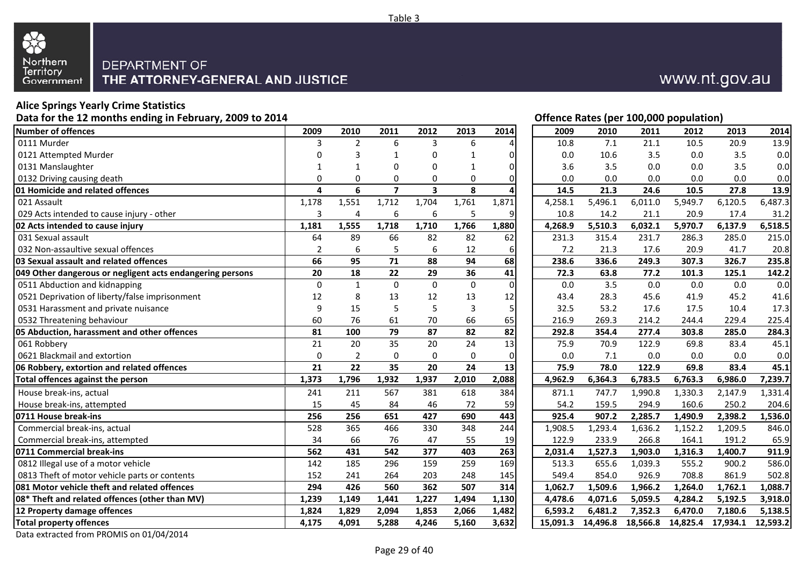

### **Alice Springs Yearly Crime Statistics**

**Data for the 12 months ending in February, 2009 to 2014**

| <b>Number of offences</b>                                 | 2009           | 2010           | 2011           | 2012                    | 2013        | 2014             | 2009     | 2010    | 2011              | 2012     | 2013     | 2014     |
|-----------------------------------------------------------|----------------|----------------|----------------|-------------------------|-------------|------------------|----------|---------|-------------------|----------|----------|----------|
| 0111 Murder                                               | 3              | $\overline{2}$ | 6              | 3                       | 6           | Δ                | 10.8     | 7.1     | 21.1              | 10.5     | 20.9     | 13.9     |
| 0121 Attempted Murder                                     | 0              | 3              |                | 0                       | -1          | 0                | 0.0      | 10.6    | 3.5               | 0.0      | 3.5      | 0.0      |
| 0131 Manslaughter                                         | 1              | -1             | 0              | $\Omega$                | 1           | 0                | 3.6      | 3.5     | 0.0               | 0.0      | 3.5      | 0.0      |
| 0132 Driving causing death                                | $\Omega$       | $\Omega$       | 0              | $\Omega$                | $\Omega$    | $\Omega$         | 0.0      | 0.0     | 0.0               | 0.0      | 0.0      | 0.0      |
| 01 Homicide and related offences                          | 4              | 6              | $\overline{7}$ | $\overline{\mathbf{3}}$ | 8           | Δ                | 14.5     | 21.3    | 24.6              | 10.5     | 27.8     | 13.9     |
| 021 Assault                                               | 1,178          | 1,551          | 1,712          | 1,704                   | 1,761       | 1,871            | 4,258.1  | 5,496.1 | 6,011.0           | 5,949.7  | 6,120.5  | 6,487.3  |
| 029 Acts intended to cause injury - other                 | 3              | 4              | 6              | 6                       | 5           | 9                | 10.8     | 14.2    | 21.1              | 20.9     | 17.4     | 31.2     |
| 02 Acts intended to cause injury                          | 1,181          | 1,555          | 1,718          | 1,710                   | 1,766       | 1,880            | 4,268.9  | 5,510.3 | 6,032.1           | 5,970.7  | 6,137.9  | 6,518.5  |
| 031 Sexual assault                                        | 64             | 89             | 66             | 82                      | 82          | 62               | 231.3    | 315.4   | 231.7             | 286.3    | 285.0    | 215.0    |
| 032 Non-assaultive sexual offences                        | $\overline{2}$ | 6              | 5              | 6                       | 12          | 6                | 7.2      | 21.3    | 17.6              | 20.9     | 41.7     | 20.8     |
| 03 Sexual assault and related offences                    | 66             | 95             | 71             | 88                      | 94          | 68               | 238.6    | 336.6   | 249.3             | 307.3    | 326.7    | 235.8    |
| 049 Other dangerous or negligent acts endangering persons | 20             | 18             | 22             | 29                      | 36          | 41               | 72.3     | 63.8    | 77.2              | 101.3    | 125.1    | 142.2    |
| 0511 Abduction and kidnapping                             | $\mathbf 0$    | $\mathbf{1}$   | $\Omega$       | $\mathbf 0$             | $\mathbf 0$ | $\pmb{0}$        | 0.0      | 3.5     | 0.0               | 0.0      | 0.0      | 0.0      |
| 0521 Deprivation of liberty/false imprisonment            | 12             | 8              | 13             | 12                      | 13          | 12               | 43.4     | 28.3    | 45.6              | 41.9     | 45.2     | 41.6     |
| 0531 Harassment and private nuisance                      | 9              | 15             | 5              | 5                       | 3           | 5                | 32.5     | 53.2    | 17.6              | 17.5     | 10.4     | 17.3     |
| 0532 Threatening behaviour                                | 60             | 76             | 61             | 70                      | 66          | 65               | 216.9    | 269.3   | 214.2             | 244.4    | 229.4    | 225.4    |
| 05 Abduction, harassment and other offences               | 81             | 100            | 79             | 87                      | 82          | 82               | 292.8    | 354.4   | 277.4             | 303.8    | 285.0    | 284.3    |
| 061 Robbery                                               | 21             | 20             | 35             | 20                      | 24          | 13               | 75.9     | 70.9    | 122.9             | 69.8     | 83.4     | 45.1     |
| 0621 Blackmail and extortion                              | 0              | $\overline{2}$ | 0              | $\mathbf 0$             | 0           | 0                | 0.0      | 7.1     | 0.0               | 0.0      | 0.0      | 0.0      |
| 06 Robbery, extortion and related offences                | 21             | 22             | 35             | 20                      | 24          | 13               | 75.9     | 78.0    | 122.9             | 69.8     | 83.4     | 45.1     |
| Total offences against the person                         | 1,373          | 1,796          | 1,932          | 1,937                   | 2,010       | 2,088            | 4,962.9  | 6,364.3 | 6,783.5           | 6,763.3  | 6,986.0  | 7,239.7  |
| House break-ins, actual                                   | 241            | 211            | 567            | 381                     | 618         | 384              | 871.1    | 747.7   | 1,990.8           | 1,330.3  | 2,147.9  | 1,331.4  |
| House break-ins, attempted                                | 15             | 45             | 84             | 46                      | 72          | 59               | 54.2     | 159.5   | 294.9             | 160.6    | 250.2    | 204.6    |
| 0711 House break-ins                                      | 256            | 256            | 651            | 427                     | 690         | 443              | 925.4    | 907.2   | 2,285.7           | 1,490.9  | 2,398.2  | 1,536.0  |
| Commercial break-ins, actual                              | 528            | 365            | 466            | 330                     | 348         | 244              | 1,908.5  | 1,293.4 | 1,636.2           | 1,152.2  | 1,209.5  | 846.0    |
| Commercial break-ins, attempted                           | 34             | 66             | 76             | 47                      | 55          | 19               | 122.9    | 233.9   | 266.8             | 164.1    | 191.2    | 65.9     |
| 0711 Commercial break-ins                                 | 562            | 431            | 542            | 377                     | 403         | $\overline{263}$ | 2,031.4  | 1,527.3 | 1,903.0           | 1,316.3  | 1,400.7  | 911.9    |
| 0812 Illegal use of a motor vehicle                       | 142            | 185            | 296            | 159                     | 259         | 169              | 513.3    | 655.6   | 1,039.3           | 555.2    | 900.2    | 586.0    |
| 0813 Theft of motor vehicle parts or contents             | 152            | 241            | 264            | 203                     | 248         | 145              | 549.4    | 854.0   | 926.9             | 708.8    | 861.9    | 502.8    |
| 081 Motor vehicle theft and related offences              | 294            | 426            | 560            | 362                     | 507         | 314              | 1,062.7  | 1,509.6 | 1,966.2           | 1,264.0  | 1,762.1  | 1,088.7  |
| 08* Theft and related offences (other than MV)            | 1,239          | 1,149          | 1,441          | 1,227                   | 1,494       | 1,130            | 4,478.6  | 4,071.6 | 5,059.5           | 4,284.2  | 5,192.5  | 3,918.0  |
| 12 Property damage offences                               | 1,824          | 1,829          | 2,094          | 1,853                   | 2,066       | 1,482            | 6,593.2  | 6,481.2 | 7,352.3           | 6,470.0  | 7,180.6  | 5,138.5  |
| <b>Total property offences</b>                            | 4,175          | 4,091          | 5,288          | 4,246                   | 5,160       | 3,632            | 15.091.3 |         | 14,496.8 18,566.8 | 14,825.4 | 17,934.1 | 12,593.2 |
|                                                           |                |                |                |                         |             |                  |          |         |                   |          |          |          |

| 4 |                |                |                          |             |             |          |         | Offence Rates (per 100,000 population) |         |         |         |         |
|---|----------------|----------------|--------------------------|-------------|-------------|----------|---------|----------------------------------------|---------|---------|---------|---------|
|   | 2009           | 2010           | 2011                     | 2012        | 2013        | 2014     | 2009    | 2010                                   | 2011    | 2012    | 2013    | 2014    |
|   | 3              | $\overline{2}$ | 6                        | 3           | 6           | 4        | 10.8    | 7.1                                    | 21.1    | 10.5    | 20.9    | 13.9    |
|   | 0              | 3              | 1                        | 0           | 1           | 0        | 0.0     | 10.6                                   | 3.5     | 0.0     | 3.5     | 0.0     |
|   | 1              | $\mathbf{1}$   | 0                        | 0           | 1           | 0        | 3.6     | 3.5                                    | 0.0     | 0.0     | 3.5     | 0.0     |
|   | 0              | 0              | 0                        | 0           | 0           | 0        | 0.0     | 0.0                                    | 0.0     | 0.0     | 0.0     | 0.0     |
|   | 4              | 6              | $\overline{\phantom{a}}$ | 3           | 8           |          | 14.5    | 21.3                                   | 24.6    | 10.5    | 27.8    | 13.9    |
|   | 1,178          | 1,551          | 1,712                    | 1,704       | 1,761       | 1,871    | 4,258.1 | 5,496.1                                | 6,011.0 | 5,949.7 | 6,120.5 | 6,487.3 |
|   | 3              | 4              | 6                        | 6           | 5           | 9        | 10.8    | 14.2                                   | 21.1    | 20.9    | 17.4    | 31.2    |
|   | 1,181          | 1,555          | 1,718                    | 1,710       | 1,766       | 1,880    | 4,268.9 | 5,510.3                                | 6,032.1 | 5,970.7 | 6,137.9 | 6,518.5 |
|   | 64             | 89             | 66                       | 82          | 82          | 62       | 231.3   | 315.4                                  | 231.7   | 286.3   | 285.0   | 215.0   |
|   | $\overline{2}$ | 6              | 5                        | 6           | 12          | 6        | 7.2     | 21.3                                   | 17.6    | 20.9    | 41.7    | 20.8    |
|   | 66             | 95             | 71                       | 88          | 94          | 68       | 238.6   | 336.6                                  | 249.3   | 307.3   | 326.7   | 235.8   |
|   | 20             | 18             | 22                       | 29          | 36          | 41       | 72.3    | 63.8                                   | 77.2    | 101.3   | 125.1   | 142.2   |
|   | $\mathbf 0$    | $\mathbf{1}$   | $\Omega$                 | $\mathbf 0$ | $\mathbf 0$ | $\Omega$ | 0.0     | 3.5                                    | 0.0     | 0.0     | 0.0     | 0.0     |
|   | 12             | 8              | 13                       | 12          | 13          | 12       | 43.4    | 28.3                                   | 45.6    | 41.9    | 45.2    | 41.6    |
|   | 9              | 15             | 5                        | 5           | 3           | 5        | 32.5    | 53.2                                   | 17.6    | 17.5    | 10.4    | 17.3    |
|   | 60             | 76             | 61                       | 70          | 66          | 65       | 216.9   | 269.3                                  | 214.2   | 244.4   | 229.4   | 225.4   |
|   | 81             | 100            | 79                       | 87          | 82          | 82       | 292.8   | 354.4                                  | 277.4   | 303.8   | 285.0   | 284.3   |
|   | 21             | 20             | 35                       | 20          | 24          | 13       | 75.9    | 70.9                                   | 122.9   | 69.8    | 83.4    | 45.1    |
|   | 0              | $\overline{2}$ | 0                        | 0           | 0           | $\Omega$ | 0.0     | 7.1                                    | 0.0     | 0.0     | 0.0     | 0.0     |
|   | 21             | 22             | 35                       | 20          | 24          | 13       | 75.9    | 78.0                                   | 122.9   | 69.8    | 83.4    | 45.1    |
|   | 1,373          | 1,796          | 1,932                    | 1,937       | 2,010       | 2,088    | 4,962.9 | 6,364.3                                | 6,783.5 | 6,763.3 | 6,986.0 | 7,239.7 |
|   | 241            | 211            | 567                      | 381         | 618         | 384      | 871.1   | 747.7                                  | 1,990.8 | 1,330.3 | 2,147.9 | 1,331.4 |
|   | 15             | 45             | 84                       | 46          | 72          | 59       | 54.2    | 159.5                                  | 294.9   | 160.6   | 250.2   | 204.6   |
|   | 256            | 256            | 651                      | 427         | 690         | 443      | 925.4   | 907.2                                  | 2,285.7 | 1,490.9 | 2,398.2 | 1,536.0 |
|   | 528            | 365            | 466                      | 330         | 348         | 244      | 1,908.5 | 1,293.4                                | 1,636.2 | 1,152.2 | 1,209.5 | 846.0   |
|   | 34             | 66             | 76                       | 47          | 55          | 19       | 122.9   | 233.9                                  | 266.8   | 164.1   | 191.2   | 65.9    |
|   | 562            | 431            | 542                      | 377         | 403         | 263      | 2,031.4 | 1,527.3                                | 1,903.0 | 1,316.3 | 1,400.7 | 911.9   |
|   | 142            | 185            | 296                      | 159         | 259         | 169      | 513.3   | 655.6                                  | 1,039.3 | 555.2   | 900.2   | 586.0   |
|   | 152            | 241            | 264                      | 203         | 248         | 145      | 549.4   | 854.0                                  | 926.9   | 708.8   | 861.9   | 502.8   |
|   | 294            | 426            | 560                      | 362         | 507         | 314      | 1,062.7 | 1,509.6                                | 1,966.2 | 1,264.0 | 1,762.1 | 1,088.7 |
|   |                |                |                          |             |             |          |         |                                        |         |         |         |         |

www.nt.gov.au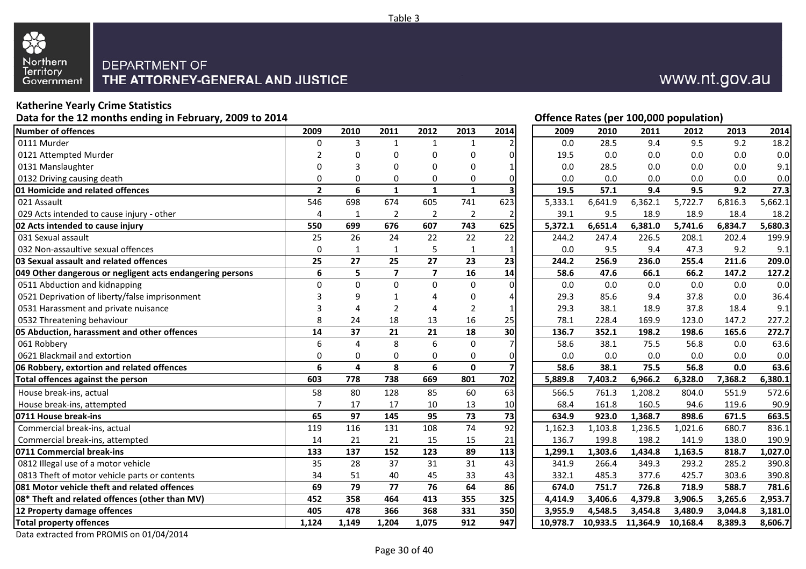

## www.nt.gov.au

#### **Katherine Yearly Crime Statistics**

**Data for the 12 months ending in February, 2009 to 2014**

| Number of offences                                        | 2009           | 2010         | 2011           | 2012                    | 2013            | 2014                    | 2009     | 2010    | 2011              | 2012     | 2013    | 2014    |
|-----------------------------------------------------------|----------------|--------------|----------------|-------------------------|-----------------|-------------------------|----------|---------|-------------------|----------|---------|---------|
| 0111 Murder                                               | 0              | 3            |                | -1                      | 1               |                         | 0.0      | 28.5    | 9.4               | 9.5      | 9.2     | 18.2    |
| 0121 Attempted Murder                                     | 2              | O            | $\Omega$       | 0                       | 0               | 0                       | 19.5     | 0.0     | 0.0               | 0.0      | 0.0     | 0.0     |
| 0131 Manslaughter                                         | 0              | 3            | 0              | 0                       | 0               | 1                       | 0.0      | 28.5    | 0.0               | 0.0      | 0.0     | 9.1     |
| 0132 Driving causing death                                | 0              | 0            | 0              | 0                       | 0               | 0                       | 0.0      | 0.0     | 0.0               | 0.0      | 0.0     | 0.0     |
| 01 Homicide and related offences                          | $\overline{2}$ | 6            | $\mathbf{1}$   | $\mathbf{1}$            | $\mathbf{1}$    | $\overline{\mathbf{3}}$ | 19.5     | 57.1    | 9.4               | 9.5      | 9.2     | 27.3    |
| 021 Assault                                               | 546            | 698          | 674            | 605                     | 741             | 623                     | 5,333.1  | 6,641.9 | 6,362.1           | 5,722.7  | 6,816.3 | 5,662.1 |
| 029 Acts intended to cause injury - other                 | 4              | 1            | 2              | $\overline{2}$          | 2               | 2                       | 39.1     | 9.5     | 18.9              | 18.9     | 18.4    | 18.2    |
| 02 Acts intended to cause injury                          | 550            | 699          | 676            | 607                     | 743             | 625                     | 5,372.1  | 6,651.4 | 6,381.0           | 5,741.6  | 6,834.7 | 5,680.3 |
| 031 Sexual assault                                        | 25             | 26           | 24             | 22                      | 22              | 22                      | 244.2    | 247.4   | 226.5             | 208.1    | 202.4   | 199.9   |
| 032 Non-assaultive sexual offences                        | $\Omega$       | $\mathbf{1}$ | $\mathbf{1}$   | 5                       | $\mathbf{1}$    | 1                       | 0.0      | 9.5     | 9.4               | 47.3     | 9.2     | 9.1     |
| 03 Sexual assault and related offences                    | 25             | 27           | 25             | 27                      | 23              | 23                      | 244.2    | 256.9   | 236.0             | 255.4    | 211.6   | 209.0   |
| 049 Other dangerous or negligent acts endangering persons | 6              | 5            | $\overline{7}$ | $\overline{\mathbf{z}}$ | 16              | 14                      | 58.6     | 47.6    | 66.1              | 66.2     | 147.2   | 127.2   |
| 0511 Abduction and kidnapping                             | $\Omega$       | $\Omega$     | $\Omega$       | $\Omega$                | $\mathbf 0$     | $\mathbf 0$             | 0.0      | 0.0     | 0.0               | 0.0      | 0.0     | 0.0     |
| 0521 Deprivation of liberty/false imprisonment            | 3              | q            |                | Δ                       | 0               | 4                       | 29.3     | 85.6    | 9.4               | 37.8     | 0.0     | 36.4    |
| 0531 Harassment and private nuisance                      | 3              | Δ            | $\overline{2}$ | 4                       | 2               | 1                       | 29.3     | 38.1    | 18.9              | 37.8     | 18.4    | 9.1     |
| 0532 Threatening behaviour                                | 8              | 24           | 18             | 13                      | 16              | 25                      | 78.1     | 228.4   | 169.9             | 123.0    | 147.2   | 227.2   |
| 05 Abduction, harassment and other offences               | 14             | 37           | 21             | 21                      | 18              | 30                      | 136.7    | 352.1   | 198.2             | 198.6    | 165.6   | 272.7   |
| 061 Robbery                                               | 6              | 4            | 8              | $\boldsymbol{6}$        | $\mathbf 0$     | $\overline{7}$          | 58.6     | 38.1    | 75.5              | 56.8     | 0.0     | 63.6    |
| 0621 Blackmail and extortion                              | 0              | 0            | 0              | 0                       | 0               | 0                       | 0.0      | 0.0     | 0.0               | 0.0      | 0.0     | 0.0     |
| 06 Robbery, extortion and related offences                | 6              | 4            | 8              | 6                       | $\mathbf 0$     | $\overline{\mathbf{z}}$ | 58.6     | 38.1    | 75.5              | 56.8     | 0.0     | 63.6    |
| Total offences against the person                         | 603            | 778          | 738            | 669                     | 801             | 702                     | 5,889.8  | 7,403.2 | 6,966.2           | 6,328.0  | 7,368.2 | 6,380.1 |
| House break-ins, actual                                   | 58             | 80           | 128            | 85                      | 60              | 63                      | 566.5    | 761.3   | 1,208.2           | 804.0    | 551.9   | 572.6   |
| House break-ins, attempted                                | $\overline{7}$ | 17           | 17             | 10                      | 13              | 10                      | 68.4     | 161.8   | 160.5             | 94.6     | 119.6   | 90.9    |
| 0711 House break-ins                                      | 65             | 97           | 145            | 95                      | 73              | 73                      | 634.9    | 923.0   | 1,368.7           | 898.6    | 671.5   | 663.5   |
| Commercial break-ins, actual                              | 119            | 116          | 131            | 108                     | $\overline{74}$ | 92                      | 1,162.3  | 1,103.8 | 1,236.5           | 1,021.6  | 680.7   | 836.1   |
| Commercial break-ins, attempted                           | 14             | 21           | 21             | 15                      | 15              | 21                      | 136.7    | 199.8   | 198.2             | 141.9    | 138.0   | 190.9   |
| 0711 Commercial break-ins                                 | 133            | 137          | 152            | 123                     | 89              | 113                     | 1,299.1  | 1,303.6 | 1,434.8           | 1,163.5  | 818.7   | 1,027.0 |
| 0812 Illegal use of a motor vehicle                       | 35             | 28           | 37             | 31                      | $\overline{31}$ | 43                      | 341.9    | 266.4   | 349.3             | 293.2    | 285.2   | 390.8   |
| 0813 Theft of motor vehicle parts or contents             | 34             | 51           | 40             | 45                      | 33              | 43                      | 332.1    | 485.3   | 377.6             | 425.7    | 303.6   | 390.8   |
| 081 Motor vehicle theft and related offences              | 69             | 79           | 77             | 76                      | 64              | 86                      | 674.0    | 751.7   | 726.8             | 718.9    | 588.7   | 781.6   |
| 08* Theft and related offences (other than MV)            | 452            | 358          | 464            | 413                     | 355             | 325                     | 4,414.9  | 3,406.6 | 4,379.8           | 3,906.5  | 3,265.6 | 2,953.7 |
| 12 Property damage offences                               | 405            | 478          | 366            | 368                     | 331             | 350                     | 3.955.9  | 4,548.5 | 3,454.8           | 3,480.9  | 3,044.8 | 3,181.0 |
| <b>Total property offences</b>                            | 1,124          | 1,149        | 1,204          | 1,075                   | 912             | 947                     | 10,978.7 |         | 10,933.5 11,364.9 | 10,168.4 | 8,389.3 | 8,606.7 |

|                                      |           |                |              |                  |                         |          |                  |          | Offence Rates (per 100,000 population) |         |         |
|--------------------------------------|-----------|----------------|--------------|------------------|-------------------------|----------|------------------|----------|----------------------------------------|---------|---------|
| 9                                    | 2010      | 2011           | 2012         | 2013             | 2014                    | 2009     | 2010             | 2011     | 2012                                   | 2013    | 2014    |
| 0                                    | 3         | $\mathbf{1}$   | $\mathbf{1}$ | $\mathbf{1}$     | $\overline{2}$          | 0.0      | 28.5             | 9.4      | 9.5                                    | 9.2     | 18.2    |
| 2                                    | 0         | 0              | 0            | 0                | 0                       | 19.5     | 0.0              | 0.0      | 0.0                                    | 0.0     | 0.0     |
| 0                                    | 3         | 0              | 0            | 0                | 1                       | 0.0      | 28.5             | 0.0      | 0.0                                    | 0.0     | 9.1     |
| 0                                    | 0         | 0              | 0            | 0                | 0                       | 0.0      | 0.0              | 0.0      | 0.0                                    | 0.0     | 0.0     |
| 2                                    | 6         | $\mathbf{1}$   | $\mathbf{1}$ | $\mathbf{1}$     | 3                       | 19.5     | $\frac{1}{57.1}$ | 9.4      | 9.5                                    | 9.2     | 27.3    |
| 6                                    | 698       | 674            | 605          | 741              | 623                     | 5,333.1  | 6,641.9          | 6,362.1  | 5,722.7                                | 6,816.3 | 5,662.1 |
| $\frac{4}{1}$                        | 1         | $\overline{2}$ | $\mathbf 2$  | $\overline{2}$   | 2                       | 39.1     | 9.5              | 18.9     | 18.9                                   | 18.4    | 18.2    |
| 0                                    | 699       | 676            | 607          | 743              | 625                     | 5,372.1  | 6,651.4          | 6,381.0  | 5,741.6                                | 6,834.7 | 5,680.3 |
| 5                                    | 26        | 24             | 22           | 22               | 22                      | 244.2    | 247.4            | 226.5    | 208.1                                  | 202.4   | 199.9   |
| 0                                    | 1         | $\mathbf{1}$   | 5            | $\mathbf{1}$     | $\mathbf{1}$            | 0.0      | 9.5              | 9.4      | 47.3                                   | 9.2     | 9.1     |
| 5                                    | 27        | 25             | 27           | 23               | 23                      | 244.2    | 256.9            | 236.0    | 255.4                                  | 211.6   | 209.0   |
| 6                                    | 5         | 7              | 7            | 16               | 14                      | 58.6     | 47.6             | 66.1     | 66.2                                   | 147.2   | 127.2   |
| $\overline{0}$                       | $\pmb{0}$ | $\pmb{0}$      | $\pmb{0}$    | $\boldsymbol{0}$ | $\Omega$                | 0.0      | 0.0              | 0.0      | $0.0\,$                                | 0.0     | 0.0     |
| 3                                    | 9         | 1              | 4            | 0                | 4                       | 29.3     | 85.6             | 9.4      | 37.8                                   | 0.0     | 36.4    |
| 3                                    | 4         | $\overline{2}$ | 4            | $\overline{2}$   | $\mathbf{1}$            | 29.3     | 38.1             | 18.9     | 37.8                                   | 18.4    | 9.1     |
| 8                                    | 24        | 18             | 13           | 16               | 25                      | 78.1     | 228.4            | 169.9    | 123.0                                  | 147.2   | 227.2   |
| 4                                    | 37        | 21             | 21           | 18               | 30                      | 136.7    | 352.1            | 198.2    | 198.6                                  | 165.6   | 272.7   |
| 6                                    | 4         | 8              | 6            | 0                | 7                       | 58.6     | 38.1             | 75.5     | 56.8                                   | 0.0     | 63.6    |
| 0                                    | 0         | 0              | 0            | 0                | 0                       | 0.0      | 0.0              | 0.0      | 0.0                                    | 0.0     | 0.0     |
| 6                                    | 4         | 8              | 6            | 0                | $\overline{\mathbf{z}}$ | 58.6     | 38.1             | 75.5     | 56.8                                   | 0.0     | 63.6    |
| 3                                    | 778       | 738            | 669          | 801              | 702                     | 5,889.8  | 7,403.2          | 6,966.2  | 6,328.0                                | 7,368.2 | 6,380.1 |
| 8                                    | 80        | 128            | 85           | 60               | 63                      | 566.5    | 761.3            | 1,208.2  | 804.0                                  | 551.9   | 572.6   |
| 7                                    | 17        | 17             | 10           | 13               | $10\,$                  | 68.4     | 161.8            | 160.5    | 94.6                                   | 119.6   | 90.9    |
| 5                                    | 97        | 145            | 95           | 73               | 73                      | 634.9    | 923.0            | 1,368.7  | 898.6                                  | 671.5   | 663.5   |
| 9                                    | 116       | 131            | 108          | 74               | $\overline{92}$         | 1,162.3  | 1,103.8          | 1,236.5  | 1,021.6                                | 680.7   | 836.1   |
| 4                                    | 21        | 21             | 15           | 15               | 21                      | 136.7    | 199.8            | 198.2    | 141.9                                  | 138.0   | 190.9   |
| $\overline{\overline{\overline{3}}}$ | 137       | 152            | 123          | 89               | 113                     | 1,299.1  | 1,303.6          | 1,434.8  | 1,163.5                                | 818.7   | 1,027.0 |
| $\overline{5}$                       | 28        | 37             | 31           | 31               | 43                      | 341.9    | 266.4            | 349.3    | 293.2                                  | 285.2   | 390.8   |
| 4                                    | 51        | 40             | 45           | 33               | 43                      | 332.1    | 485.3            | 377.6    | 425.7                                  | 303.6   | 390.8   |
| 9                                    | 79        | 77             | 76           | 64               | 86                      | 674.0    | 751.7            | 726.8    | 718.9                                  | 588.7   | 781.6   |
| $\overline{\mathbf{2}}$              | 358       | 464            | 413          | 355              | 325                     | 4,414.9  | 3,406.6          | 4,379.8  | 3,906.5                                | 3,265.6 | 2,953.7 |
| 5                                    | 478       | 366            | 368          | 331              | 350                     | 3,955.9  | 4,548.5          | 3,454.8  | 3,480.9                                | 3,044.8 | 3,181.0 |
| 4                                    | 1,149     | 1,204          | 1,075        | 912              | 947                     | 10,978.7 | 10,933.5         | 11,364.9 | 10,168.4                               | 8,389.3 | 8,606.7 |

Data extracted from PROMIS on 01/04/2014

Page 30 of 40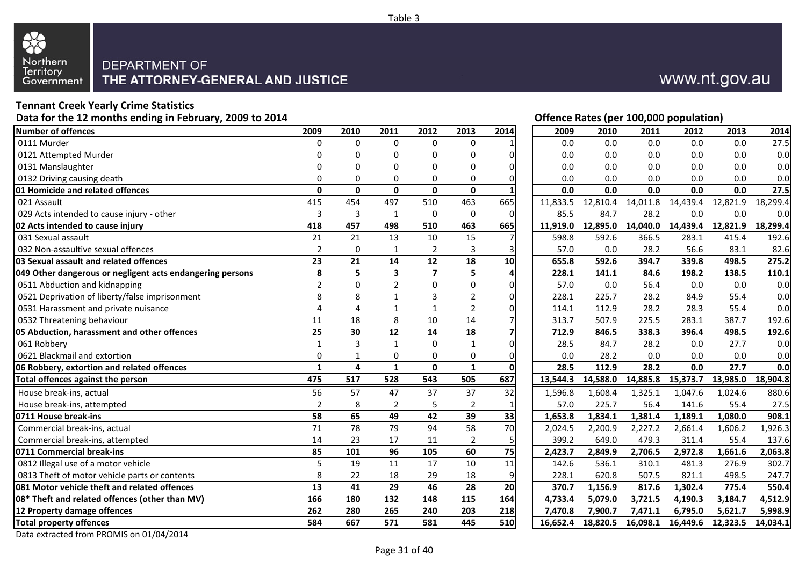

## **Tennant Creek Yearly Crime Statistics**

**Data for the 12 months ending in February, 2009 to 2014**

| <b>Number of offences</b>                                 | 2009            | 2010            | 2011            | 2012             | 2013            | 2014                    | 2009     | 2010     | 2011     | 2012     | 2013     | 2014     |
|-----------------------------------------------------------|-----------------|-----------------|-----------------|------------------|-----------------|-------------------------|----------|----------|----------|----------|----------|----------|
| 0111 Murder                                               | 0               | $\Omega$        | $\Omega$        | $\mathbf 0$      | $\Omega$        |                         | 0.0      | 0.0      | 0.0      | 0.0      | 0.0      | 27.5     |
| 0121 Attempted Murder                                     | 0               | 0               | 0               | 0                | 0               | 0                       | 0.0      | 0.0      | 0.0      | 0.0      | 0.0      | 0.0      |
| 0131 Manslaughter                                         | 0               | O               | 0               | $\Omega$         | $\Omega$        | 0                       | 0.0      | 0.0      | 0.0      | 0.0      | 0.0      | 0.0      |
| 0132 Driving causing death                                | $\Omega$        | 0               | 0               | 0                | 0               | 0                       | 0.0      | 0.0      | 0.0      | 0.0      | 0.0      | 0.0      |
| 01 Homicide and related offences                          | $\mathbf{0}$    | $\mathbf{0}$    | $\mathbf{0}$    | $\mathbf 0$      | $\mathbf 0$     | $\mathbf{1}$            | 0.0      | 0.0      | 0.0      | 0.0      | 0.0      | 27.5     |
| 021 Assault                                               | 415             | 454             | 497             | 510              | 463             | 665                     | 11,833.5 | 12,810.4 | 14,011.8 | 14,439.4 | 12,821.9 | 18,299.4 |
| 029 Acts intended to cause injury - other                 | 3               | 3               | 1               | $\boldsymbol{0}$ | $\mathbf 0$     | 0                       | 85.5     | 84.7     | 28.2     | 0.0      | 0.0      | 0.0      |
| 02 Acts intended to cause injury                          | 418             | 457             | 498             | 510              | 463             | 665                     | 11,919.0 | 12,895.0 | 14,040.0 | 14,439.4 | 12,821.9 | 18,299.4 |
| 031 Sexual assault                                        | 21              | 21              | 13              | 10               | 15              | 7                       | 598.8    | 592.6    | 366.5    | 283.1    | 415.4    | 192.6    |
| 032 Non-assaultive sexual offences                        | $\overline{2}$  | 0               |                 | $\overline{2}$   | 3               | 3                       | 57.0     | 0.0      | 28.2     | 56.6     | 83.1     | 82.6     |
| 03 Sexual assault and related offences                    | 23              | 21              | 14              | 12               | 18              | 10                      | 655.8    | 592.6    | 394.7    | 339.8    | 498.5    | 275.2    |
| 049 Other dangerous or negligent acts endangering persons | 8               | 5               | 3               | $\overline{7}$   | 5               | 4                       | 228.1    | 141.1    | 84.6     | 198.2    | 138.5    | 110.1    |
| 0511 Abduction and kidnapping                             | $\overline{2}$  | $\Omega$        | $\overline{2}$  | $\mathbf{0}$     | $\mathbf 0$     | 0                       | 57.0     | 0.0      | 56.4     | 0.0      | 0.0      | 0.0      |
| 0521 Deprivation of liberty/false imprisonment            | 8               | 8               |                 | 3                | 2               | 0                       | 228.1    | 225.7    | 28.2     | 84.9     | 55.4     | 0.0      |
| 0531 Harassment and private nuisance                      | 4               | Δ               |                 | 1                | $\overline{2}$  | 0                       | 114.1    | 112.9    | 28.2     | 28.3     | 55.4     | 0.0      |
| 0532 Threatening behaviour                                | 11              | 18              | 8               | 10               | 14              | $\overline{7}$          | 313.7    | 507.9    | 225.5    | 283.1    | 387.7    | 192.6    |
| 05 Abduction, harassment and other offences               | 25              | 30              | 12              | 14               | 18              | $\overline{\mathbf{z}}$ | 712.9    | 846.5    | 338.3    | 396.4    | 498.5    | 192.6    |
| 061 Robbery                                               | $\mathbf{1}$    | 3               | $\mathbf{1}$    | $\mathbf 0$      | $\mathbf{1}$    | $\mathbf 0$             | 28.5     | 84.7     | 28.2     | 0.0      | 27.7     | 0.0      |
| 0621 Blackmail and extortion                              | 0               | $\mathbf{1}$    | $\mathbf 0$     | $\mathbf 0$      | $\mathbf 0$     | 0                       | 0.0      | 28.2     | 0.0      | 0.0      | 0.0      | 0.0      |
| 06 Robbery, extortion and related offences                | $\mathbf{1}$    | 4               | $\mathbf{1}$    | $\mathbf 0$      | $\mathbf{1}$    | $\mathbf 0$             | 28.5     | 112.9    | 28.2     | 0.0      | 27.7     | 0.0      |
| Total offences against the person                         | 475             | 517             | 528             | 543              | 505             | 687                     | 13,544.3 | 14,588.0 | 14,885.8 | 15,373.7 | 13,985.0 | 18,904.8 |
| House break-ins, actual                                   | 56              | 57              | 47              | 37               | 37              | 32                      | 1,596.8  | 1,608.4  | 1,325.1  | 1,047.6  | 1,024.6  | 880.6    |
| House break-ins, attempted                                | $\overline{2}$  | 8               | $\overline{2}$  | 5                | $\overline{2}$  |                         | 57.0     | 225.7    | 56.4     | 141.6    | 55.4     | 27.5     |
| 0711 House break-ins                                      | 58              | 65              | 49              | 42               | 39              | 33                      | 1,653.8  | 1,834.1  | 1,381.4  | 1,189.1  | 1,080.0  | 908.1    |
| Commercial break-ins, actual                              | $\overline{71}$ | $\overline{78}$ | 79              | $\overline{94}$  | 58              | 70                      | 2,024.5  | 2,200.9  | 2,227.2  | 2,661.4  | 1,606.2  | 1,926.3  |
| Commercial break-ins, attempted                           | 14              | 23              | 17              | 11               | $\overline{2}$  | 5                       | 399.2    | 649.0    | 479.3    | 311.4    | 55.4     | 137.6    |
| 0711 Commercial break-ins                                 | 85              | 101             | 96              | 105              | 60              | 75                      | 2,423.7  | 2,849.9  | 2,706.5  | 2,972.8  | 1,661.6  | 2,063.8  |
| 0812 Illegal use of a motor vehicle                       | 5               | 19              | 11              | $\overline{17}$  | $\overline{10}$ | 11                      | 142.6    | 536.1    | 310.1    | 481.3    | 276.9    | 302.7    |
| 0813 Theft of motor vehicle parts or contents             | 8               | 22              | 18              | 29               | 18              | 9                       | 228.1    | 620.8    | 507.5    | 821.1    | 498.5    | 247.7    |
| 081 Motor vehicle theft and related offences              | $\overline{13}$ | $\overline{41}$ | $\overline{29}$ | 46               | 28              | $\overline{20}$         | 370.7    | 1,156.9  | 817.6    | 1,302.4  | 775.4    | 550.4    |
| 08* Theft and related offences (other than MV)            | 166             | 180             | 132             | 148              | 115             | 164                     | 4,733.4  | 5,079.0  | 3,721.5  | 4,190.3  | 3,184.7  | 4,512.9  |
| 12 Property damage offences                               | 262             | 280             | 265             | 240              | 203             | 218                     | 7,470.8  | 7,900.7  | 7,471.1  | 6,795.0  | 5,621.7  | 5,998.9  |
| <b>Total property offences</b>                            | 584             | 667             | 571             | 581              | 445             | 510                     | 16,652.4 | 18,820.5 | 16,098.1 | 16,449.6 | 12,323.5 | 14,034.1 |

www.nt.gov.au

|                         |           | Offence Rates (per 100,000 population)<br>2009<br>2010<br>2011<br>2011<br>2012<br>2013<br>2014<br>2012 |                         |                |                 |          |      |          |          |          |          |          |  |  |  |
|-------------------------|-----------|--------------------------------------------------------------------------------------------------------|-------------------------|----------------|-----------------|----------|------|----------|----------|----------|----------|----------|--|--|--|
| 9                       | 2010      |                                                                                                        |                         |                |                 |          |      |          |          |          | 2013     | 2014     |  |  |  |
| 0                       | 0         | $\mathbf 0$                                                                                            | $\mathbf 0$             | $\mathbf 0$    | 1               |          | 0.0  | 0.0      | 0.0      | 0.0      | 0.0      | 27.5     |  |  |  |
| 0                       | 0         | 0                                                                                                      | 0                       | 0              | 0               |          | 0.0  | 0.0      | 0.0      | 0.0      | 0.0      | 0.0      |  |  |  |
| 0                       | 0         | 0                                                                                                      | 0                       | 0              | 0               |          | 0.0  | 0.0      | 0.0      | 0.0      | 0.0      | 0.0      |  |  |  |
| 0                       | 0         | $\Omega$                                                                                               | 0                       | 0              | 0               |          | 0.0  | 0.0      | 0.0      | 0.0      | 0.0      | 0.0      |  |  |  |
| $\overline{\mathbf{0}}$ | 0         | $\mathbf 0$                                                                                            | $\mathbf 0$             | $\mathbf 0$    | 1               |          | 0.0  | 0.0      | 0.0      | 0.0      | 0.0      | 27.5     |  |  |  |
| $\overline{5}$          | 454       | 497                                                                                                    | 510                     | 463            | 665             | 11,833.5 |      | 12,810.4 | 14,011.8 | 14,439.4 | 12,821.9 | 18,299.4 |  |  |  |
|                         | 3         | $\mathbf{1}$                                                                                           | 0                       | $\pmb{0}$      | $\mathbf 0$     |          | 85.5 | 84.7     | 28.2     | 0.0      | 0.0      | 0.0      |  |  |  |
| $\frac{3}{8}$           | 457       | 498                                                                                                    | 510                     | 463            | 665             | 11,919.0 |      | 12,895.0 | 14,040.0 | 14,439.4 | 12,821.9 | 18,299.4 |  |  |  |
| $\overline{1}$          | 21        | 13                                                                                                     | 10                      | 15             | 7               | 598.8    |      | 592.6    | 366.5    | 283.1    | 415.4    | 192.6    |  |  |  |
| 2                       | 0         | 1                                                                                                      | $\overline{2}$          | 3              | 3               |          | 57.0 | 0.0      | 28.2     | 56.6     | 83.1     | 82.6     |  |  |  |
| 3                       | 21        | 14                                                                                                     | 12                      | 18             | 10              | 655.8    |      | 592.6    | 394.7    | 339.8    | 498.5    | 275.2    |  |  |  |
| 8                       | 5         | 3                                                                                                      | $\overline{\mathbf{z}}$ | 5              | 4               | 228.1    |      | 141.1    | 84.6     | 198.2    | 138.5    | 110.1    |  |  |  |
| $\overline{c}$          | $\pmb{0}$ | $\overline{2}$                                                                                         | $\boldsymbol{0}$        | 0              | $\mathbf 0$     |          | 57.0 | 0.0      | 56.4     | 0.0      | 0.0      | 0.0      |  |  |  |
| 8                       | 8         | $\mathbf{1}$                                                                                           | 3                       | 2              | $\mathbf{0}$    | 228.1    |      | 225.7    | 28.2     | 84.9     | 55.4     | 0.0      |  |  |  |
| 4                       | 4         | 1                                                                                                      | $\mathbf{1}$            | 2              | $\overline{0}$  | 114.1    |      | 112.9    | 28.2     | 28.3     | 55.4     | 0.0      |  |  |  |
| $\overline{1}$          | 18        | 8                                                                                                      | 10                      | 14             | 7               | 313.7    |      | 507.9    | 225.5    | 283.1    | 387.7    | 192.6    |  |  |  |
| 5                       | 30        | 12                                                                                                     | 14                      | 18             | 7               | 712.9    |      | 846.5    | 338.3    | 396.4    | 498.5    | 192.6    |  |  |  |
| $\overline{1}$          | 3         | $\mathbf{1}$                                                                                           | $\mathbf 0$             | $\mathbf{1}$   | $\mathbf 0$     |          | 28.5 | 84.7     | 28.2     | 0.0      | 27.7     | 0.0      |  |  |  |
| 0                       | 1         | $\mathbf 0$                                                                                            | 0                       | 0              | $\mathbf{0}$    |          | 0.0  | 28.2     | 0.0      | 0.0      | 0.0      | 0.0      |  |  |  |
| 1                       | 4         | $\mathbf{1}$                                                                                           | 0                       | $\mathbf{1}$   | 0               |          | 28.5 | 112.9    | 28.2     | 0.0      | 27.7     | 0.0      |  |  |  |
| 5                       | 517       | 528                                                                                                    | 543                     | 505            | 687             | 13,544.3 |      | 14,588.0 | 14,885.8 | 15,373.7 | 13,985.0 | 18,904.8 |  |  |  |
| 6                       | 57        | 47                                                                                                     | 37                      | 37             | 32              | 1,596.8  |      | 1,608.4  | 1,325.1  | 1,047.6  | 1,024.6  | 880.6    |  |  |  |
| $\overline{c}$          | 8         | $\overline{2}$                                                                                         | 5                       | 2              | 1               |          | 57.0 | 225.7    | 56.4     | 141.6    | 55.4     | 27.5     |  |  |  |
| 8                       | 65        | 49                                                                                                     | 42                      | 39             | 33              | 1,653.8  |      | 1,834.1  | 1,381.4  | 1,189.1  | 1,080.0  | 908.1    |  |  |  |
| $\overline{1}$          | 78        | 79                                                                                                     | 94                      | 58             | $\overline{10}$ | 2,024.5  |      | 2,200.9  | 2,227.2  | 2,661.4  | 1,606.2  | 1,926.3  |  |  |  |
| 4                       | 23        | 17                                                                                                     | 11                      | $\overline{2}$ | 5               | 399.2    |      | 649.0    | 479.3    | 311.4    | 55.4     | 137.6    |  |  |  |
| 5                       | 101       | 96                                                                                                     | 105                     | 60             | $\overline{75}$ | 2,423.7  |      | 2,849.9  | 2,706.5  | 2,972.8  | 1,661.6  | 2,063.8  |  |  |  |
| 5                       | 19        | 11                                                                                                     | 17                      | 10             | 11              | 142.6    |      | 536.1    | 310.1    | 481.3    | 276.9    | 302.7    |  |  |  |
| 8                       | 22        | 18                                                                                                     | 29                      | 18             | 9               | 228.1    |      | 620.8    | 507.5    | 821.1    | 498.5    | 247.7    |  |  |  |
| 3                       | 41        | 29                                                                                                     | 46                      | 28             | 20              | 370.7    |      | 1,156.9  | 817.6    | 1,302.4  | 775.4    | 550.4    |  |  |  |
| $\frac{6}{2}$           | 180       | 132                                                                                                    | 148                     | 115            | 164             | 4,733.4  |      | 5,079.0  | 3,721.5  | 4,190.3  | 3,184.7  | 4,512.9  |  |  |  |
|                         | 280       | 265                                                                                                    | 240                     | 203            | 218             | 7,470.8  |      | 7,900.7  | 7,471.1  | 6,795.0  | 5,621.7  | 5,998.9  |  |  |  |
| 4                       | 667       | 571                                                                                                    | 581                     | 445            | 510             | 16,652.4 |      | 18,820.5 | 16,098.1 | 16,449.6 | 12,323.5 | 14,034.1 |  |  |  |

Data extracted from PROMIS on 01/04/2014

Page 31 of 40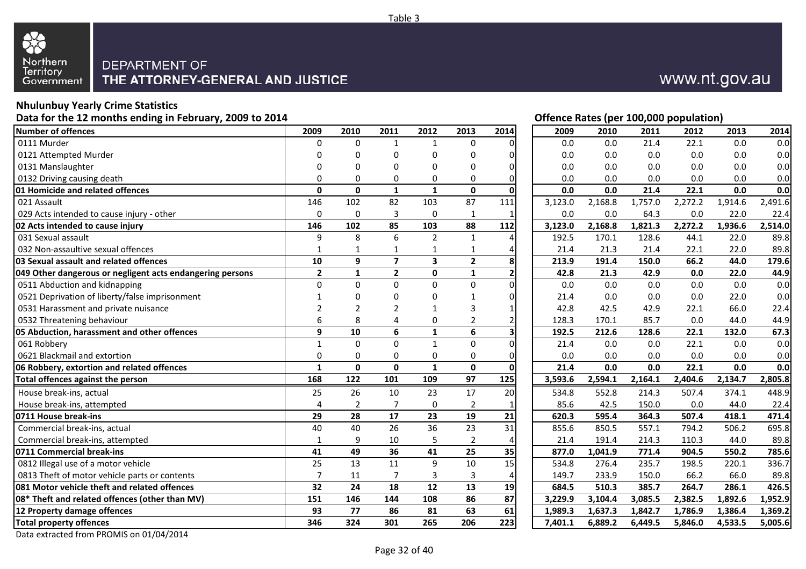

## **Nhulunbuy Yearly Crime Statistics**

#### **Data for the 12 months ending in February, 2009 to 2014**

|                                                           |                 |                          |                |                         |                 |                |         | - \r -  | -,---<br>. |         |         |         |
|-----------------------------------------------------------|-----------------|--------------------------|----------------|-------------------------|-----------------|----------------|---------|---------|------------|---------|---------|---------|
| <b>Number of offences</b>                                 | 2009            | 2010                     | 2011           | 2012                    | 2013            | 2014           | 2009    | 2010    | 2011       | 2012    | 2013    | 2014    |
| 0111 Murder                                               | $\mathbf{0}$    | $\Omega$                 | $\mathbf{1}$   | $\mathbf 1$             | $\Omega$        | 01             | 0.0     | 0.0     | 21.4       | 22.1    | 0.0     | 0.0     |
| 0121 Attempted Murder                                     | 0               | $\Omega$                 |                | $\Omega$                | 0               | οI             | 0.0     | 0.0     | 0.0        | 0.0     | 0.0     | 0.0     |
| 0131 Manslaughter                                         | O               | n                        | O              | 0                       | 0               | οI             | 0.0     | 0.0     | 0.0        | 0.0     | 0.0     | 0.0     |
| 0132 Driving causing death                                | O               | $\Omega$                 | $\Omega$       | 0                       | 0               | 0              | 0.0     | 0.0     | 0.0        | 0.0     | 0.0     | 0.0     |
| 01 Homicide and related offences                          | $\mathbf{0}$    | $\mathbf{0}$             | $\mathbf{1}$   | $\mathbf{1}$            | $\mathbf 0$     | $\mathbf 0$    | 0.0     | 0.0     | 21.4       | 22.1    | 0.0     | 0.0     |
| 021 Assault                                               | 146             | 102                      | 82             | 103                     | 87              | 111            | 3,123.0 | 2,168.8 | 1,757.0    | 2,272.2 | 1,914.6 | 2,491.6 |
| 029 Acts intended to cause injury - other                 | $\mathbf 0$     | $\mathbf 0$              | 3              | $\mathbf 0$             | 1               | $\mathbf{1}$   | 0.0     | 0.0     | 64.3       | 0.0     | 22.0    | 22.4    |
| 02 Acts intended to cause injury                          | 146             | 102                      | 85             | 103                     | 88              | 112            | 3,123.0 | 2,168.8 | 1,821.3    | 2,272.2 | 1,936.6 | 2,514.0 |
| 031 Sexual assault                                        | 9               | 8                        | 6              | $\overline{2}$          | $\mathbf{1}$    | 4              | 192.5   | 170.1   | 128.6      | 44.1    | 22.0    | 89.8    |
| 032 Non-assaultive sexual offences                        |                 | 1                        |                | 1                       | 1               | 4              | 21.4    | 21.3    | 21.4       | 22.1    | 22.0    | 89.8    |
| 03 Sexual assault and related offences                    | 10              | 9                        | $\overline{7}$ | $\overline{\mathbf{3}}$ | $\mathbf{2}$    | 8              | 213.9   | 191.4   | 150.0      | 66.2    | 44.0    | 179.6   |
| 049 Other dangerous or negligent acts endangering persons | $\overline{2}$  | $\mathbf{1}$             | $\overline{2}$ | $\mathbf 0$             | $\mathbf{1}$    | $\mathbf{2}$   | 42.8    | 21.3    | 42.9       | 0.0     | 22.0    | 44.9    |
| 0511 Abduction and kidnapping                             | $\Omega$        | $\Omega$                 | $\Omega$       | $\Omega$                | 0               | ol             | 0.0     | 0.0     | 0.0        | 0.0     | 0.0     | 0.0     |
| 0521 Deprivation of liberty/false imprisonment            |                 | $\Omega$                 | O              | 0                       |                 | οI             | 21.4    | 0.0     | 0.0        | 0.0     | 22.0    | 0.0     |
| 0531 Harassment and private nuisance                      | 2               | $\overline{\phantom{a}}$ | 2              | -1                      | 3               | 1              | 42.8    | 42.5    | 42.9       | 22.1    | 66.0    | 22.4    |
| 0532 Threatening behaviour                                | 6               | 8                        | 4              | 0                       | $\overline{2}$  | $\overline{2}$ | 128.3   | 170.1   | 85.7       | 0.0     | 44.0    | 44.9    |
| 05 Abduction, harassment and other offences               | 9               | 10                       | 6              | $\mathbf{1}$            | 6               | 3              | 192.5   | 212.6   | 128.6      | 22.1    | 132.0   | 67.3    |
| 061 Robbery                                               | $\mathbf{1}$    | $\Omega$                 | $\Omega$       | $\mathbf{1}$            | $\mathbf 0$     | ol             | 21.4    | 0.0     | 0.0        | 22.1    | 0.0     | 0.0     |
| 0621 Blackmail and extortion                              | $\Omega$        | $\Omega$                 | $\Omega$       | $\mathbf 0$             | $\mathbf 0$     | 0              | 0.0     | 0.0     | 0.0        | 0.0     | 0.0     | 0.0     |
| 06 Robbery, extortion and related offences                | $\mathbf{1}$    | $\mathbf 0$              | $\mathbf{0}$   | $\mathbf{1}$            | $\mathbf 0$     | $\mathbf{0}$   | 21.4    | 0.0     | 0.0        | 22.1    | 0.0     | 0.0     |
| Total offences against the person                         | 168             | 122                      | 101            | 109                     | $\overline{97}$ | 125            | 3,593.6 | 2,594.1 | 2,164.1    | 2,404.6 | 2,134.7 | 2,805.8 |
| House break-ins, actual                                   | 25              | 26                       | 10             | 23                      | 17              | 20             | 534.8   | 552.8   | 214.3      | 507.4   | 374.1   | 448.9   |
| House break-ins, attempted                                | $\overline{4}$  | $\overline{2}$           | $\overline{7}$ | 0                       | 2               | 1              | 85.6    | 42.5    | 150.0      | 0.0     | 44.0    | 22.4    |
| 0711 House break-ins                                      | 29              | 28                       | 17             | 23                      | 19              | 21             | 620.3   | 595.4   | 364.3      | 507.4   | 418.1   | 471.4   |
| Commercial break-ins, actual                              | 40              | 40                       | 26             | 36                      | 23              | 31             | 855.6   | 850.5   | 557.1      | 794.2   | 506.2   | 695.8   |
| Commercial break-ins, attempted                           | 1               | 9                        | 10             | 5                       | $\overline{2}$  | 4              | 21.4    | 191.4   | 214.3      | 110.3   | 44.0    | 89.8    |
| 0711 Commercial break-ins                                 | 41              | 49                       | 36             | 41                      | $\overline{25}$ | 35             | 877.0   | 1,041.9 | 771.4      | 904.5   | 550.2   | 785.6   |
| 0812 Illegal use of a motor vehicle                       | 25              | 13                       | 11             | 9                       | 10              | 15             | 534.8   | 276.4   | 235.7      | 198.5   | 220.1   | 336.7   |
| 0813 Theft of motor vehicle parts or contents             | $\overline{7}$  | 11                       | $\overline{7}$ | 3                       | $\mathsf 3$     | 4              | 149.7   | 233.9   | 150.0      | 66.2    | 66.0    | 89.8    |
| 081 Motor vehicle theft and related offences              | $\overline{32}$ | 24                       | 18             | 12                      | $\overline{13}$ | 19             | 684.5   | 510.3   | 385.7      | 264.7   | 286.1   | 426.5   |
| 08* Theft and related offences (other than MV)            | 151             | 146                      | 144            | 108                     | 86              | 87             | 3,229.9 | 3,104.4 | 3,085.5    | 2,382.5 | 1,892.6 | 1,952.9 |
| 12 Property damage offences                               | 93              | 77                       | 86             | 81                      | 63              | 61             | 1,989.3 | 1,637.3 | 1,842.7    | 1,786.9 | 1,386.4 | 1,369.2 |
| <b>Total property offences</b>                            | 346             | 324                      | 301            | 265                     | 206             | 223            | 7,401.1 | 6,889.2 | 6,449.5    | 5,846.0 | 4,533.5 | 5,005.6 |
|                                                           |                 |                          |                |                         |                 |                |         |         |            |         |         |         |

# www.nt.gov.au

|                         | Offence Rates (per 100,000 population) |                         |                  |                         |             |  |         |         |         |         |         |         |  |  |
|-------------------------|----------------------------------------|-------------------------|------------------|-------------------------|-------------|--|---------|---------|---------|---------|---------|---------|--|--|
| 9                       | 2010                                   | 2011                    | 2012             | 2013                    | 2014        |  | 2009    | 2010    | 2011    | 2012    | 2013    | 2014    |  |  |
| 0                       | $\mathbf 0$                            | $\mathbf{1}$            | $\mathbf{1}$     | $\mathbf 0$             | $\Omega$    |  | 0.0     | 0.0     | 21.4    | 22.1    | 0.0     | 0.0     |  |  |
| 0                       | 0                                      | 0                       | 0                | 0                       | 0           |  | 0.0     | 0.0     | 0.0     | 0.0     | 0.0     | $0.0\,$ |  |  |
| 0                       | 0                                      | 0                       | 0                | 0                       | 0           |  | 0.0     | 0.0     | 0.0     | 0.0     | 0.0     | $0.0\,$ |  |  |
| 0                       | 0                                      | 0                       | 0                | 0                       | 0           |  | 0.0     | 0.0     | 0.0     | 0.0     | 0.0     | 0.0     |  |  |
| $\overline{\mathbf{0}}$ | $\mathbf 0$                            | $\mathbf{1}$            | $\mathbf{1}$     | $\mathbf 0$             | 0           |  | 0.0     | 0.0     | 21.4    | 22.1    | 0.0     | 0.0     |  |  |
| 6                       | 102                                    | 82                      | 103              | 87                      | 111         |  | 3,123.0 | 2,168.8 | 1,757.0 | 2,272.2 | 1,914.6 | 2,491.6 |  |  |
|                         | 0                                      | 3                       | $\mathbf 0$      | 1                       | 1           |  | 0.0     | 0.0     | 64.3    | 0.0     | 22.0    | 22.4    |  |  |
| $\frac{0}{6}$           | 102                                    | 85                      | 103              | 88                      | 112         |  | 3,123.0 | 2,168.8 | 1,821.3 | 2,272.2 | 1,936.6 | 2,514.0 |  |  |
| 9                       | 8                                      | 6                       | $\overline{2}$   | $\mathbf{1}$            | 4           |  | 192.5   | 170.1   | 128.6   | 44.1    | 22.0    | 89.8    |  |  |
| 1                       | 1                                      | 1                       | 1                | 1                       | 4           |  | 21.4    | 21.3    | 21.4    | 22.1    | 22.0    | 89.8    |  |  |
| 0                       | 9                                      | 7                       | 3                | $\overline{\mathbf{2}}$ | 8           |  | 213.9   | 191.4   | 150.0   | 66.2    | 44.0    | 179.6   |  |  |
| 2                       | $\mathbf{1}$                           | $\overline{\mathbf{c}}$ | $\pmb{0}$        | $\mathbf{1}$            | 2           |  | 42.8    | 21.3    | 42.9    | 0.0     | 22.0    | 44.9    |  |  |
| $\overline{0}$          | $\mathbf 0$                            | $\mathbf 0$             | $\boldsymbol{0}$ | 0                       | $\mathbf 0$ |  | 0.0     | $0.0\,$ | 0.0     | 0.0     | 0.0     | 0.0     |  |  |
| 1                       | 0                                      | 0                       | 0                | 1                       | 0           |  | 21.4    | 0.0     | 0.0     | 0.0     | 22.0    | 0.0     |  |  |
| 2                       | 2                                      | 2                       | 1                | 3                       | 1           |  | 42.8    | 42.5    | 42.9    | 22.1    | 66.0    | 22.4    |  |  |
| 6                       | 8                                      | 4                       | 0                | 2                       | 2           |  | 128.3   | 170.1   | 85.7    | 0.0     | 44.0    | 44.9    |  |  |
| 9                       | 10                                     | 6                       | 1                | 6                       | 3           |  | 192.5   | 212.6   | 128.6   | 22.1    | 132.0   | 67.3    |  |  |
| $\mathbf 1$             | $\pmb{0}$                              | 0                       | $\mathbf 1$      | 0                       | 0           |  | 21.4    | 0.0     | 0.0     | 22.1    | 0.0     | 0.0     |  |  |
| 0                       | 0                                      | 0                       | 0                | 0                       | 0           |  | 0.0     | 0.0     | 0.0     | 0.0     | 0.0     | $0.0\,$ |  |  |
| 1                       | $\mathbf 0$                            | 0                       | $\mathbf{1}$     | $\mathbf 0$             | $\mathbf 0$ |  | 21.4    | 0.0     | 0.0     | 22.1    | 0.0     | 0.0     |  |  |
| 8                       | 122                                    | 101                     | 109              | 97                      | 125         |  | 3,593.6 | 2,594.1 | 2,164.1 | 2,404.6 | 2,134.7 | 2,805.8 |  |  |
| 5                       | 26                                     | 10                      | 23               | 17                      | 20          |  | 534.8   | 552.8   | 214.3   | 507.4   | 374.1   | 448.9   |  |  |
| 4                       | $\overline{2}$                         | $\overline{7}$          | $\mathbf 0$      | $\overline{2}$          | 1           |  | 85.6    | 42.5    | 150.0   | 0.0     | 44.0    | 22.4    |  |  |
| 9                       | 28                                     | 17                      | 23               | 19                      | 21          |  | 620.3   | 595.4   | 364.3   | 507.4   | 418.1   | 471.4   |  |  |
| 0                       | 40                                     | 26                      | 36               | 23                      | 31          |  | 855.6   | 850.5   | 557.1   | 794.2   | 506.2   | 695.8   |  |  |
| 1                       | 9                                      | 10                      | 5                | $\overline{2}$          | 4           |  | 21.4    | 191.4   | 214.3   | 110.3   | 44.0    | 89.8    |  |  |
| $\overline{\mathbf{1}}$ | 49                                     | 36                      | 41               | 25                      | 35          |  | 877.0   | 1,041.9 | 771.4   | 904.5   | 550.2   | 785.6   |  |  |
| 5                       | 13                                     | 11                      | 9                | $10\,$                  | 15          |  | 534.8   | 276.4   | 235.7   | 198.5   | 220.1   | 336.7   |  |  |
| 7                       | 11                                     | 7                       | 3                | 3                       | 4           |  | 149.7   | 233.9   | 150.0   | 66.2    | 66.0    | 89.8    |  |  |
| $\overline{\mathbf{2}}$ | 24                                     | 18                      | 12               | 13                      | 19          |  | 684.5   | 510.3   | 385.7   | 264.7   | 286.1   | 426.5   |  |  |
| 1                       | 146                                    | 144                     | 108              | 86                      | 87          |  | 3,229.9 | 3,104.4 | 3,085.5 | 2,382.5 | 1,892.6 | 1,952.9 |  |  |
| 3                       | 77                                     | 86                      | 81               | 63                      | 61          |  | 1,989.3 | 1,637.3 | 1,842.7 | 1,786.9 | 1,386.4 | 1,369.2 |  |  |
| 6                       | 324                                    | 301                     | 265              | 206                     | 223         |  | 7,401.1 | 6,889.2 | 6,449.5 | 5,846.0 | 4,533.5 | 5,005.6 |  |  |

Data extracted from PROMIS on 01/04/2014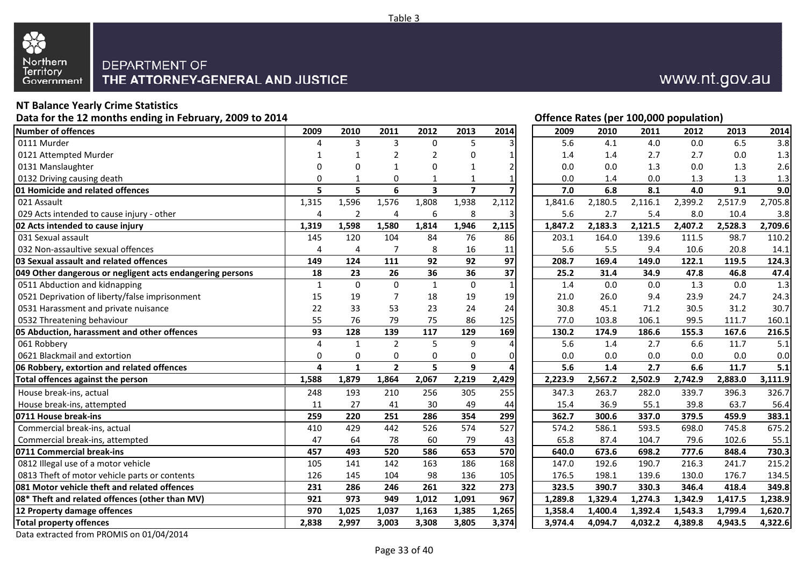

### **NT Balance Yearly Crime Statistics**

**Data for the 12 months ending in February, 2009 to 2014**

| 2009           | 2010               | 2011                       | 2012                       | 2013                                                      | 2014                                    |                                                                                 | 2010    | 2011                                                                                                                                                                                                                                                                                                            | 2012                      | 2013                                        | 2014                      |
|----------------|--------------------|----------------------------|----------------------------|-----------------------------------------------------------|-----------------------------------------|---------------------------------------------------------------------------------|---------|-----------------------------------------------------------------------------------------------------------------------------------------------------------------------------------------------------------------------------------------------------------------------------------------------------------------|---------------------------|---------------------------------------------|---------------------------|
| 4              | 3                  | 3                          | $\mathbf{0}$               | 5                                                         |                                         |                                                                                 | 4.1     | 4.0                                                                                                                                                                                                                                                                                                             | 0.0                       | 6.5                                         | 3.8                       |
|                | 1                  | 2                          | $\overline{2}$             | 0                                                         | 1                                       |                                                                                 | 1.4     | 2.7                                                                                                                                                                                                                                                                                                             | 2.7                       | 0.0                                         | 1.3                       |
| $\Omega$       | O                  | 1                          | $\Omega$                   | $\mathbf{1}$                                              | $\overline{2}$                          |                                                                                 | 0.0     | 1.3                                                                                                                                                                                                                                                                                                             | 0.0                       | 1.3                                         | 2.6                       |
| $\Omega$       | 1                  | $\Omega$                   |                            | $\mathbf{1}$                                              | $\mathbf{1}$                            |                                                                                 | 1.4     | 0.0                                                                                                                                                                                                                                                                                                             | 1.3                       | 1.3                                         | 1.3                       |
| 5              | 5                  | 6                          | $\overline{\mathbf{3}}$    | $\overline{7}$                                            |                                         |                                                                                 | 6.8     | 8.1                                                                                                                                                                                                                                                                                                             | 4.0                       | 9.1                                         | 9.0                       |
| 1,315          | 1,596              | 1,576                      | 1,808                      | 1,938                                                     | 2,112                                   |                                                                                 | 2,180.5 | 2,116.1                                                                                                                                                                                                                                                                                                         | 2,399.2                   | 2,517.9                                     | 2,705.8                   |
| $\overline{4}$ | $\overline{2}$     | 4                          | $\boldsymbol{6}$           | 8                                                         | 3                                       |                                                                                 | 2.7     | 5.4                                                                                                                                                                                                                                                                                                             | 8.0                       | 10.4                                        | 3.8                       |
| 1,319          | 1,598              | 1,580                      | 1,814                      | 1,946                                                     | 2,115                                   |                                                                                 | 2,183.3 | 2,121.5                                                                                                                                                                                                                                                                                                         | 2,407.2                   | 2,528.3                                     | 2,709.6                   |
| 145            | 120                | 104                        | 84                         | 76                                                        | 86                                      |                                                                                 | 164.0   | 139.6                                                                                                                                                                                                                                                                                                           | 111.5                     | 98.7                                        | 110.2                     |
| 4              | 4                  | $\overline{7}$             | 8                          | 16                                                        | 11                                      |                                                                                 | 5.5     | 9.4                                                                                                                                                                                                                                                                                                             | 10.6                      | 20.8                                        | 14.1                      |
| 149            | 124                | 111                        | 92                         | 92                                                        |                                         |                                                                                 | 169.4   | 149.0                                                                                                                                                                                                                                                                                                           | 122.1                     | 119.5                                       | 124.3                     |
| 18             | 23                 | 26                         | 36                         |                                                           | 37                                      |                                                                                 | 31.4    | 34.9                                                                                                                                                                                                                                                                                                            | 47.8                      | 46.8                                        | 47.4                      |
| $\mathbf{1}$   | $\Omega$           | $\Omega$                   | $\mathbf{1}$               | $\mathbf 0$                                               | $\mathbf{1}$                            |                                                                                 | 0.0     | 0.0                                                                                                                                                                                                                                                                                                             | 1.3                       | 0.0                                         | 1.3                       |
| 15             | 19                 | $\overline{7}$             | 18                         | 19                                                        | 19                                      |                                                                                 | 26.0    | 9.4                                                                                                                                                                                                                                                                                                             | 23.9                      | 24.7                                        | 24.3                      |
| 22             | 33                 | 53                         | 23                         | 24                                                        | 24                                      |                                                                                 | 45.1    | 71.2                                                                                                                                                                                                                                                                                                            | 30.5                      | 31.2                                        | 30.7                      |
| 55             | 76                 | 79                         | 75                         | 86                                                        | 125                                     |                                                                                 | 103.8   | 106.1                                                                                                                                                                                                                                                                                                           | 99.5                      | 111.7                                       | 160.1                     |
|                | 128                | 139                        | 117                        | 129                                                       |                                         |                                                                                 | 174.9   | 186.6                                                                                                                                                                                                                                                                                                           | 155.3                     | 167.6                                       | 216.5                     |
| $\overline{4}$ | $\mathbf{1}$       | $\overline{2}$             | 5                          | 9                                                         | $\overline{4}$                          |                                                                                 | 1.4     | 2.7                                                                                                                                                                                                                                                                                                             | 6.6                       | 11.7                                        | 5.1                       |
| 0              | $\Omega$           | $\Omega$                   | $\mathbf 0$                | $\mathbf 0$                                               | $\mathbf 0$                             |                                                                                 | 0.0     | 0.0                                                                                                                                                                                                                                                                                                             | 0.0                       | 0.0                                         | 0.0                       |
| $\overline{a}$ | $\mathbf{1}$       | $\overline{2}$             | 5                          | 9                                                         | 4                                       |                                                                                 | 1.4     | 2.7                                                                                                                                                                                                                                                                                                             | 6.6                       | 11.7                                        | 5.1                       |
|                |                    |                            |                            |                                                           |                                         |                                                                                 |         |                                                                                                                                                                                                                                                                                                                 |                           |                                             | 3,111.9                   |
| 248            | 193                | 210                        | 256                        | 305                                                       | 255                                     |                                                                                 | 263.7   | 282.0                                                                                                                                                                                                                                                                                                           | 339.7                     | 396.3                                       | 326.7                     |
| 11             | 27                 | 41                         | 30                         | 49                                                        | 44                                      |                                                                                 | 36.9    | 55.1                                                                                                                                                                                                                                                                                                            | 39.8                      | 63.7                                        | 56.4                      |
| 259            | 220                | 251                        | 286                        | 354                                                       | 299                                     |                                                                                 | 300.6   | 337.0                                                                                                                                                                                                                                                                                                           | 379.5                     | 459.9                                       | 383.1                     |
| 410            |                    |                            |                            |                                                           |                                         |                                                                                 |         |                                                                                                                                                                                                                                                                                                                 |                           |                                             | 675.2                     |
| 47             | 64                 | 78                         | 60                         | 79                                                        | 43                                      |                                                                                 | 87.4    | 104.7                                                                                                                                                                                                                                                                                                           | 79.6                      | 102.6                                       | 55.1                      |
| 457            | 493                | 520                        | 586                        |                                                           |                                         |                                                                                 | 673.6   | 698.2                                                                                                                                                                                                                                                                                                           | 777.6                     | 848.4                                       | 730.3                     |
|                |                    |                            |                            |                                                           |                                         |                                                                                 |         |                                                                                                                                                                                                                                                                                                                 |                           |                                             | 215.2                     |
| 126            | 145                | 104                        |                            | 136                                                       | 105                                     |                                                                                 | 198.1   | 139.6                                                                                                                                                                                                                                                                                                           |                           | 176.7                                       | 134.5                     |
| 231            |                    |                            |                            |                                                           |                                         |                                                                                 | 390.7   | 330.3                                                                                                                                                                                                                                                                                                           |                           | 418.4                                       | 349.8                     |
| 921            | 973                | 949                        | 1,012                      | 1,091                                                     |                                         |                                                                                 | 1,329.4 | 1,274.3                                                                                                                                                                                                                                                                                                         | 1,342.9                   | 1,417.5                                     | 1,238.9                   |
| 970            | 1,025              | 1,037                      | 1,163                      | 1,385                                                     | 1,265                                   |                                                                                 | 1,400.4 | 1,392.4                                                                                                                                                                                                                                                                                                         | 1,543.3                   | 1,799.4                                     | 1,620.7                   |
| 2,838          | 2,997              | 3,003                      | 3,308                      | 3,805                                                     | 3,374                                   |                                                                                 | 4,094.7 | 4,032.2                                                                                                                                                                                                                                                                                                         | 4,389.8                   | 4,943.5                                     | 4,322.6                   |
|                | 93<br>1,588<br>105 | 1,879<br>429<br>141<br>286 | 1,864<br>442<br>142<br>246 | 2,067<br>526<br>$\frac{163}{ }$<br>98<br>$\overline{261}$ | 36<br>2,219<br>574<br>653<br>186<br>322 | $\overline{97}$<br>169<br>2,429<br>$\overline{527}$<br>570<br>168<br>273<br>967 | 1,358.4 | 2009<br>5.6<br>1.4<br>0.0<br>0.0<br>7.0<br>1,841.6<br>5.6<br>1,847.2<br>203.1<br>5.6<br>208.7<br>25.2<br>1.4<br>21.0<br>30.8<br>77.0<br>130.2<br>5.6<br>0.0<br>5.6<br>2,567.2<br>2,223.9<br>347.3<br>15.4<br>362.7<br>586.1<br>574.2<br>65.8<br>640.0<br>192.6<br>147.0<br>176.5<br>323.5<br>1,289.8<br>3,974.4 | 2,502.9<br>593.5<br>190.7 | 2,742.9<br>698.0<br>216.3<br>130.0<br>346.4 | 2,883.0<br>745.8<br>241.7 |

## **Offence Rates (per 100,000 population)**

www.nt.gov.au

| 9              | 2010         | 2011           | 2012         | 2013           | 2014             | 2009    | 2010    | 2011    | 2012    | 2013    | 2014    |
|----------------|--------------|----------------|--------------|----------------|------------------|---------|---------|---------|---------|---------|---------|
| 4              | 3            | 3              | $\mathbf 0$  | 5              | 3                | 5.6     | 4.1     | 4.0     | 0.0     | 6.5     | 3.8     |
| 1              | 1            | 2              | 2            | 0              |                  | 1.4     | 1.4     | 2.7     | 2.7     | 0.0     | 1.3     |
| 0              | 0            | 1              | 0            | 1              | 2                | 0.0     | 0.0     | 1.3     | 0.0     | 1.3     | 2.6     |
| 0              | 1            | 0              | 1            | 1              |                  | 0.0     | 1.4     | 0.0     | 1.3     | 1.3     | 1.3     |
| 5              | 5            | 6              | 3            | $\overline{z}$ |                  | 7.0     | 6.8     | 8.1     | 4.0     | 9.1     | 9.0     |
| 5              | 1,596        | 1,576          | 1,808        | 1,938          | 2,112            | 1,841.6 | 2,180.5 | 2,116.1 | 2,399.2 | 2,517.9 | 2,705.8 |
| 4              | 2            | 4              | 6            | 8              | 3                | 5.6     | 2.7     | 5.4     | 8.0     | 10.4    | 3.8     |
| 9              | 1,598        | 1,580          | 1,814        | 1,946          | 2,115            | 1,847.2 | 2,183.3 | 2,121.5 | 2,407.2 | 2,528.3 | 2,709.6 |
| 5              | 120          | 104            | 84           | 76             | 86               | 203.1   | 164.0   | 139.6   | 111.5   | 98.7    | 110.2   |
| $\overline{4}$ | 4            | $\overline{7}$ | 8            | 16             | 11               | 5.6     | 5.5     | 9.4     | 10.6    | 20.8    | 14.1    |
| $\frac{9}{8}$  | 124          | 111            | 92           | 92             | 97               | 208.7   | 169.4   | 149.0   | 122.1   | 119.5   | 124.3   |
|                | 23           | 26             | 36           | 36             | 37               | 25.2    | 31.4    | 34.9    | 47.8    | 46.8    | 47.4    |
| $\mathbf 1$    | $\mathbf 0$  | $\mathbf 0$    | $\mathbf{1}$ | $\mathbf 0$    | $\mathbf{1}$     | 1.4     | 0.0     | 0.0     | 1.3     | 0.0     | 1.3     |
| 5              | 19           | 7              | 18           | 19             | 19               | 21.0    | 26.0    | 9.4     | 23.9    | 24.7    | 24.3    |
| 2              | 33           | 53             | 23           | 24             | 24               | 30.8    | 45.1    | 71.2    | 30.5    | 31.2    | 30.7    |
| $\frac{5}{3}$  | 76           | 79             | 75           | 86             | 125              | 77.0    | 103.8   | 106.1   | 99.5    | 111.7   | 160.1   |
|                | 128          | 139            | 117          | 129            | 169              | 130.2   | 174.9   | 186.6   | 155.3   | 167.6   | 216.5   |
| 4              | $\mathbf{1}$ | $\overline{2}$ | 5            | 9              | 4                | 5.6     | 1.4     | 2.7     | 6.6     | 11.7    | 5.1     |
| 0              | 0            | $\mathbf 0$    | $\mathbf 0$  | 0              | 0                | 0.0     | 0.0     | 0.0     | 0.0     | 0.0     | 0.0     |
| 4              | $\mathbf{1}$ | $\overline{2}$ | 5            | 9              |                  | 5.6     | 1.4     | 2.7     | 6.6     | 11.7    | 5.1     |
| 8              | 1,879        | 1,864          | 2,067        | 2,219          | 2,429            | 2,223.9 | 2,567.2 | 2,502.9 | 2,742.9 | 2,883.0 | 3,111.9 |
| 8              | 193          | 210            | 256          | 305            | 255              | 347.3   | 263.7   | 282.0   | 339.7   | 396.3   | 326.7   |
| 1              | 27           | 41             | 30           | 49             | 44               | 15.4    | 36.9    | 55.1    | 39.8    | 63.7    | 56.4    |
| 9              | 220          | 251            | 286          | 354            | 299              | 362.7   | 300.6   | 337.0   | 379.5   | 459.9   | 383.1   |
| $\overline{0}$ | 429          | 442            | 526          | 574            | $\overline{527}$ | 574.2   | 586.1   | 593.5   | 698.0   | 745.8   | 675.2   |
| 7              | 64           | 78             | 60           | 79             | 43               | 65.8    | 87.4    | 104.7   | 79.6    | 102.6   | 55.1    |
| 7              | 493          | 520            | 586          | 653            | 570              | 640.0   | 673.6   | 698.2   | 777.6   | 848.4   | 730.3   |
| $\overline{5}$ | 141          | 142            | 163          | 186            | 168              | 147.0   | 192.6   | 190.7   | 216.3   | 241.7   | 215.2   |
| 6              | 145          | 104            | 98           | 136            | 105              | 176.5   | 198.1   | 139.6   | 130.0   | 176.7   | 134.5   |
| 1              | 286          | 246            | 261          | 322            | 273              | 323.5   | 390.7   | 330.3   | 346.4   | 418.4   | 349.8   |
| 1              | 973          | 949            | 1,012        | 1,091          | 967              | 1,289.8 | 1,329.4 | 1,274.3 | 1,342.9 | 1,417.5 | 1,238.9 |
| 0              | 1,025        | 1,037          | 1,163        | 1,385          | 1,265            | 1,358.4 | 1,400.4 | 1,392.4 | 1,543.3 | 1,799.4 | 1,620.7 |
| 8              | 2,997        | 3,003          | 3,308        | 3,805          | 3,374            | 3,974.4 | 4,094.7 | 4,032.2 | 4,389.8 | 4,943.5 | 4,322.6 |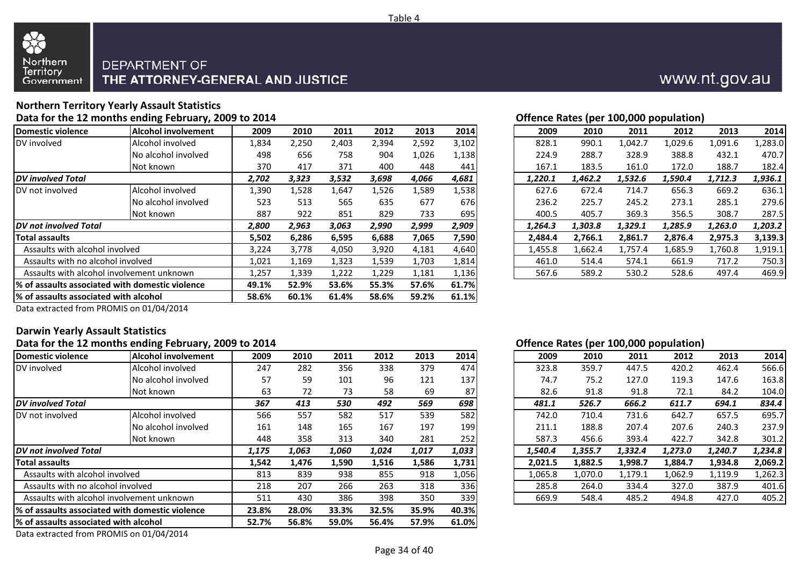

#### **Northern Territory Yearly Assault StatisticsData for the 12 months ending February, 2009 to 2014**

| <u>onenee nates (per zoojooo popalation)</u><br><b>Alcohol involvement</b><br>2014<br>Domestic violence<br>2012<br>2013<br>2009<br>2010<br>2011<br>2009<br>2012<br>2010<br>2011<br>Alcohol involved<br>DV involved<br>1,834<br>3,102<br>2,250<br>2,403<br>2,394<br>2,592<br>828.1<br>990.1<br>1,042.7<br>1,029.6 |                                                  |       |       |       |       |       |       |         |         |         |         |         |         |
|------------------------------------------------------------------------------------------------------------------------------------------------------------------------------------------------------------------------------------------------------------------------------------------------------------------|--------------------------------------------------|-------|-------|-------|-------|-------|-------|---------|---------|---------|---------|---------|---------|
|                                                                                                                                                                                                                                                                                                                  |                                                  |       |       |       |       |       |       |         |         |         |         | 2013    | 2014    |
|                                                                                                                                                                                                                                                                                                                  |                                                  |       |       |       |       |       |       |         |         |         |         | 1,091.6 | ,283.0  |
|                                                                                                                                                                                                                                                                                                                  | INo alcohol involved                             | 498   | 656   | 758   | 904   | 1,026 | 1,138 | 224.9   | 288.7   | 328.9   | 388.8   | 432.1   | 470.7   |
|                                                                                                                                                                                                                                                                                                                  | Not known                                        | 370   | 417   | 371   | 400   | 448   | 441   | 167.1   | 183.5   | 161.0   | 172.0   | 188.7   | 182.4   |
| <b>DV</b> involved Total                                                                                                                                                                                                                                                                                         |                                                  | 2,702 | 3,323 | 3,532 | 3,698 | 4,066 | 4,681 | 1,220.1 | 1,462.2 | 1,532.6 | 1,590.4 | 1,712.3 | 1,936.1 |
| DV not involved                                                                                                                                                                                                                                                                                                  | Alcohol involved                                 | 1,390 | 1,528 | 1,647 | 1,526 | 1,589 | 1,538 | 627.6   | 672.4   | 714.7   | 656.3   | 669.2   | 636.1   |
|                                                                                                                                                                                                                                                                                                                  | No alcohol involved                              | 523   | 513   | 565   | 635   | 677   | 676   | 236.2   | 225.7   | 245.2   | 273.1   | 285.1   | 279.6   |
|                                                                                                                                                                                                                                                                                                                  | Not known                                        | 887   | 922   | 851   | 829   | 733   | 695   | 400.5   | 405.7   | 369.3   | 356.5   | 308.7   | 287.5   |
| <b>DV</b> not involved Total                                                                                                                                                                                                                                                                                     |                                                  | 2,800 | 2,963 | 3,063 | 2,990 | 2,999 | 2,909 | 1,264.3 | 1,303.8 | 1,329.1 | 1,285.9 | 1,263.0 | 1,203.2 |
| <b>Total assaults</b>                                                                                                                                                                                                                                                                                            |                                                  | 5,502 | 6,286 | 6,595 | 6,688 | 7,065 | 7,590 | 2,484.4 | 2,766.1 | 2,861.7 | 2,876.4 | 2,975.3 | 3,139.3 |
| Assaults with alcohol involved                                                                                                                                                                                                                                                                                   |                                                  | 3,224 | 3,778 | 4,050 | 3,920 | 4,181 | 4,640 | 1,455.8 | 1,662.4 | 1,757.4 | 1,685.9 | 1,760.8 | 1,919.1 |
| Assaults with no alcohol involved                                                                                                                                                                                                                                                                                |                                                  | 1,021 | 1,169 | 1,323 | 1,539 | 1,703 | 1,814 | 461.0   | 514.4   | 574.1   | 661.9   | 717.2   | 750.3   |
|                                                                                                                                                                                                                                                                                                                  | Assaults with alcohol involvement unknown        | 1,257 | 1,339 | 1,222 | 1,229 | 1,181 | 1,136 | 567.6   | 589.2   | 530.2   | 528.6   | 497.4   | 469.9   |
|                                                                                                                                                                                                                                                                                                                  | 1% of assaults associated with domestic violence |       |       | 53.6% | 55.3% | 57.6% | 61.7% |         |         |         |         |         |         |
|                                                                                                                                                                                                                                                                                                                  | % of assaults associated with alcohol            |       |       | 61.4% | 58.6% | 59.2% | 61.1% |         |         |         |         |         |         |
|                                                                                                                                                                                                                                                                                                                  |                                                  |       |       |       |       |       |       |         |         |         |         |         |         |

**Offence Rates (per 100,000 population)**

| 19           | 2010  | 2011  | 2012  | 2013  | 2014  | 2009    | 2010    | 2011    | 2012    | 2013    | 2014    |
|--------------|-------|-------|-------|-------|-------|---------|---------|---------|---------|---------|---------|
| 4            | 2,250 | 2,403 | 2,394 | 2,592 | 3,102 | 828.1   | 990.1   | 1,042.7 | 1,029.6 | 1,091.6 | 1,283.0 |
| 18           | 656   | 758   | 904   | 1,026 | 1,138 | 224.9   | 288.7   | 328.9   | 388.8   | 432.1   | 470.7   |
| Ό            | 417   | 371   | 400   | 448   | 441   | 167.1   | 183.5   | 161.0   | 172.0   | 188.7   | 182.4   |
| 2            | 3,323 | 3,532 | 3,698 | 4,066 | 4,681 | 1.220.1 | 1,462.2 | 1,532.6 | 1,590.4 | 1,712.3 | 1,936.1 |
| Ю            | 1,528 | 1,647 | 1,526 | 1,589 | 1,538 | 627.6   | 672.4   | 714.7   | 656.3   | 669.2   | 636.1   |
| '3           | 513   | 565   | 635   | 677   | 676   | 236.2   | 225.7   | 245.2   | 273.1   | 285.1   | 279.6   |
|              | 922   | 851   | 829   | 733   | 695   | 400.5   | 405.7   | 369.3   | 356.5   | 308.7   | 287.5   |
| 0            | 2,963 | 3,063 | 2,990 | 2,999 | 2,909 | 1.264.3 | 1,303.8 | 1,329.1 | 1,285.9 | 1,263.0 | 1,203.2 |
| $\mathbf{2}$ | 6,286 | 6,595 | 6,688 | 7,065 | 7,590 | 2,484.4 | 2,766.1 | 2,861.7 | 2,876.4 | 2,975.3 | 3,139.3 |
| '4           | 3,778 | 4,050 | 3,920 | 4,181 | 4,640 | 1,455.8 | 1,662.4 | 1.757.4 | 1,685.9 | 1,760.8 | 1,919.1 |
|              | 1,169 | 1,323 | 1,539 | 1,703 | 1,814 | 461.0   | 514.4   | 574.1   | 661.9   | 717.2   | 750.3   |
|              | 1,339 | 1,222 | 1,229 | 1,181 | 1,136 | 567.6   | 589.2   | 530.2   | 528.6   | 497.4   | 469.9   |
|              |       |       |       |       |       |         |         |         |         |         |         |

Data extracted from PROMIS on 01/04/2014

#### **Darwin Yearly Assault StatisticsData for the 12 months ending February, 2009 to 2014**

|                                        | -8 - - - - - - - 11 - -                          |       |       |       |       |       |       |         |         |         | $\mathbf{u}$ or $\mathbf{u}$ and $\mathbf{u}$ is provided in the set of $\mathbf{u}$ |         |         |
|----------------------------------------|--------------------------------------------------|-------|-------|-------|-------|-------|-------|---------|---------|---------|--------------------------------------------------------------------------------------|---------|---------|
| Domestic violence                      | Alcohol involvement                              | 2009  | 2010  | 2011  | 2012  | 2013  | 2014  | 2009    | 2010    | 2011    | 2012                                                                                 | 2013    | 2014    |
| DV involved                            | Alcohol involved                                 | 247   | 282   | 356   | 338   | 379   | 474   | 323.8   | 359.7   | 447.5   | 420.2                                                                                | 462.4   | 566.6   |
|                                        | No alcohol involved                              | 57    | 59    | 101   | 96    | 121   | 137   | 74.7    | 75.2    | 127.0   | 119.3                                                                                | 147.6   | 163.8   |
|                                        | Not known                                        | 63    | 72    | 73    | 58    | 69    | 87    | 82.6    | 91.8    | 91.8    | 72.1                                                                                 | 84.2    | 104.0   |
| <b>DV</b> involved Total               |                                                  | 367   | 413   | 530   | 492   | 569   | 698   | 481.1   | 526.7   | 666.2   | 611.7                                                                                | 694.1   | 834.4   |
| DV not involved                        | Alcohol involved                                 | 566   | 557   | 582   | 517   | 539   | 582   | 742.0   | 710.4   | 731.6   | 642.7                                                                                | 657.5   | 695.7   |
|                                        | INo alcohol involved                             | 161   | 148   | 165   | 167   | 197   | 199   | 211.1   | 188.8   | 207.4   | 207.6                                                                                | 240.3   | 237.9   |
|                                        | Not known                                        | 448   | 358   | 313   | 340   | 281   | 252   | 587.3   | 456.6   | 393.4   | 422.7                                                                                | 342.8   | 301.2   |
| <b>IDV</b> not involved Total          |                                                  | 1,175 | 1,063 | 1,060 | 1,024 | 1,017 | 1,033 | 1,540.4 | 1,355.7 | 1,332.4 | 1,273.0                                                                              | 1,240.7 | 1,234.8 |
| <b>Total assaults</b>                  |                                                  | 1,542 | 1,476 | 1,590 | 1,516 | 1,586 | 1,731 | 2,021.5 | 1,882.5 | 1,998.7 | 1,884.7                                                                              | 1,934.8 | 2,069.2 |
| Assaults with alcohol involved         |                                                  | 813   | 839   | 938   | 855   | 918   | 1,056 | 1,065.8 | 1,070.0 | 1,179.1 | 1,062.9                                                                              | 1,119.9 | 1,262.3 |
| Assaults with no alcohol involved      |                                                  | 218   | 207   | 266   | 263   | 318   | 336   | 285.8   | 264.0   | 334.4   | 327.0                                                                                | 387.9   | 401.6   |
|                                        | Assaults with alcohol involvement unknown        | 511   | 430   | 386   | 398   | 350   | 339   | 669.9   | 548.4   | 485.2   | 494.8                                                                                | 427.0   | 405.2   |
|                                        | 1% of assaults associated with domestic violence | 23.8% | 28.0% | 33.3% | 32.5% | 35.9% | 40.3% |         |         |         |                                                                                      |         |         |
| I% of assaults associated with alcohol |                                                  | 52.7% | 56.8% | 59.0% | 56.4% | 57.9% | 61.0% |         |         |         |                                                                                      |         |         |
|                                        | $\sim$ $\sim$ $\sim$ $\sim$ $\sim$ $\sim$        |       |       |       |       |       |       |         |         |         |                                                                                      |         |         |

#### **Offence Rates (per 100,000 population)**

| 19             | 2010  | 2011  | 2012  | 2013  | 2014  | 2009    | 2010    | 2011    | 2012    | 2013    | 2014    |
|----------------|-------|-------|-------|-------|-------|---------|---------|---------|---------|---------|---------|
| 17             | 282   | 356   | 338   | 379   | 474   | 323.8   | 359.7   | 447.5   | 420.2   | 462.4   | 566.6   |
|                | 59    | 101   | 96    | 121   | 137   | 74.7    | 75.2    | 127.0   | 119.3   | 147.6   | 163.8   |
| $\mathbf{5}$   | 72    | 73    | 58    | 69    | 87    | 82.6    | 91.8    | 91.8    | 72.1    | 84.2    | 104.0   |
| $\overline{z}$ | 413   | 530   | 492   | 569   | 698   | 481.1   | 526.7   | 666.2   | 611.7   | 694.1   | 834.4   |
| iб             | 557   | 582   | 517   | 539   | 582   | 742.0   | 710.4   | 731.6   | 642.7   | 657.5   | 695.7   |
| i1             | 148   | 165   | 167   | 197   | 199   | 211.1   | 188.8   | 207.4   | 207.6   | 240.3   | 237.9   |
| ١8             | 358   | 313   | 340   | 281   | 252   | 587.3   | 456.6   | 393.4   | 422.7   | 342.8   | 301.2   |
| 5              | 1,063 | 1,060 | 1,024 | 1,017 | 1,033 | 1,540.4 | 1,355.7 | 1,332.4 | 1,273.0 | 1,240.7 | 1,234.8 |
| $2 \,$         | 1,476 | 1,590 | 1,516 | 1,586 | 1,731 | 2,021.5 | 1,882.5 | 1,998.7 | 1,884.7 | 1,934.8 | 2,069.2 |
| .3             | 839   | 938   | 855   | 918   | 1,056 | 1,065.8 | 1,070.0 | 1,179.1 | 1,062.9 | 1,119.9 | 1,262.3 |
| .8             | 207   | 266   | 263   | 318   | 336   | 285.8   | 264.0   | 334.4   | 327.0   | 387.9   | 401.6   |
| .1             | 430   | 386   | 398   | 350   | 339   | 669.9   | 548.4   | 485.2   | 494.8   | 427.0   | 405.2   |
|                |       |       |       |       |       |         |         |         |         |         |         |

Data extracted from PROMIS on 01/04/2014

Page 34 of 40

## www.nt.gov.au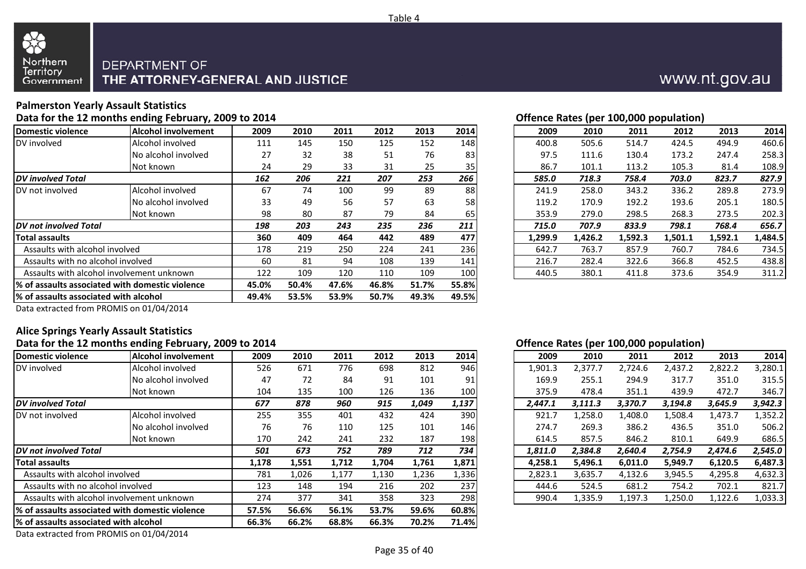

### **Palmerston Yearly Assault Statistics**

#### **Data for the 12 months ending February, 2009 to 2014**

| Domestic violence                      | <b>Alcohol involvement</b>                       | 2009  | 2010  | 2011  | 2012  | 2013  | 2014  | 2009    | 2010    | 2011    | 2012    | 2013    | 2014    |
|----------------------------------------|--------------------------------------------------|-------|-------|-------|-------|-------|-------|---------|---------|---------|---------|---------|---------|
| DV involved                            | Alcohol involved                                 | 111   | 145   | 150   | 125   | 152   | 148   | 400.8   | 505.6   | 514.7   | 424.5   | 494.9   | 460.6   |
|                                        | No alcohol involved                              | 27    | 32    | 38    | 51    | 76    | 83    | 97.5    | 111.6   | 130.4   | 173.2   | 247.4   | 258.3   |
|                                        | Not known                                        | 24    | 29    | 33    | 31    | 25    | 35    | 86.7    | 101.1   | 113.2   | 105.3   | 81.4    | 108.9   |
| <b>IDV</b> involved Total              |                                                  | 162   | 206   | 221   | 207   | 253   | 266   | 585.0   | 718.3   | 758.4   | 703.0   | 823.7   | 827.9   |
| DV not involved                        | Alcohol involved                                 | 67    | 74    | 100   | 99    | 89    | 88    | 241.9   | 258.0   | 343.2   | 336.2   | 289.8   | 273.9   |
|                                        | No alcohol involved                              | 33    | 49    | 56    | 57    | 63    | 58    | 119.2   | 170.9   | 192.2   | 193.6   | 205.1   | 180.5   |
|                                        | Not known                                        | 98    | 80    | 87    | 79    | 84    | 65    | 353.9   | 279.0   | 298.5   | 268.3   | 273.5   | 202.3   |
| <b>IDV</b> not involved Total          |                                                  | 198   | 203   | 243   | 235   | 236   | 211   | 715.0   | 707.9   | 833.9   | 798.1   | 768.4   | 656.7   |
| <b>Total assaults</b>                  |                                                  | 360   | 409   | 464   | 442   | 489   | 477   | 1,299.9 | 1,426.2 | 1,592.3 | 1,501.1 | 1,592.1 | 1,484.5 |
| Assaults with alcohol involved         |                                                  | 178   | 219   | 250   | 224   | 241   | 236   | 642.7   | 763.7   | 857.9   | 760.7   | 784.6   | 734.5   |
| Assaults with no alcohol involved      |                                                  | 60    | 81    | 94    | 108   | 139   | 141   | 216.7   | 282.4   | 322.6   | 366.8   | 452.5   | 438.8   |
|                                        | Assaults with alcohol involvement unknown        | 122   | 109   | 120   | 110   | 109   | 100   | 440.5   | 380.1   | 411.8   | 373.6   | 354.9   | 311.2   |
|                                        | 1% of assaults associated with domestic violence | 45.0% | 50.4% | 47.6% | 46.8% | 51.7% | 55.8% |         |         |         |         |         |         |
| I% of assaults associated with alcohol |                                                  | 49.4% | 53.5% | 53.9% | 50.7% | 49.3% | 49.5% |         |         |         |         |         |         |
|                                        |                                                  |       |       |       |       |       |       |         |         |         |         |         |         |

| 4 |      |      |      |      |      | Offence Rates (per 100,000 population) |       |       |                  |       |       |       |
|---|------|------|------|------|------|----------------------------------------|-------|-------|------------------|-------|-------|-------|
|   | 2010 | 2011 | 2012 | 2013 | 2014 | 2009                                   |       | 2010  | 2011             | 2012  | 2013  | 2014  |
|   | 145  | 150  | 125  | 152  |      | 400.8                                  | 148 I | 505.6 | 514.7            | 424.5 | 494.9 | 460.6 |
|   | 32   | 38   | 51   | 76   | 831  | 97.5                                   |       | 111.6 | 130.4            | 173.2 | 247.4 | 258.3 |
|   | 29   | 33   | 31   | 25   | 35   | 86.7                                   |       | 101.1 | 113.2            | 105.3 | 81.4  | 108.9 |
|   | 20C  | 771  | 207  | フロコ  | 2C   | COC N                                  |       | 710 2 | 750 <sub>A</sub> | ה כחד | 022.7 | 077 Q |

|     | 32  | 38  | 51  | 76  | 83  | 97.5    | 111.6   | 130.4   | 173.2   | 247.4   | 258.3   |
|-----|-----|-----|-----|-----|-----|---------|---------|---------|---------|---------|---------|
| '4  | 29  | 33  | 31  | 25  | 35  | 86.7    | 101.1   | 113.2   | 105.3   | 81.4    | 108.9   |
| 2   | 206 | 221 | 207 | 253 | 266 | 585.0   | 718.3   | 758.4   | 703.0   | 823.7   | 827.9   |
|     | 74  | 100 | 99  | 89  | 88  | 241.9   | 258.0   | 343.2   | 336.2   | 289.8   | 273.9   |
| IЗ. | 49  | 56  | 57  | 63  | 58  | 119.2   | 170.9   | 192.2   | 193.6   | 205.1   | 180.5   |
| 18  | 80  | 87  | 79  | 84  | 65  | 353.9   | 279.0   | 298.5   | 268.3   | 273.5   | 202.3   |
| 8   | 203 | 243 | 235 | 236 | 211 | 715.0   | 707.9   | 833.9   | 798.1   | 768.4   | 656.7   |
| i0  | 409 | 464 | 442 | 489 | 477 | 1,299.9 | 1,426.2 | 1,592.3 | 1,501.1 | 1,592.1 | 1,484.5 |
| '8  | 219 | 250 | 224 | 241 | 236 | 642.7   | 763.7   | 857.9   | 760.7   | 784.6   | 734.5   |
| ìО  | 81  | 94  | 108 | 139 | 141 | 216.7   | 282.4   | 322.6   | 366.8   | 452.5   | 438.8   |
|     | 109 | 120 | 110 | 109 | 100 | 440.5   | 380.1   | 411.8   | 373.6   | 354.9   | 311.2   |

Data extracted from PROMIS on 01/04/2014

#### **Alice Springs Yearly Assault StatisticsData for the 12 months ending February, 2009 to 2014**

| Domestic violence                      | <b>Alcohol involvement</b>                       | 2009  | 2010  | 2011  | 2012  | 2013  | 2014  | 2009    | 2010    | 2011    | 2012    | 2013    | 2014    |
|----------------------------------------|--------------------------------------------------|-------|-------|-------|-------|-------|-------|---------|---------|---------|---------|---------|---------|
| DV involved                            | Alcohol involved                                 | 526   | 671   | 776   | 698   | 812   | 946   | 1,901.3 | 2,377.7 | 2,724.6 | 2,437.2 | 2,822.2 | 3,280.1 |
|                                        | No alcohol involved                              | 47    | 72    | 84    | 91    | 101   | 91    | 169.9   | 255.1   | 294.9   | 317.7   | 351.0   | 315.5   |
|                                        | Not known                                        | 104   | 135   | 100   | 126   | 136   | 100   | 375.9   | 478.4   | 351.1   | 439.9   | 472.7   | 346.7   |
| <b>DV</b> involved Total               |                                                  | 677   | 878   | 960   | 915   | 1,049 | 1,137 | 2,447.1 | 3,111.3 | 3,370.7 | 3,194.8 | 3,645.9 | 3,942.3 |
| DV not involved                        | Alcohol involved                                 | 255   | 355   | 401   | 432   | 424   | 390   | 921.7   | 1,258.0 | 1,408.0 | 1,508.4 | 1,473.7 | 1,352.2 |
|                                        | No alcohol involved                              | 76    | 76    | 110   | 125   | 101   | 146   | 274.7   | 269.3   | 386.2   | 436.5   | 351.0   | 506.2   |
|                                        | Not known                                        | 170   | 242   | 241   | 232   | 187   | 198   | 614.5   | 857.5   | 846.2   | 810.1   | 649.9   | 686.5   |
| <b>DV</b> not involved Total           |                                                  | 501   | 673   | 752   | 789   | 712   | 734   | 1,811.0 | 2,384.8 | 2,640.4 | 2,754.9 | 2,474.6 | 2,545.0 |
| <b>Total assaults</b>                  |                                                  | 1,178 | 1,551 | 1,712 | 1,704 | 1,761 | 1,871 | 4,258.1 | 5,496.1 | 6,011.0 | 5,949.7 | 6,120.5 | 6,487.3 |
| Assaults with alcohol involved         |                                                  | 781   | 1,026 | 1,177 | 1,130 | 1,236 | 1,336 | 2,823.1 | 3,635.7 | 4,132.6 | 3,945.5 | 4,295.8 | 4,632.3 |
| Assaults with no alcohol involved      |                                                  | 123   | 148   | 194   | 216   | 202   | 237   | 444.6   | 524.5   | 681.2   | 754.2   | 702.1   | 821.7   |
|                                        | Assaults with alcohol involvement unknown        | 274   | 377   | 341   | 358   | 323   | 298   | 990.4   | 1,335.9 | 1,197.3 | 1,250.0 | 1,122.6 | 1,033.3 |
|                                        | 1% of assaults associated with domestic violence | 57.5% | 56.6% | 56.1% | 53.7% | 59.6% | 60.8% |         |         |         |         |         |         |
| I% of assaults associated with alcohol |                                                  | 66.3% | 66.2% | 68.8% | 66.3% | 70.2% | 71.4% |         |         |         |         |         |         |
|                                        |                                                  |       |       |       |       |       |       |         |         |         |         |         |         |

#### **Offence Rates (per 100,000 population)**

| 19             | 2010  | 2011  | 2012  | 2013  | 2014  | 2009    | 2010    | 2011    | 2012    | 2013    | 2014    |
|----------------|-------|-------|-------|-------|-------|---------|---------|---------|---------|---------|---------|
| '6             | 671   | 776   | 698   | 812   | 946   | 1,901.3 | 2,377.7 | 2,724.6 | 2,437.2 | 2,822.2 | 3,280.1 |
| 17             | 72    | 84    | 91    | 101   | 91    | 169.9   | 255.1   | 294.9   | 317.7   | 351.0   | 315.5   |
| 14             | 135   | 100   | 126   | 136   | 100   | 375.9   | 478.4   | 351.1   | 439.9   | 472.7   | 346.7   |
| $\overline{z}$ | 878   | 960   | 915   | 1,049 | 1,137 | 2,447.1 | 3,111.3 | 3,370.7 | 3,194.8 | 3,645.9 | 3,942.3 |
| 5.             | 355   | 401   | 432   | 424   | 390   | 921.7   | 1,258.0 | 1,408.0 | 1,508.4 | 1,473.7 | 1,352.2 |
| '6             | 76    | 110   | 125   | 101   | 146   | 274.7   | 269.3   | 386.2   | 436.5   | 351.0   | 506.2   |
| Ό              | 242   | 241   | 232   | 187   | 198   | 614.5   | 857.5   | 846.2   | 810.1   | 649.9   | 686.5   |
|                | 673   | 752   | 789   | 712   | 734   | 1,811.0 | 2,384.8 | 2,640.4 | 2,754.9 | 2,474.6 | 2,545.0 |
| '8             | 1,551 | 1,712 | 1,704 | 1,761 | 1,871 | 4,258.1 | 5,496.1 | 6,011.0 | 5,949.7 | 6,120.5 | 6,487.3 |
| 31             | 1,026 | 1,177 | 1,130 | 1,236 | 1,336 | 2,823.1 | 3,635.7 | 4,132.6 | 3,945.5 | 4,295.8 | 4,632.3 |
| '3             | 148   | 194   | 216   | 202   | 237   | 444.6   | 524.5   | 681.2   | 754.2   | 702.1   | 821.7   |
| Ι4             | 377   | 341   | 358   | 323   | 298   | 990.4   | 1,335.9 | 1,197.3 | 1,250.0 | 1,122.6 | 1,033.3 |
|                |       |       |       |       |       |         |         |         |         |         |         |

Data extracted from PROMIS on 01/04/2014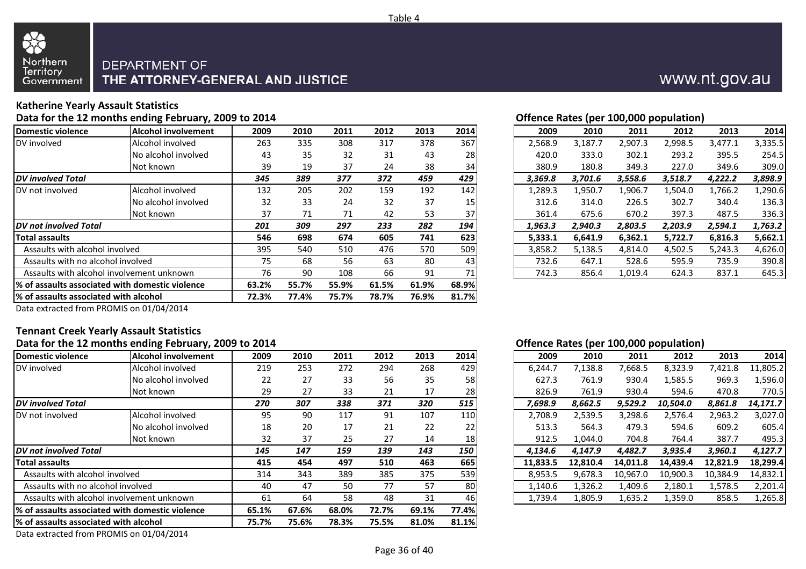

### **Katherine Yearly Assault Statistics**

#### **Data for the 12 months ending February, 2009 to 2014**

| <b>Domestic violence</b>               | <b>Alcohol involvement</b>                       | 2009  | 2010  | 2011  | 2012  | 2013  | 2014  | 2009    | 2010    | 2011    | 2012    | 2013    | 2014    |
|----------------------------------------|--------------------------------------------------|-------|-------|-------|-------|-------|-------|---------|---------|---------|---------|---------|---------|
| DV involved                            | Alcohol involved                                 | 263   | 335   | 308   | 317   | 378   | 367   | 2.568.9 | 3,187.7 | 2,907.3 | 2,998.5 | 3,477.1 | 3,335.5 |
|                                        | No alcohol involved                              | 43    | 35    | 32    | 31    | 43    | 28    | 420.0   | 333.0   | 302.1   | 293.2   | 395.5   | 254.5   |
|                                        | Not known                                        | 39    | 19    | 37    | 24    | 38    | 34    | 380.9   | 180.8   | 349.3   | 227.0   | 349.6   | 309.0   |
| <b>DV</b> involved Total               |                                                  | 345   | 389   | 377   | 372   | 459   | 429   | 3,369.8 | 3,701.6 | 3,558.6 | 3,518.7 | 4,222.2 | 3,898.9 |
| DV not involved                        | Alcohol involved                                 | 132   | 205   | 202   | 159   | 192   | 142   | 1,289.3 | 1,950.7 | 1,906.7 | 1,504.0 | 1,766.2 | ,290.6  |
|                                        | INo alcohol involved                             | 32    | 33    | 24    | 32    | 37    | 15    | 312.6   | 314.0   | 226.5   | 302.7   | 340.4   | 136.3   |
|                                        | Not known                                        | 37    | 71    | 71    | 42    | 53    | 37    | 361.4   | 675.6   | 670.2   | 397.3   | 487.5   | 336.3   |
| <b>IDV</b> not involved Total          |                                                  | 201   | 309   | 297   | 233   | 282   | 194   | 1,963.3 | 2,940.3 | 2,803.5 | 2,203.9 | 2,594.1 | 1,763.2 |
| <b>Total assaults</b>                  |                                                  | 546   | 698   | 674   | 605   | 741   | 623   | 5,333.1 | 6,641.9 | 6,362.1 | 5,722.7 | 6,816.3 | 5,662.1 |
| Assaults with alcohol involved         |                                                  | 395   | 540   | 510   | 476   | 570   | 509   | 3,858.2 | 5,138.5 | 4,814.0 | 4,502.5 | 5,243.3 | 4,626.0 |
| Assaults with no alcohol involved      |                                                  | 75    | 68    | 56    | 63    | 80    | 43    | 732.6   | 647.1   | 528.6   | 595.9   | 735.9   | 390.8   |
|                                        | Assaults with alcohol involvement unknown        | 76    | 90    | 108   | 66    | 91    | 71    | 742.3   | 856.4   | 1,019.4 | 624.3   | 837.1   | 645.3   |
|                                        | 1% of assaults associated with domestic violence | 63.2% | 55.7% | 55.9% | 61.5% | 61.9% | 68.9% |         |         |         |         |         |         |
| I% of assaults associated with alcohol |                                                  | 72.3% | 77.4% | 75.7% | 78.7% | 76.9% | 81.7% |         |         |         |         |         |         |
|                                        |                                                  |       |       |       |       |       |       |         |         |         |         |         |         |

| 14             |           |       |      |            |           | Offence Rates (per 100,000 population) |                 |               |         |         |         |
|----------------|-----------|-------|------|------------|-----------|----------------------------------------|-----------------|---------------|---------|---------|---------|
| 19             | 2010      | 2011  | 2012 | 2013       | 2014      | 2009                                   | 2010            | 2011          | 2012    | 2013    | 2014    |
| 3 <sup>2</sup> | 335       | 308   | 317  | 378        | 367       | 2,568.9                                | 3,187.7         | 2,907.3       | 2,998.5 | 3,477.1 | 3,335.5 |
| ŀЗ             | 35        | 32    | 31   | 43         | 28        | 420.0                                  | 333.0           | 302.1         | 293.2   | 395.5   | 254.5   |
| :9             | 19        | 37    | 24   | 38         | 34        | 380.9                                  | 180.8           | 349.3         | 227.0   | 349.6   | 309.0   |
| 5              | 389       | 377   | 372  | 459        | 429       | 3,369.8                                | 3.701.6         | 3,558.6       | 3.518.7 | 4.222.2 | 3,898.9 |
| 12.            | 205       | 202   | 159  | 192        | 142       | 1,289.3                                | 1,950.7         | 1,906.7       | 1,504.0 | 1,766.2 | 1,290.6 |
| :2             | 33        | 24    | 32   | 37         | 15        | 312.6                                  | 314.0           | 226.5         | 302.7   | 340.4   | 136.3   |
| 17             | 71        | 71    | 42   | 53         | 37        | 361.4                                  | 675.6           | 670.2         | 397.3   | 487.5   | 336.3   |
|                | 309       | 297   | 233  | 282        | 194       | 1.963.3                                | 2.940.3         | 2.803.5       | 2.203.9 | 2.594.1 | 1,763.2 |
| 16             | 698       | 674   | 605  | 741        | 623       | 5.333.1                                | 6.641.9         | 6.362.1       | 5.722.7 | 6,816.3 | 5,662.1 |
| 15             | 540       | 510   | 476  | 570        | 509       | 3,858.2                                | 5,138.5         | 4,814.0       | 4,502.5 | 5,243.3 | 4,626.0 |
| '5             | 68        | 56    | 63   | 80         | 43        | 732.6                                  | 647.1           | 528.6         | 595.9   | 735.9   | 390.8   |
| ' ፍ            | <b>OO</b> | 1 በ ହ | 66.  | $^{\circ}$ | <b>71</b> | 7172                                   | $QFG$ $\Lambda$ | $1$ $010$ $A$ | 671 2   | 9271    | 6152    |

Data extracted from PROMIS on 01/04/2014

#### **Tennant Creek Yearly Assault StatisticsData for the 12 months ending February, 2009 to 2014**

|                                        |                                                  |       |       |       |       |       |            | $\mathbf{r}$                                                         |
|----------------------------------------|--------------------------------------------------|-------|-------|-------|-------|-------|------------|----------------------------------------------------------------------|
| Domestic violence                      | Alcohol involvement                              | 2009  | 2010  | 2011  | 2012  | 2013  | 2014       | 2009<br>2014<br>2010<br>2012<br>2013<br>2011                         |
| DV involved                            | Alcohol involved                                 | 219   | 253   | 272   | 294   | 268   | 429        | 11,805.2<br>6,244.7<br>7,138.8<br>7,668.5<br>8,323.9<br>7,421.8      |
|                                        | No alcohol involved                              | 22    | 27    | 33    | 56    | 35    | 58         | l,596.0<br>627.3<br>761.9<br>1,585.5<br>969.3<br>930.4               |
|                                        | Not known                                        | 29    | 27    | 33    | 21    | 17    | 28         | 761.9<br>770.5<br>826.9<br>930.4<br>594.6<br>470.8                   |
| <b>DV</b> involved Total               |                                                  | 270   | 307   | 338   | 371   | 320   | 515        | 14,171.7<br>7,698.9<br>8,662.5<br>9,529.2<br>10,504.0<br>8,861.8     |
| DV not involved                        | Alcohol involved                                 | 95    | 90    | 117   | 91    | 107   | 110        | 2,539.5<br>3,298.6<br>2,963.2<br>3,027.0<br>2,708.9<br>2,576.4       |
|                                        | No alcohol involved                              | 18    | 20    | 17    | 21    | 22    | 22         | 513.3<br>564.3<br>609.2<br>605.4<br>479.3<br>594.6                   |
|                                        | Not known                                        | 32    | 37    | 25    | 27    | 14    | 18         | 495.3<br>912.5<br>1.044.0<br>387.7<br>704.8<br>764.4                 |
| <b>IDV</b> not involved Total          |                                                  | 145   | 147   | 159   | 139   | 143   | <b>150</b> | 4,127.7<br>4,134.6<br>4.147.9<br>4,482.7<br>3,935.4<br>3,960.1       |
| <b>Total assaults</b>                  |                                                  | 415   | 454   | 497   | 510   | 463   | 665        | 18,299.4<br>11,833.5<br>12,810.4<br>14,439.4<br>12,821.9<br>14,011.8 |
| Assaults with alcohol involved         |                                                  | 314   | 343   | 389   | 385   | 375   | 539        | 9,678.3<br>14,832.1<br>8,953.5<br>10,967.0<br>10,900.3<br>10,384.9   |
| Assaults with no alcohol involved      |                                                  | 40    | 47    | 50    | 77    | 57    | 80         | 1,326.2<br>2,201.4<br>1,140.6<br>1,409.6<br>2,180.1<br>1,578.5       |
|                                        | Assaults with alcohol involvement unknown        | 61    | 64    | 58    | 48    | 31    | 46         | 1,635.2<br>1,265.8<br>1,739.4<br>1,805.9<br>1,359.0<br>858.5         |
|                                        | l% of assaults associated with domestic violence | 65.1% | 67.6% | 68.0% | 72.7% | 69.1% | 77.4%      |                                                                      |
| 1% of assaults associated with alcohol |                                                  | 75.7% | 75.6% | 78.3% | 75.5% | 81.0% | 81.1%      |                                                                      |
|                                        |                                                  |       |       |       |       |       |            |                                                                      |

#### **Offence Rates (per 100,000 population)**

| 19             | 2010 | 2011 | 2012 | 2013 | 2014            | 2009     | 2010     | 2011     | 2012     | 2013     | 2014     |
|----------------|------|------|------|------|-----------------|----------|----------|----------|----------|----------|----------|
| 9.             | 253  | 272  | 294  | 268  | 429             | 6,244.7  | 7,138.8  | 7,668.5  | 8,323.9  | 7,421.8  | 11,805.2 |
| $\overline{2}$ | 27   | 33   | 56   | 35   | 58              | 627.3    | 761.9    | 930.4    | 1,585.5  | 969.3    | 1,596.0  |
| و،             | 27   | 33   | 21   | 17   | 28              | 826.9    | 761.9    | 930.4    | 594.6    | 470.8    | 770.5    |
| 0              | 307  | 338  | 371  | 320  | 515             | 7.698.9  | 8.662.5  | 9,529.2  | 10,504.0 | 8.861.8  | 14.171.7 |
| 15             | 90   | 117  | 91   | 107  | 110             | 2,708.9  | 2,539.5  | 3,298.6  | 2,576.4  | 2,963.2  | 3,027.0  |
| .8             | 20   | 17   | 21   | 22   | 22              | 513.3    | 564.3    | 479.3    | 594.6    | 609.2    | 605.4    |
| 12             | 37   | 25   | 27   | 14   | 18 <sup>1</sup> | 912.5    | 1.044.0  | 704.8    | 764.4    | 387.7    | 495.3    |
| 5              | 147  | 159  | 139  | 143  | 150             | 4.134.6  | 4.147.9  | 4.482.7  | 3,935.4  | 3,960.1  | 4.127.7  |
| .5             | 454  | 497  | 510  | 463  | 665             | 11.833.5 | 12.810.4 | 14.011.8 | 14.439.4 | 12.821.9 | 18,299.4 |
| .4             | 343  | 389  | 385  | 375  | 539             | 8,953.5  | 9,678.3  | 10.967.0 | 10,900.3 | 10.384.9 | 14,832.1 |
| ŀ٥             | 47   | 50   | 77   | 57   | 80              | 1,140.6  | 1,326.2  | 1,409.6  | 2,180.1  | 1,578.5  | 2,201.4  |
|                | 64   | 58   | 48   | 31   | 46              | 1,739.4  | 1,805.9  | 1,635.2  | 1,359.0  | 858.5    | 1,265.8  |
|                |      |      |      |      |                 |          |          |          |          |          |          |

## www.nt.gov.au

Data extracted from PROMIS on 01/04/2014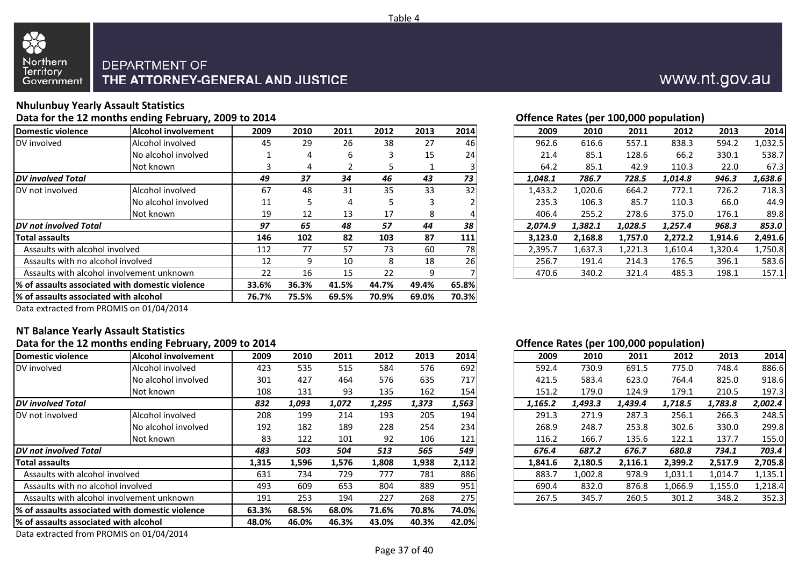

## **Nhulunbuy Yearly Assault Statistics**

#### **Data for the 12 months ending February, 2009 to 2014**

| Domestic violence                 | <b>Alcohol involvement</b>                       | 2009  | 2010  | 2011  | 2012  | 2013  | 2014  | 2009    | 2010    | 2011                        | 2012    | 2013    | 2014    |
|-----------------------------------|--------------------------------------------------|-------|-------|-------|-------|-------|-------|---------|---------|-----------------------------|---------|---------|---------|
| DV involved                       | Alcohol involved                                 | 45    | 29    | 26    | 38    | 27    | 46    | 962.6   | 616.6   | 557.1                       | 838.3   | 594.2   | 1,032.5 |
|                                   | No alcohol involved                              |       | 4     | 6     | 3     | 15    | 24    | 21.4    | 85.1    | 128.6                       | 66.2    | 330.1   | 538.7   |
|                                   | Not known                                        |       | 4     |       |       |       |       | 64.2    | 85.1    | 42.9                        | 110.3   | 22.0    | 67.3    |
| <b>DV</b> involved Total          |                                                  | 49    | 37    | 34    | 46    | 43    | 73    | 1,048.1 | 786.7   | 728.5                       | 1,014.8 | 946.3   | 1,638.6 |
| DV not involved                   | Alcohol involved                                 | 67    | 48    | 31    | 35    | 33    | 32    | 1,433.2 | 1,020.6 | 664.2                       | 772.1   | 726.2   | 718.3   |
|                                   | No alcohol involved                              | 11    | 5     | 4     | C.    | 3     |       | 235.3   | 106.3   | 85.7                        | 110.3   | 66.0    | 44.9    |
|                                   | Not known                                        | 19    | 12    | 13    | 17    | 8     |       | 406.4   | 255.2   | 278.6                       | 375.0   | 176.1   | 89.8    |
| <b>IDV</b> not involved Total     |                                                  | 97    | 65    | 48    | 57    | 44    | 38    | 2,074.9 | 1,382.1 | 968.3<br>1,028.5<br>1,257.4 |         |         | 853.0   |
| <b>Total assaults</b>             |                                                  | 146   | 102   | 82    | 103   | 87    | 111   | 3,123.0 | 2,168.8 | 1,757.0                     | 2,272.2 | 1,914.6 | 2,491.6 |
| Assaults with alcohol involved    |                                                  | 112   | 77    | 57    | 73    | 60    | 78I   | 2,395.7 | 1,637.3 | 1,221.3                     | 1,610.4 | 1,320.4 | 1,750.8 |
| Assaults with no alcohol involved |                                                  | 12    | 9     | 10    | 8     | 18    | 26    | 256.7   | 191.4   | 214.3                       | 176.5   | 396.1   | 583.6   |
|                                   | Assaults with alcohol involvement unknown        |       |       | 15    | 22    | 9     |       | 470.6   | 340.2   | 321.4                       | 485.3   | 198.1   | 157.1   |
|                                   | 1% of assaults associated with domestic violence | 33.6% | 36.3% | 41.5% | 44.7% | 49.4% | 65.8% |         |         |                             |         |         |         |
|                                   | I% of assaults associated with alcohol           |       |       | 69.5% | 70.9% | 69.0% | 70.3% |         |         |                             |         |         |         |
|                                   |                                                  |       |       |       |       |       |       |         |         |                             |         |         |         |

| 14             |      |      |      |      |      |         |         |         | Offence Rates (per 100,000 population) |         |         |
|----------------|------|------|------|------|------|---------|---------|---------|----------------------------------------|---------|---------|
| 19             | 2010 | 2011 | 2012 | 2013 | 2014 | 2009    | 2010    | 2011    | 2012                                   | 2013    | 2014    |
| 15             | 29   | 26   | 38   | 27   | 46   | 962.6   | 616.6   | 557.1   | 838.3                                  | 594.2   | 1,032.5 |
| 1              | 4    | 6    | 3    | 15   | 24   | 21.4    | 85.1    | 128.6   | 66.2                                   | 330.1   | 538.7   |
| 3              | 4    |      | 5.   |      |      | 64.2    | 85.1    | 42.9    | 110.3                                  | 22.0    | 67.3    |
| 9              | 37   | 34   | 46   | 43   | 73   | 1,048.1 | 786.7   | 728.5   | 1,014.8                                | 946.3   | 1,638.6 |
| 57             | 48   | 31   | 35   | 33   | 32   | 1,433.2 | 1,020.6 | 664.2   | 772.1                                  | 726.2   | 718.3   |
|                | 5    | 4    | 5    | 3    |      | 235.3   | 106.3   | 85.7    | 110.3                                  | 66.0    | 44.9    |
| 9.             | 12   | 13   | 17   | 8    |      | 406.4   | 255.2   | 278.6   | 375.0                                  | 176.1   | 89.8    |
| 7              | 65   | 48   | 57   | 44   | 38   | 2,074.9 | 1,382.1 | 1,028.5 | 1,257.4                                | 968.3   | 853.0   |
| 16             | 102  | 82   | 103  | 87   | 111  | 3.123.0 | 2,168.8 | 1.757.0 | 2.272.2                                | 1.914.6 | 2,491.6 |
| $\overline{2}$ | 77   | 57   | 73   | 60   | 78   | 2,395.7 | 1,637.3 | 1,221.3 | 1,610.4                                | 1,320.4 | 1,750.8 |
| .2             | 9    | 10   | 8    | 18   | 26   | 256.7   | 191.4   | 214.3   | 176.5                                  | 396.1   | 583.6   |
| $\overline{2}$ | 16   | 15   | 22   | 9    |      | 470.6   | 340.2   | 321.4   | 485.3                                  | 198.1   | 157.1   |

Data extracted from PROMIS on 01/04/2014

#### **NT Balance Yearly Assault StatisticsData for the 12 months ending February, 2009 to 2014**

|                                           | -8 - - - - - - - 11 - -                                                                      |       |       |       |       |       |                                                              |       |         | $\mathbf{u}$ |         |         |         |         |
|-------------------------------------------|----------------------------------------------------------------------------------------------|-------|-------|-------|-------|-------|--------------------------------------------------------------|-------|---------|--------------|---------|---------|---------|---------|
| Domestic violence                         | <b>Alcohol involvement</b>                                                                   | 2009  | 2010  | 2011  | 2012  | 2013  | 2014                                                         |       | 2009    | 2010         | 2011    | 2012    | 2013    | 2014    |
| DV involved                               | Alcohol involved                                                                             | 423   | 535   | 515   | 584   | 576   | 692                                                          |       | 592.4   | 730.9        | 691.5   | 775.0   | 748.4   | 886.6   |
|                                           | No alcohol involved                                                                          | 301   | 427   | 464   | 576   | 635   | 717                                                          |       | 421.5   | 583.4        | 623.0   | 764.4   | 825.0   | 918.6   |
|                                           | Not known                                                                                    | 108   | 131   | 93    | 135   | 162   | 154                                                          |       | 151.2   | 179.0        | 124.9   | 179.1   | 210.5   | 197.3   |
| <b>IDV</b> involved Total                 |                                                                                              | 832   | 1,093 | 1,072 | 1,295 | 1,373 | 1,563<br>1,165.2<br>1,493.3<br>1,439.4<br>1,718.5<br>1,783.8 |       | 2,002.4 |              |         |         |         |         |
| DV not involved                           | Alcohol involved                                                                             | 208   | 199   | 214   | 193   | 205   | 194                                                          |       | 291.3   | 271.9        | 287.3   | 256.1   | 266.3   | 248.5   |
|                                           | No alcohol involved                                                                          | 192   | 182   | 189   | 228   | 254   | 234                                                          |       | 268.9   | 248.7        | 253.8   | 302.6   | 330.0   | 299.8   |
|                                           | Not known                                                                                    | 83    | 122   | 101   | 92    | 106   | 121                                                          |       | 116.2   | 166.7        | 135.6   | 122.1   | 137.7   | 155.0   |
| <b>IDV</b> not involved Total             |                                                                                              | 483   | 503   | 504   | 513   | 565   | 549                                                          |       | 676.4   | 687.2        | 676.7   | 680.8   | 734.1   | 703.4   |
| <b>Total assaults</b>                     |                                                                                              | 1,315 | 1,596 | 1,576 | 1,808 | 1,938 | 2,112                                                        |       | 1,841.6 | 2,180.5      | 2,116.1 | 2,399.2 | 2,517.9 | 2,705.8 |
| Assaults with alcohol involved            |                                                                                              | 631   | 734   | 729   | 777   | 781   | 886                                                          |       | 883.7   | 1,002.8      | 978.9   | 1,031.1 | 1,014.7 | 1,135.1 |
| Assaults with no alcohol involved         |                                                                                              | 493   | 609   | 653   | 804   | 889   | 951                                                          |       | 690.4   | 832.0        | 876.8   | 1,066.9 | 1,155.0 | 1,218.4 |
| Assaults with alcohol involvement unknown | 191                                                                                          | 253   | 194   | 227   | 268   | 275   |                                                              | 267.5 | 345.7   | 260.5        | 301.2   | 348.2   | 352.3   |         |
|                                           | 1% of assaults associated with domestic violence                                             | 63.3% | 68.5% | 68.0% | 71.6% | 70.8% | 74.0%                                                        |       |         |              |         |         |         |         |
|                                           | 42.0%<br>1% of assaults associated with alcohol<br>48.0%<br>46.0%<br>46.3%<br>43.0%<br>40.3% |       |       |       |       |       |                                                              |       |         |              |         |         |         |         |
|                                           | $\sim$ $\sim$ $\sim$ $\sim$ $\sim$ $\sim$                                                    |       |       |       |       |       |                                                              |       |         |              |         |         |         |         |

#### **Offence Rates (per 100,000 population)**

| 19 | 2010  | 2011  | 2012  | 2013  | 2014  | 2009    | 2010    | 2011    | 2012    | 2013    | 2014    |
|----|-------|-------|-------|-------|-------|---------|---------|---------|---------|---------|---------|
| '3 | 535   | 515   | 584   | 576   | 692   | 592.4   | 730.9   | 691.5   | 775.0   | 748.4   | 886.6   |
| 1  | 427   | 464   | 576   | 635   | 717   | 421.5   | 583.4   | 623.0   | 764.4   | 825.0   | 918.6   |
| 18 | 131   | 93    | 135   | 162   | 154   | 151.2   | 179.0   | 124.9   | 179.1   | 210.5   | 197.3   |
| 2  | 1,093 | 1,072 | 1,295 | 1,373 | 1,563 | 1,165.2 | 1,493.3 | 1,439.4 | 1,718.5 | 1,783.8 | 2,002.4 |
| 18 | 199   | 214   | 193   | 205   | 194   | 291.3   | 271.9   | 287.3   | 256.1   | 266.3   | 248.5   |
| 12 | 182   | 189   | 228   | 254   | 234   | 268.9   | 248.7   | 253.8   | 302.6   | 330.0   | 299.8   |
| 33 | 122   | 101   | 92    | 106   | 121   | 116.2   | 166.7   | 135.6   | 122.1   | 137.7   | 155.0   |
| 3  | 503   | 504   | 513   | 565   | 549   | 676.4   | 687.2   | 676.7   | 680.8   | 734.1   | 703.4   |
| .5 | 1,596 | 1,576 | 1,808 | 1,938 | 2,112 | 1,841.6 | 2,180.5 | 2,116.1 | 2,399.2 | 2,517.9 | 2,705.8 |
|    | 734   | 729   | 777   | 781   | 886   | 883.7   | 1,002.8 | 978.9   | 1,031.1 | 1,014.7 | 1,135.1 |
| 13 | 609   | 653   | 804   | 889   | 951   | 690.4   | 832.0   | 876.8   | 1,066.9 | 1,155.0 | 1,218.4 |
| ۱1 | 253   | 194   | 227   | 268   | 275   | 267.5   | 345.7   | 260.5   | 301.2   | 348.2   | 352.3   |
|    |       |       |       |       |       |         |         |         |         |         |         |

www.nt.gov.au

Data extracted from PROMIS on 01/04/2014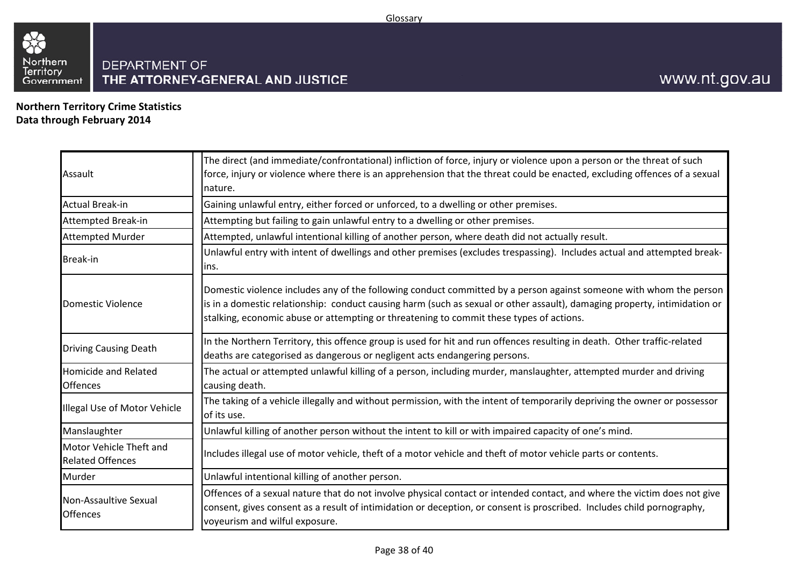

**Northern Territory Crime StatisticsData through February 2014**

| Assault                                            | The direct (and immediate/confrontational) infliction of force, injury or violence upon a person or the threat of such<br>force, injury or violence where there is an apprehension that the threat could be enacted, excluding offences of a sexual<br>nature.                                                                             |
|----------------------------------------------------|--------------------------------------------------------------------------------------------------------------------------------------------------------------------------------------------------------------------------------------------------------------------------------------------------------------------------------------------|
| <b>Actual Break-in</b>                             | Gaining unlawful entry, either forced or unforced, to a dwelling or other premises.                                                                                                                                                                                                                                                        |
| <b>Attempted Break-in</b>                          | Attempting but failing to gain unlawful entry to a dwelling or other premises.                                                                                                                                                                                                                                                             |
| <b>Attempted Murder</b>                            | Attempted, unlawful intentional killing of another person, where death did not actually result.                                                                                                                                                                                                                                            |
| <b>Break-in</b>                                    | Unlawful entry with intent of dwellings and other premises (excludes trespassing). Includes actual and attempted break-<br>lins.                                                                                                                                                                                                           |
| Domestic Violence                                  | Domestic violence includes any of the following conduct committed by a person against someone with whom the person<br>is in a domestic relationship: conduct causing harm (such as sexual or other assault), damaging property, intimidation or<br>stalking, economic abuse or attempting or threatening to commit these types of actions. |
| <b>Driving Causing Death</b>                       | In the Northern Territory, this offence group is used for hit and run offences resulting in death. Other traffic-related<br>deaths are categorised as dangerous or negligent acts endangering persons.                                                                                                                                     |
| <b>Homicide and Related</b><br><b>Offences</b>     | The actual or attempted unlawful killing of a person, including murder, manslaughter, attempted murder and driving<br>causing death.                                                                                                                                                                                                       |
| Illegal Use of Motor Vehicle                       | The taking of a vehicle illegally and without permission, with the intent of temporarily depriving the owner or possessor<br>of its use.                                                                                                                                                                                                   |
| Manslaughter                                       | Unlawful killing of another person without the intent to kill or with impaired capacity of one's mind.                                                                                                                                                                                                                                     |
| Motor Vehicle Theft and<br><b>Related Offences</b> | Includes illegal use of motor vehicle, theft of a motor vehicle and theft of motor vehicle parts or contents.                                                                                                                                                                                                                              |
| Murder                                             | Unlawful intentional killing of another person.                                                                                                                                                                                                                                                                                            |
| Non-Assaultive Sexual<br><b>Offences</b>           | Offences of a sexual nature that do not involve physical contact or intended contact, and where the victim does not give<br>consent, gives consent as a result of intimidation or deception, or consent is proscribed. Includes child pornography,<br>voyeurism and wilful exposure.                                                       |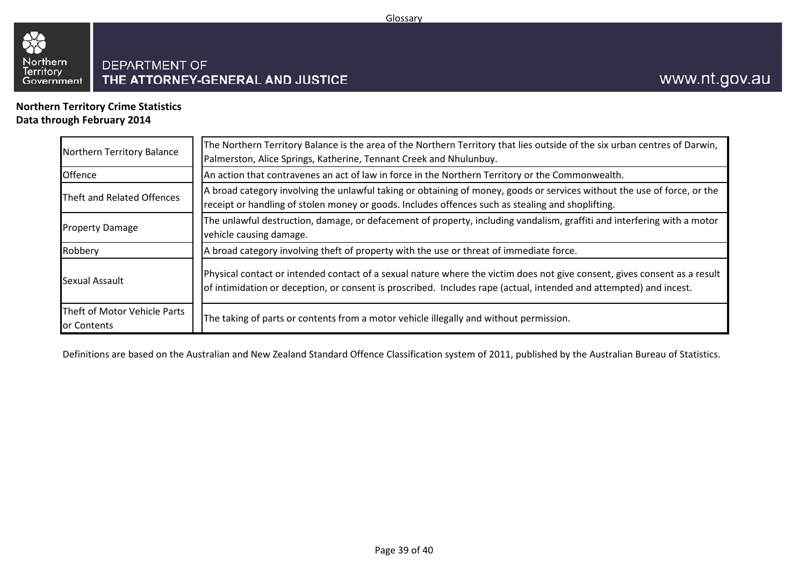

**Northern Territory Crime StatisticsData through February 2014**

| Northern Territory Balance                  | The Northern Territory Balance is the area of the Northern Territory that lies outside of the six urban centres of Darwin,<br>Palmerston, Alice Springs, Katherine, Tennant Creek and Nhulunbuy.                                                |  |  |  |  |
|---------------------------------------------|-------------------------------------------------------------------------------------------------------------------------------------------------------------------------------------------------------------------------------------------------|--|--|--|--|
| Offence                                     | An action that contravenes an act of law in force in the Northern Territory or the Commonwealth.                                                                                                                                                |  |  |  |  |
| Theft and Related Offences                  | A broad category involving the unlawful taking or obtaining of money, goods or services without the use of force, or the<br>receipt or handling of stolen money or goods. Includes offences such as stealing and shoplifting.                   |  |  |  |  |
| <b>Property Damage</b>                      | The unlawful destruction, damage, or defacement of property, including vandalism, graffiti and interfering with a motor<br>vehicle causing damage.                                                                                              |  |  |  |  |
| Robbery                                     | A broad category involving theft of property with the use or threat of immediate force.                                                                                                                                                         |  |  |  |  |
| Sexual Assault                              | Physical contact or intended contact of a sexual nature where the victim does not give consent, gives consent as a result<br>of intimidation or deception, or consent is proscribed. Includes rape (actual, intended and attempted) and incest. |  |  |  |  |
| Theft of Motor Vehicle Parts<br>or Contents | The taking of parts or contents from a motor vehicle illegally and without permission.                                                                                                                                                          |  |  |  |  |

Definitions are based on the Australian and New Zealand Standard Offence Classification system of 2011, published by the Australian Bureau of Statistics.